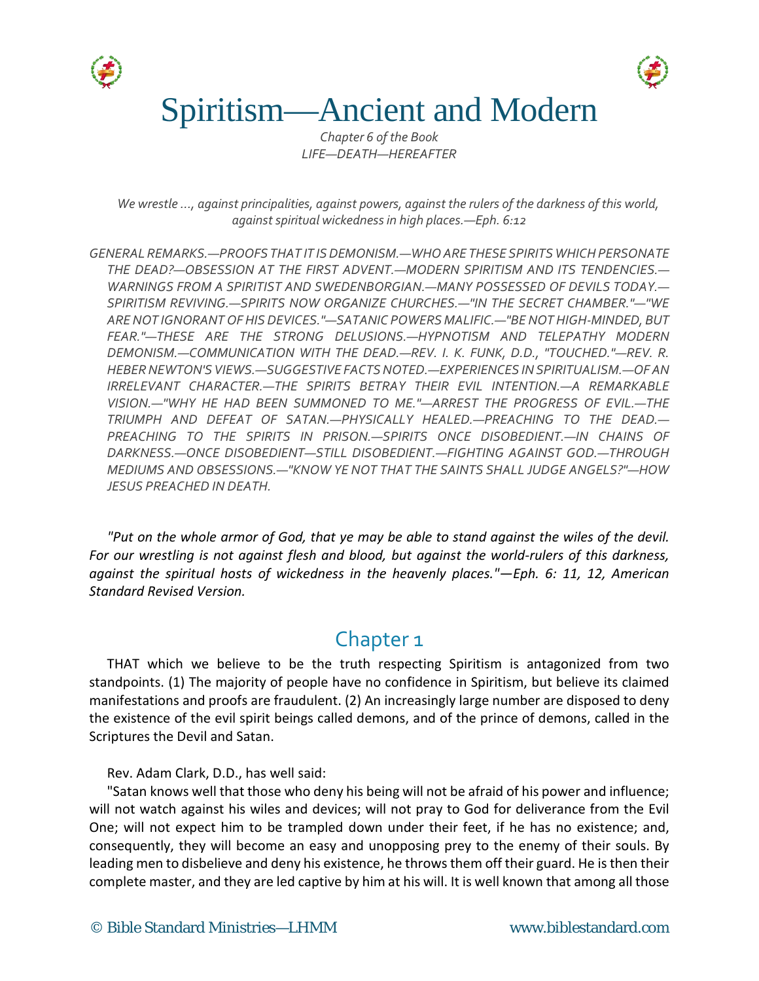



# Spiritism—Ancient and Modern

*Chapter 6 of the Book LIFE—DEATH—HEREAFTER*

*We wrestle …, against principalities, against powers, against the rulers of the darkness of this world, against spiritual wickedness in high places.—Eph. 6:12*

*GENERAL REMARKS.—PROOFS THAT IT IS DEMONISM.—WHO ARE THESE SPIRITS WHICH PERSONATE THE DEAD?—OBSESSION AT THE FIRST ADVENT.—MODERN SPIRITISM AND ITS TENDENCIES.— WARNINGS FROM A SPIRITIST AND SWEDENBORGIAN.—MANY POSSESSED OF DEVILS TODAY.— SPIRITISM REVIVING.—SPIRITS NOW ORGANIZE CHURCHES.—"IN THE SECRET CHAMBER."—"WE ARE NOT IGNORANT OF HIS DEVICES."—SATANIC POWERS MALIFIC.—"BE NOT HIGH-MINDED, BUT FEAR."—THESE ARE THE STRONG DELUSIONS.—HYPNOTISM AND TELEPATHY MODERN DEMONISM.—COMMUNICATION WITH THE DEAD.—REV. I. K. FUNK, D.D., "TOUCHED."—REV. R. HEBER NEWTON'S VIEWS.—SUGGESTIVE FACTS NOTED.—EXPERIENCES IN SPIRITUALISM.—OF AN IRRELEVANT CHARACTER.—THE SPIRITS BETRAY THEIR EVIL INTENTION.—A REMARKABLE VISION.—"WHY HE HAD BEEN SUMMONED TO ME."—ARREST THE PROGRESS OF EVIL.—THE TRIUMPH AND DEFEAT OF SATAN.—PHYSICALLY HEALED.—PREACHING TO THE DEAD.— PREACHING TO THE SPIRITS IN PRISON.—SPIRITS ONCE DISOBEDIENT.—IN CHAINS OF DARKNESS.—ONCE DISOBEDIENT—STILL DISOBEDIENT.—FIGHTING AGAINST GOD.—THROUGH MEDIUMS AND OBSESSIONS.—"KNOW YE NOT THAT THE SAINTS SHALL JUDGE ANGELS?"—HOW JESUS PREACHED IN DEATH.*

*"Put on the whole armor of God, that ye may be able to stand against the wiles of the devil. For our wrestling is not against flesh and blood, but against the world-rulers of this darkness, against the spiritual hosts of wickedness in the heavenly places."—Eph. 6: 11, 12, American Standard Revised Version.*

#### Chapter 1

THAT which we believe to be the truth respecting Spiritism is antagonized from two standpoints. (1) The majority of people have no confidence in Spiritism, but believe its claimed manifestations and proofs are fraudulent. (2) An increasingly large number are disposed to deny the existence of the evil spirit beings called demons, and of the prince of demons, called in the Scriptures the Devil and Satan.

Rev. Adam Clark, D.D., has well said:

"Satan knows well that those who deny his being will not be afraid of his power and influence; will not watch against his wiles and devices; will not pray to God for deliverance from the Evil One; will not expect him to be trampled down under their feet, if he has no existence; and, consequently, they will become an easy and unopposing prey to the enemy of their souls. By leading men to disbelieve and deny his existence, he throws them off their guard. He is then their complete master, and they are led captive by him at his will. It is well known that among all those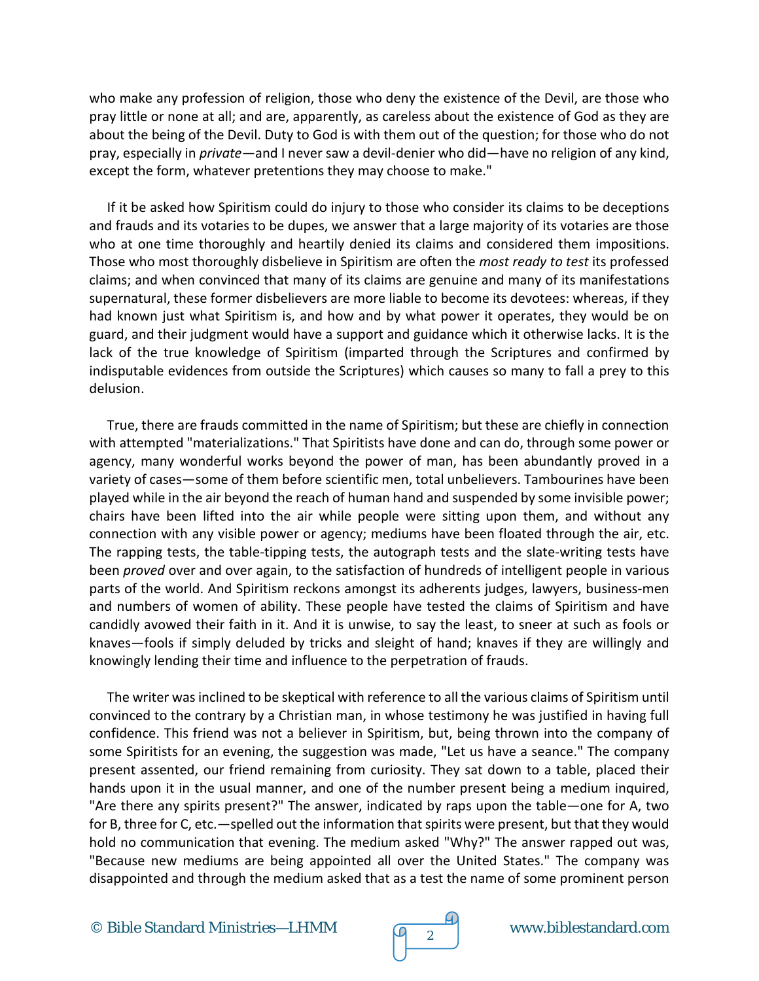who make any profession of religion, those who deny the existence of the Devil, are those who pray little or none at all; and are, apparently, as careless about the existence of God as they are about the being of the Devil. Duty to God is with them out of the question; for those who do not pray, especially in *private—*and I never saw a devil-denier who did—have no religion of any kind, except the form, whatever pretentions they may choose to make."

If it be asked how Spiritism could do injury to those who consider its claims to be deceptions and frauds and its votaries to be dupes, we answer that a large majority of its votaries are those who at one time thoroughly and heartily denied its claims and considered them impositions. Those who most thoroughly disbelieve in Spiritism are often the *most ready to test* its professed claims; and when convinced that many of its claims are genuine and many of its manifestations supernatural, these former disbelievers are more liable to become its devotees: whereas, if they had known just what Spiritism is, and how and by what power it operates, they would be on guard, and their judgment would have a support and guidance which it otherwise lacks. It is the lack of the true knowledge of Spiritism (imparted through the Scriptures and confirmed by indisputable evidences from outside the Scriptures) which causes so many to fall a prey to this delusion.

True, there are frauds committed in the name of Spiritism; but these are chiefly in connection with attempted "materializations." That Spiritists have done and can do, through some power or agency, many wonderful works beyond the power of man, has been abundantly proved in a variety of cases—some of them before scientific men, total unbelievers. Tambourines have been played while in the air beyond the reach of human hand and suspended by some invisible power; chairs have been lifted into the air while people were sitting upon them, and without any connection with any visible power or agency; mediums have been floated through the air, etc. The rapping tests, the table-tipping tests, the autograph tests and the slate-writing tests have been *proved* over and over again, to the satisfaction of hundreds of intelligent people in various parts of the world. And Spiritism reckons amongst its adherents judges, lawyers, business-men and numbers of women of ability. These people have tested the claims of Spiritism and have candidly avowed their faith in it. And it is unwise, to say the least, to sneer at such as fools or knaves—fools if simply deluded by tricks and sleight of hand; knaves if they are willingly and knowingly lending their time and influence to the perpetration of frauds.

The writer was inclined to be skeptical with reference to all the various claims of Spiritism until convinced to the contrary by a Christian man, in whose testimony he was justified in having full confidence. This friend was not a believer in Spiritism, but, being thrown into the company of some Spiritists for an evening, the suggestion was made, "Let us have a seance." The company present assented, our friend remaining from curiosity. They sat down to a table, placed their hands upon it in the usual manner, and one of the number present being a medium inquired, "Are there any spirits present?" The answer, indicated by raps upon the table—one for A, two for B, three for C, etc.—spelled out the information that spirits were present, but that they would hold no communication that evening. The medium asked "Why?" The answer rapped out was, "Because new mediums are being appointed all over the United States." The company was disappointed and through the medium asked that as a test the name of some prominent person

© Bible Standard Ministries—LHMM  $\sqrt{q}$  2 www.biblestandard.com

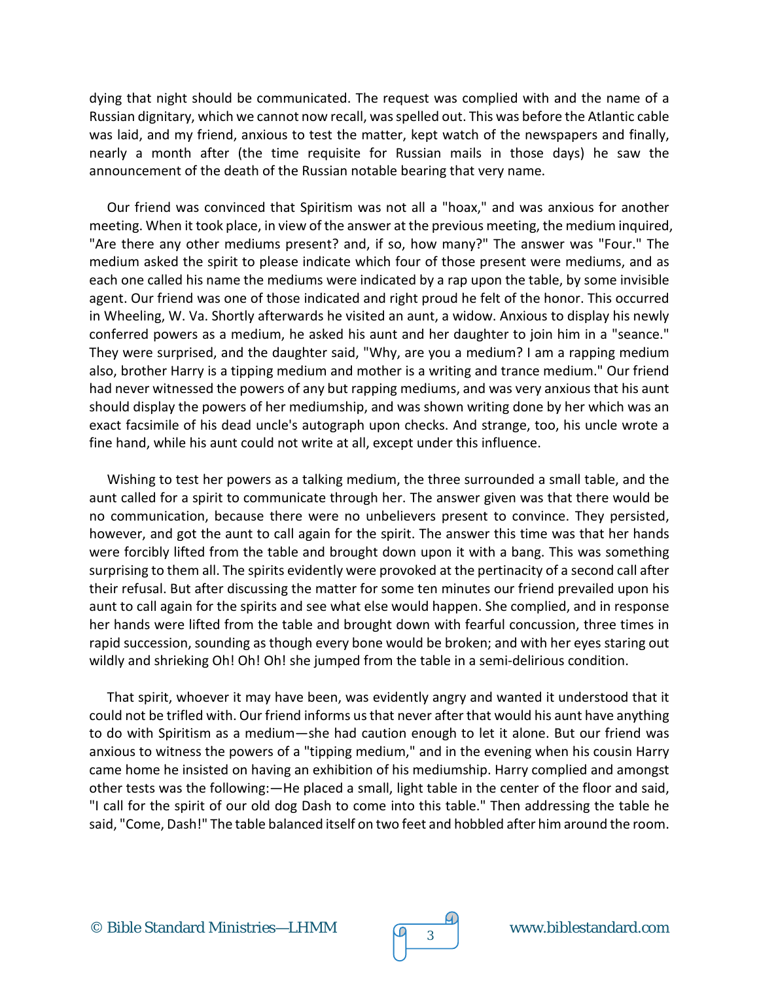dying that night should be communicated. The request was complied with and the name of a Russian dignitary, which we cannot now recall, was spelled out. This was before the Atlantic cable was laid, and my friend, anxious to test the matter, kept watch of the newspapers and finally, nearly a month after (the time requisite for Russian mails in those days) he saw the announcement of the death of the Russian notable bearing that very name.

Our friend was convinced that Spiritism was not all a "hoax," and was anxious for another meeting. When it took place, in view of the answer at the previous meeting, the medium inquired, "Are there any other mediums present? and, if so, how many?" The answer was "Four." The medium asked the spirit to please indicate which four of those present were mediums, and as each one called his name the mediums were indicated by a rap upon the table, by some invisible agent. Our friend was one of those indicated and right proud he felt of the honor. This occurred in Wheeling, W. Va. Shortly afterwards he visited an aunt, a widow. Anxious to display his newly conferred powers as a medium, he asked his aunt and her daughter to join him in a "seance." They were surprised, and the daughter said, "Why, are you a medium? I am a rapping medium also, brother Harry is a tipping medium and mother is a writing and trance medium." Our friend had never witnessed the powers of any but rapping mediums, and was very anxious that his aunt should display the powers of her mediumship, and was shown writing done by her which was an exact facsimile of his dead uncle's autograph upon checks. And strange, too, his uncle wrote a fine hand, while his aunt could not write at all, except under this influence.

Wishing to test her powers as a talking medium, the three surrounded a small table, and the aunt called for a spirit to communicate through her. The answer given was that there would be no communication, because there were no unbelievers present to convince. They persisted, however, and got the aunt to call again for the spirit. The answer this time was that her hands were forcibly lifted from the table and brought down upon it with a bang. This was something surprising to them all. The spirits evidently were provoked at the pertinacity of a second call after their refusal. But after discussing the matter for some ten minutes our friend prevailed upon his aunt to call again for the spirits and see what else would happen. She complied, and in response her hands were lifted from the table and brought down with fearful concussion, three times in rapid succession, sounding as though every bone would be broken; and with her eyes staring out wildly and shrieking Oh! Oh! Oh! she jumped from the table in a semi-delirious condition.

That spirit, whoever it may have been, was evidently angry and wanted it understood that it could not be trifled with. Our friend informs us that never after that would his aunt have anything to do with Spiritism as a medium—she had caution enough to let it alone. But our friend was anxious to witness the powers of a "tipping medium," and in the evening when his cousin Harry came home he insisted on having an exhibition of his mediumship. Harry complied and amongst other tests was the following:—He placed a small, light table in the center of the floor and said, "I call for the spirit of our old dog Dash to come into this table." Then addressing the table he said, "Come, Dash!" The table balanced itself on two feet and hobbled after him around the room.



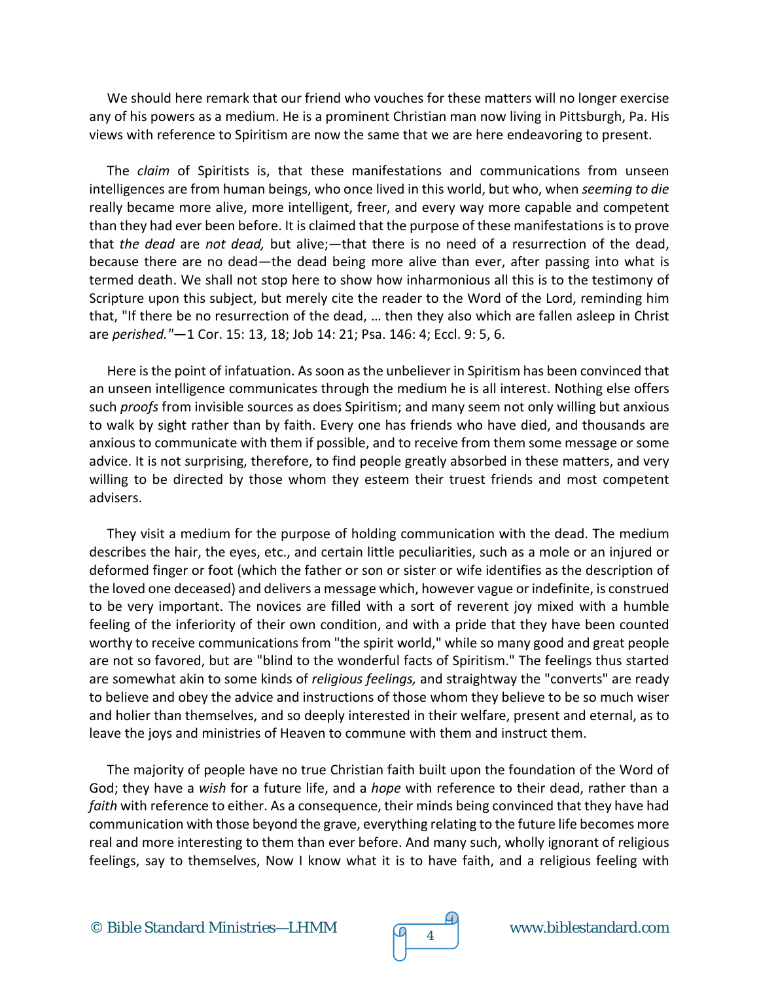We should here remark that our friend who vouches for these matters will no longer exercise any of his powers as a medium. He is a prominent Christian man now living in Pittsburgh, Pa. His views with reference to Spiritism are now the same that we are here endeavoring to present.

The *claim* of Spiritists is, that these manifestations and communications from unseen intelligences are from human beings, who once lived in this world, but who, when *seeming to die*  really became more alive, more intelligent, freer, and every way more capable and competent than they had ever been before. It is claimed that the purpose of these manifestations is to prove that *the dead* are *not dead,* but alive;—that there is no need of a resurrection of the dead, because there are no dead—the dead being more alive than ever, after passing into what is termed death. We shall not stop here to show how inharmonious all this is to the testimony of Scripture upon this subject, but merely cite the reader to the Word of the Lord, reminding him that, "If there be no resurrection of the dead, … then they also which are fallen asleep in Christ are *perished."*—1 Cor. 15: 13, 18; Job 14: 21; Psa. 146: 4; Eccl. 9: 5, 6.

Here is the point of infatuation. As soon as the unbeliever in Spiritism has been convinced that an unseen intelligence communicates through the medium he is all interest. Nothing else offers such *proofs* from invisible sources as does Spiritism; and many seem not only willing but anxious to walk by sight rather than by faith. Every one has friends who have died, and thousands are anxious to communicate with them if possible, and to receive from them some message or some advice. It is not surprising, therefore, to find people greatly absorbed in these matters, and very willing to be directed by those whom they esteem their truest friends and most competent advisers.

They visit a medium for the purpose of holding communication with the dead. The medium describes the hair, the eyes, etc., and certain little peculiarities, such as a mole or an injured or deformed finger or foot (which the father or son or sister or wife identifies as the description of the loved one deceased) and delivers a message which, however vague or indefinite, is construed to be very important. The novices are filled with a sort of reverent joy mixed with a humble feeling of the inferiority of their own condition, and with a pride that they have been counted worthy to receive communications from "the spirit world," while so many good and great people are not so favored, but are "blind to the wonderful facts of Spiritism." The feelings thus started are somewhat akin to some kinds of *religious feelings,* and straightway the "converts" are ready to believe and obey the advice and instructions of those whom they believe to be so much wiser and holier than themselves, and so deeply interested in their welfare, present and eternal, as to leave the joys and ministries of Heaven to commune with them and instruct them.

The majority of people have no true Christian faith built upon the foundation of the Word of God; they have a *wish* for a future life, and a *hope* with reference to their dead, rather than a *faith* with reference to either. As a consequence, their minds being convinced that they have had communication with those beyond the grave, everything relating to the future life becomes more real and more interesting to them than ever before. And many such, wholly ignorant of religious feelings, say to themselves, Now I know what it is to have faith, and a religious feeling with



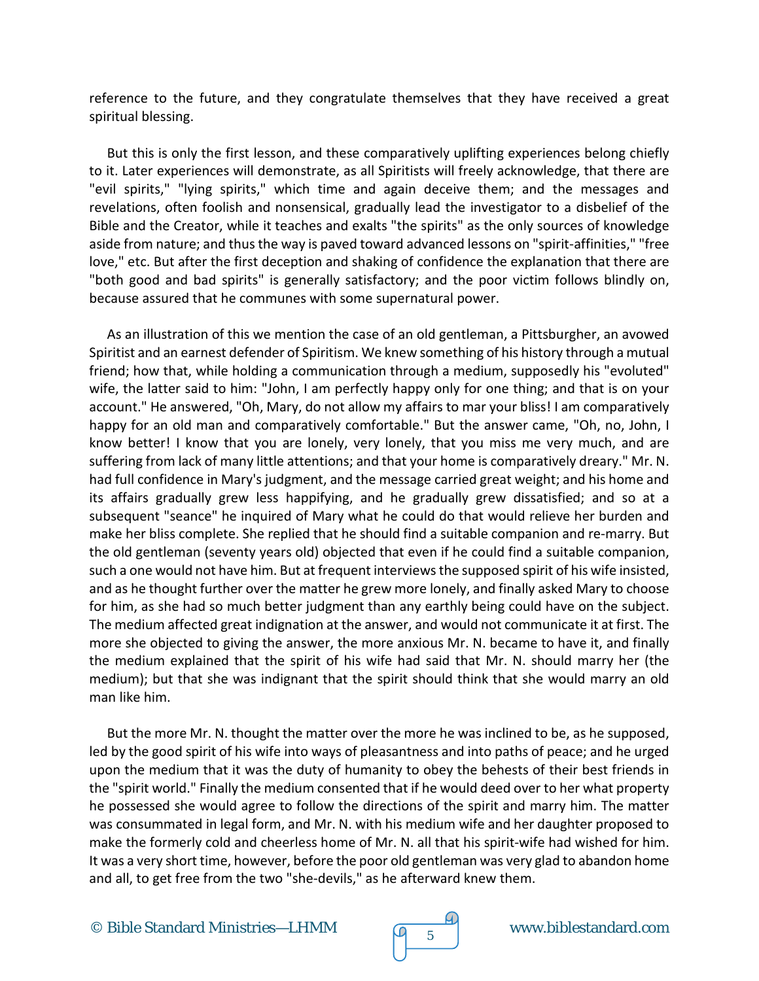reference to the future, and they congratulate themselves that they have received a great spiritual blessing.

But this is only the first lesson, and these comparatively uplifting experiences belong chiefly to it. Later experiences will demonstrate, as all Spiritists will freely acknowledge, that there are "evil spirits," "lying spirits," which time and again deceive them; and the messages and revelations, often foolish and nonsensical, gradually lead the investigator to a disbelief of the Bible and the Creator, while it teaches and exalts "the spirits" as the only sources of knowledge aside from nature; and thus the way is paved toward advanced lessons on "spirit-affinities," "free love," etc. But after the first deception and shaking of confidence the explanation that there are "both good and bad spirits" is generally satisfactory; and the poor victim follows blindly on, because assured that he communes with some supernatural power.

As an illustration of this we mention the case of an old gentleman, a Pittsburgher, an avowed Spiritist and an earnest defender of Spiritism. We knew something of his history through a mutual friend; how that, while holding a communication through a medium, supposedly his "evoluted" wife, the latter said to him: "John, I am perfectly happy only for one thing; and that is on your account." He answered, "Oh, Mary, do not allow my affairs to mar your bliss! I am comparatively happy for an old man and comparatively comfortable." But the answer came, "Oh, no, John, I know better! I know that you are lonely, very lonely, that you miss me very much, and are suffering from lack of many little attentions; and that your home is comparatively dreary." Mr. N. had full confidence in Mary's judgment, and the message carried great weight; and his home and its affairs gradually grew less happifying, and he gradually grew dissatisfied; and so at a subsequent "seance" he inquired of Mary what he could do that would relieve her burden and make her bliss complete. She replied that he should find a suitable companion and re-marry. But the old gentleman (seventy years old) objected that even if he could find a suitable companion, such a one would not have him. But at frequent interviews the supposed spirit of his wife insisted, and as he thought further over the matter he grew more lonely, and finally asked Mary to choose for him, as she had so much better judgment than any earthly being could have on the subject. The medium affected great indignation at the answer, and would not communicate it at first. The more she objected to giving the answer, the more anxious Mr. N. became to have it, and finally the medium explained that the spirit of his wife had said that Mr. N. should marry her (the medium); but that she was indignant that the spirit should think that she would marry an old man like him.

But the more Mr. N. thought the matter over the more he was inclined to be, as he supposed, led by the good spirit of his wife into ways of pleasantness and into paths of peace; and he urged upon the medium that it was the duty of humanity to obey the behests of their best friends in the "spirit world." Finally the medium consented that if he would deed over to her what property he possessed she would agree to follow the directions of the spirit and marry him. The matter was consummated in legal form, and Mr. N. with his medium wife and her daughter proposed to make the formerly cold and cheerless home of Mr. N. all that his spirit-wife had wished for him. It was a very short time, however, before the poor old gentleman was very glad to abandon home and all, to get free from the two "she-devils," as he afterward knew them.

© Bible Standard Ministries—LHMM  $\sqrt{q}$  5 www.biblestandard.com



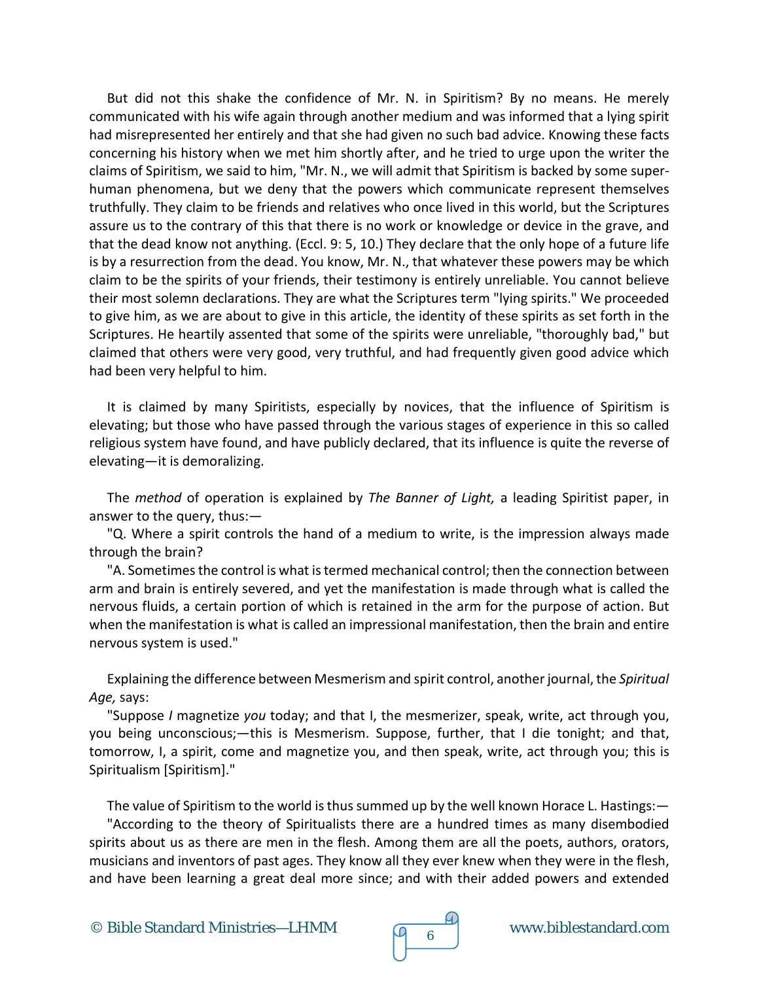But did not this shake the confidence of Mr. N. in Spiritism? By no means. He merely communicated with his wife again through another medium and was informed that a lying spirit had misrepresented her entirely and that she had given no such bad advice. Knowing these facts concerning his history when we met him shortly after, and he tried to urge upon the writer the claims of Spiritism, we said to him, "Mr. N., we will admit that Spiritism is backed by some superhuman phenomena, but we deny that the powers which communicate represent themselves truthfully. They claim to be friends and relatives who once lived in this world, but the Scriptures assure us to the contrary of this that there is no work or knowledge or device in the grave, and that the dead know not anything. (Eccl. 9: 5, 10.) They declare that the only hope of a future life is by a resurrection from the dead. You know, Mr. N., that whatever these powers may be which claim to be the spirits of your friends, their testimony is entirely unreliable. You cannot believe their most solemn declarations. They are what the Scriptures term "lying spirits." We proceeded to give him, as we are about to give in this article, the identity of these spirits as set forth in the Scriptures. He heartily assented that some of the spirits were unreliable, "thoroughly bad," but claimed that others were very good, very truthful, and had frequently given good advice which had been very helpful to him.

It is claimed by many Spiritists, especially by novices, that the influence of Spiritism is elevating; but those who have passed through the various stages of experience in this so called religious system have found, and have publicly declared, that its influence is quite the reverse of elevating—it is demoralizing.

The *method* of operation is explained by *The Banner of Light,* a leading Spiritist paper, in answer to the query, thus:—

"Q. Where a spirit controls the hand of a medium to write, is the impression always made through the brain?

"A. Sometimes the control is what is termed mechanical control; then the connection between arm and brain is entirely severed, and yet the manifestation is made through what is called the nervous fluids, a certain portion of which is retained in the arm for the purpose of action. But when the manifestation is what is called an impressional manifestation, then the brain and entire nervous system is used."

Explaining the difference between Mesmerism and spirit control, another journal, the *Spiritual Age,* says:

"Suppose *I* magnetize *you* today; and that I, the mesmerizer, speak, write, act through you, you being unconscious;—this is Mesmerism. Suppose, further, that I die tonight; and that, tomorrow, I, a spirit, come and magnetize you, and then speak, write, act through you; this is Spiritualism [Spiritism]."

The value of Spiritism to the world is thus summed up by the well known Horace L. Hastings:— "According to the theory of Spiritualists there are a hundred times as many disembodied spirits about us as there are men in the flesh. Among them are all the poets, authors, orators, musicians and inventors of past ages. They know all they ever knew when they were in the flesh, and have been learning a great deal more since; and with their added powers and extended

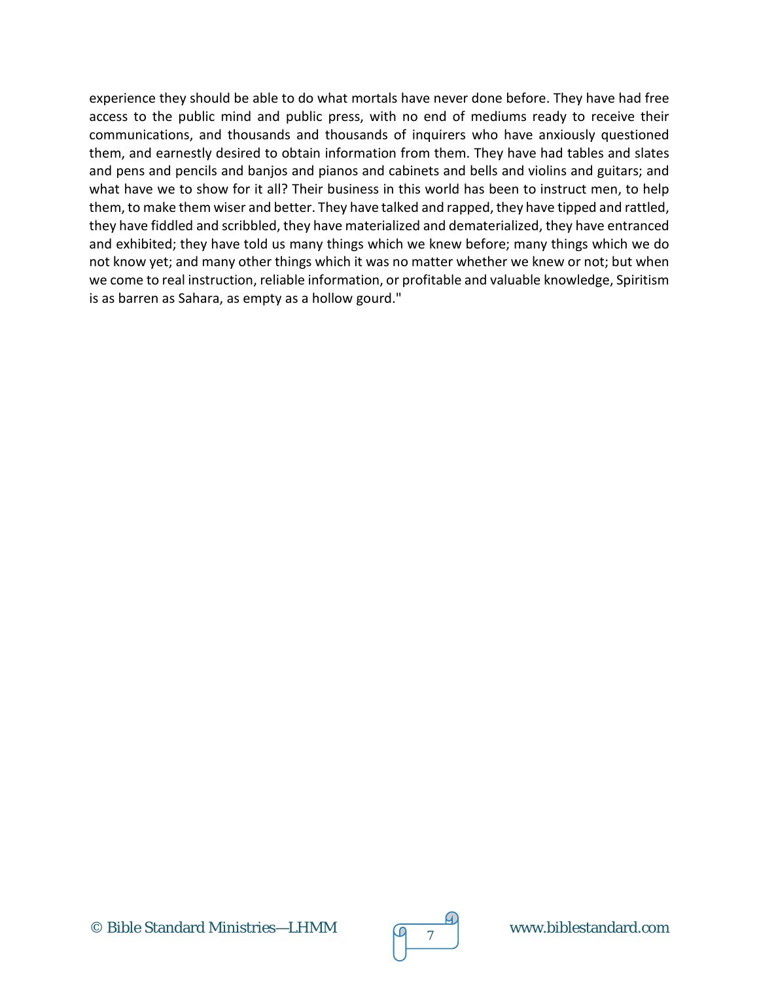experience they should be able to do what mortals have never done before. They have had free access to the public mind and public press, with no end of mediums ready to receive their communications, and thousands and thousands of inquirers who have anxiously questioned them, and earnestly desired to obtain information from them. They have had tables and slates and pens and pencils and banjos and pianos and cabinets and bells and violins and guitars; and what have we to show for it all? Their business in this world has been to instruct men, to help them, to make them wiser and better. They have talked and rapped, they have tipped and rattled, they have fiddled and scribbled, they have materialized and dematerialized, they have entranced and exhibited; they have told us many things which we knew before; many things which we do not know yet; and many other things which it was no matter whether we knew or not; but when we come to real instruction, reliable information, or profitable and valuable knowledge, Spiritism is as barren as Sahara, as empty as a hollow gourd."

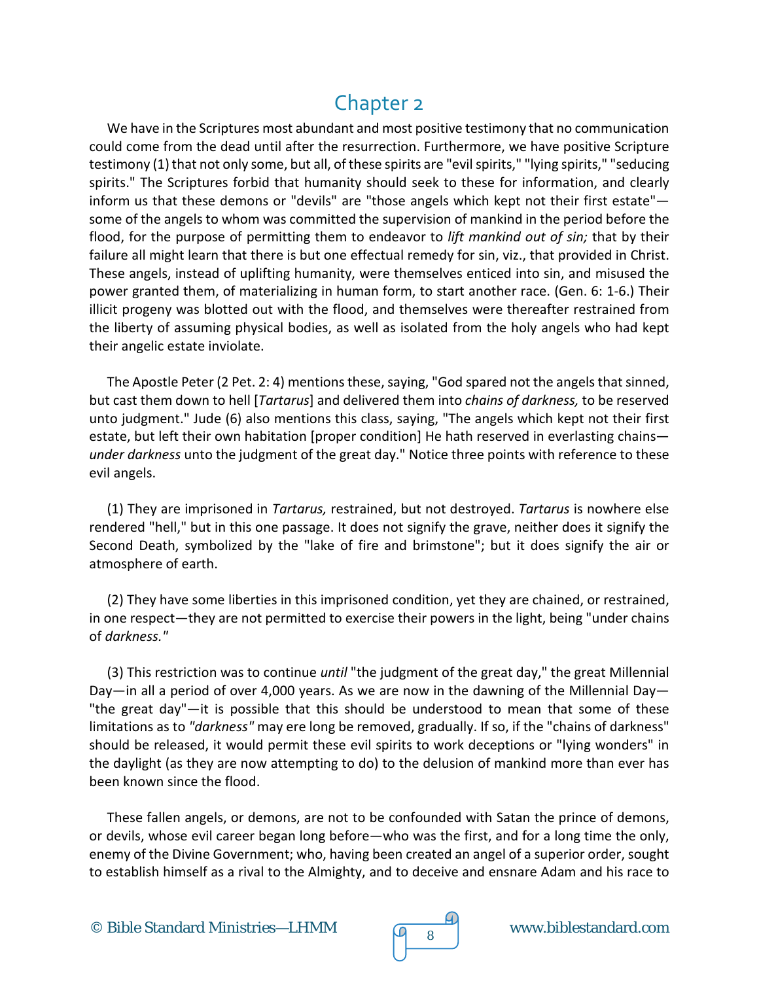## Chapter 2

We have in the Scriptures most abundant and most positive testimony that no communication could come from the dead until after the resurrection. Furthermore, we have positive Scripture testimony (1) that not only some, but all, of these spirits are "evil spirits," "lying spirits," "seducing spirits." The Scriptures forbid that humanity should seek to these for information, and clearly inform us that these demons or "devils" are "those angels which kept not their first estate" some of the angels to whom was committed the supervision of mankind in the period before the flood, for the purpose of permitting them to endeavor to *lift mankind out of sin;* that by their failure all might learn that there is but one effectual remedy for sin, viz., that provided in Christ. These angels, instead of uplifting humanity, were themselves enticed into sin, and misused the power granted them, of materializing in human form, to start another race. (Gen. 6: 1-6.) Their illicit progeny was blotted out with the flood, and themselves were thereafter restrained from the liberty of assuming physical bodies, as well as isolated from the holy angels who had kept their angelic estate inviolate.

The Apostle Peter (2 Pet. 2: 4) mentions these, saying, "God spared not the angels that sinned, but cast them down to hell [*Tartarus*] and delivered them into *chains of darkness,* to be reserved unto judgment." Jude (6) also mentions this class, saying, "The angels which kept not their first estate, but left their own habitation [proper condition] He hath reserved in everlasting chains *under darkness* unto the judgment of the great day." Notice three points with reference to these evil angels.

(1) They are imprisoned in *Tartarus,* restrained, but not destroyed. *Tartarus* is nowhere else rendered "hell," but in this one passage. It does not signify the grave, neither does it signify the Second Death, symbolized by the "lake of fire and brimstone"; but it does signify the air or atmosphere of earth.

(2) They have some liberties in this imprisoned condition, yet they are chained, or restrained, in one respect—they are not permitted to exercise their powers in the light, being "under chains of *darkness."*

(3) This restriction was to continue *until* "the judgment of the great day," the great Millennial Day—in all a period of over 4,000 years. As we are now in the dawning of the Millennial Day— "the great day"—it is possible that this should be understood to mean that some of these limitations as to *"darkness"* may ere long be removed, gradually. If so, if the "chains of darkness" should be released, it would permit these evil spirits to work deceptions or "lying wonders" in the daylight (as they are now attempting to do) to the delusion of mankind more than ever has been known since the flood.

These fallen angels, or demons, are not to be confounded with Satan the prince of demons, or devils, whose evil career began long before—who was the first, and for a long time the only, enemy of the Divine Government; who, having been created an angel of a superior order, sought to establish himself as a rival to the Almighty, and to deceive and ensnare Adam and his race to



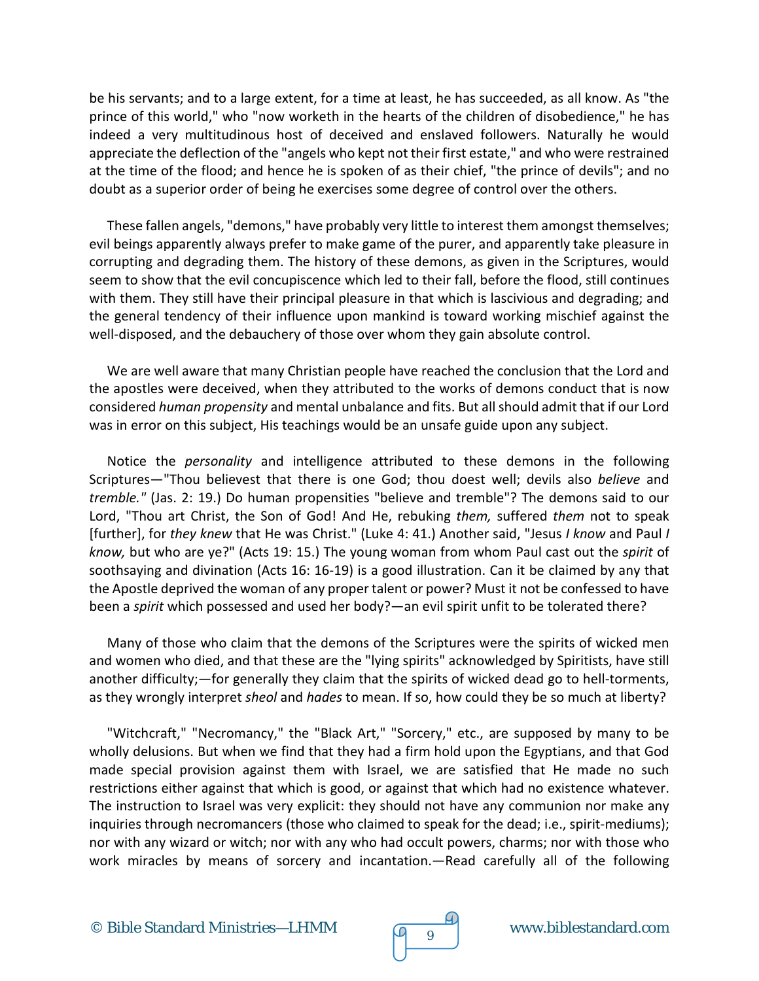be his servants; and to a large extent, for a time at least, he has succeeded, as all know. As "the prince of this world," who "now worketh in the hearts of the children of disobedience," he has indeed a very multitudinous host of deceived and enslaved followers. Naturally he would appreciate the deflection of the "angels who kept not their first estate," and who were restrained at the time of the flood; and hence he is spoken of as their chief, "the prince of devils"; and no doubt as a superior order of being he exercises some degree of control over the others.

These fallen angels, "demons," have probably very little to interest them amongst themselves; evil beings apparently always prefer to make game of the purer, and apparently take pleasure in corrupting and degrading them. The history of these demons, as given in the Scriptures, would seem to show that the evil concupiscence which led to their fall, before the flood, still continues with them. They still have their principal pleasure in that which is lascivious and degrading; and the general tendency of their influence upon mankind is toward working mischief against the well-disposed, and the debauchery of those over whom they gain absolute control.

We are well aware that many Christian people have reached the conclusion that the Lord and the apostles were deceived, when they attributed to the works of demons conduct that is now considered *human propensity* and mental unbalance and fits. But all should admit that if our Lord was in error on this subject, His teachings would be an unsafe guide upon any subject.

Notice the *personality* and intelligence attributed to these demons in the following Scriptures—"Thou believest that there is one God; thou doest well; devils also *believe* and *tremble."* (Jas. 2: 19.) Do human propensities "believe and tremble"? The demons said to our Lord, "Thou art Christ, the Son of God! And He, rebuking *them,* suffered *them* not to speak [further], for *they knew* that He was Christ." (Luke 4: 41.) Another said, "Jesus *I know* and Paul *I know,* but who are ye?" (Acts 19: 15.) The young woman from whom Paul cast out the *spirit* of soothsaying and divination (Acts 16: 16-19) is a good illustration. Can it be claimed by any that the Apostle deprived the woman of any proper talent or power? Must it not be confessed to have been a *spirit* which possessed and used her body?—an evil spirit unfit to be tolerated there?

Many of those who claim that the demons of the Scriptures were the spirits of wicked men and women who died, and that these are the "lying spirits" acknowledged by Spiritists, have still another difficulty;—for generally they claim that the spirits of wicked dead go to hell-torments, as they wrongly interpret *sheol* and *hades* to mean. If so, how could they be so much at liberty?

"Witchcraft," "Necromancy," the "Black Art," "Sorcery," etc., are supposed by many to be wholly delusions. But when we find that they had a firm hold upon the Egyptians, and that God made special provision against them with Israel, we are satisfied that He made no such restrictions either against that which is good, or against that which had no existence whatever. The instruction to Israel was very explicit: they should not have any communion nor make any inquiries through necromancers (those who claimed to speak for the dead; i.e., spirit-mediums); nor with any wizard or witch; nor with any who had occult powers, charms; nor with those who work miracles by means of sorcery and incantation.—Read carefully all of the following



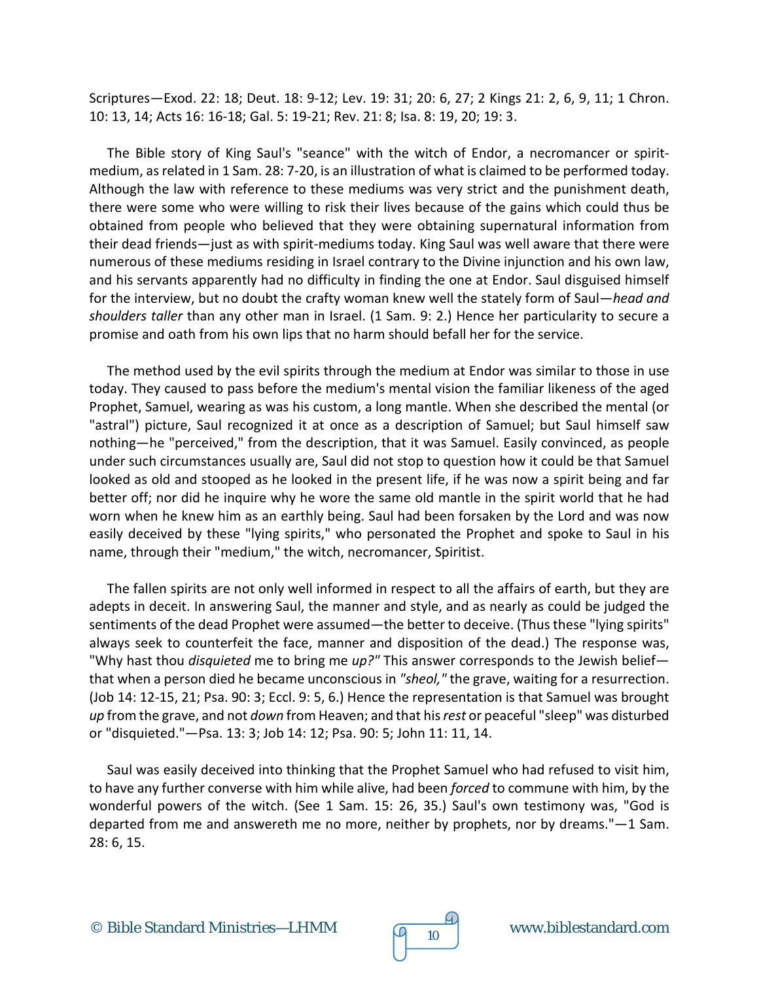Scriptures—Exod. 22: 18; Deut. 18: 9-12; Lev. 19: 31; 20: 6, 27; 2 Kings 21: 2, 6, 9, 11; 1 Chron. 10: 13, 14; Acts 16: 16-18; Gal. 5: 19-21; Rev. 21: 8; Isa. 8: 19, 20; 19: 3.

The Bible story of King Saul's "seance" with the witch of Endor, a necromancer or spiritmedium, asrelated in 1 Sam. 28: 7-20, is an illustration of what is claimed to be performed today. Although the law with reference to these mediums was very strict and the punishment death, there were some who were willing to risk their lives because of the gains which could thus be obtained from people who believed that they were obtaining supernatural information from their dead friends—just as with spirit-mediums today. King Saul was well aware that there were numerous of these mediums residing in Israel contrary to the Divine injunction and his own law, and his servants apparently had no difficulty in finding the one at Endor. Saul disguised himself for the interview, but no doubt the crafty woman knew well the stately form of Saul—*head and shoulders taller* than any other man in Israel. (1 Sam. 9: 2.) Hence her particularity to secure a promise and oath from his own lips that no harm should befall her for the service.

The method used by the evil spirits through the medium at Endor was similar to those in use today. They caused to pass before the medium's mental vision the familiar likeness of the aged Prophet, Samuel, wearing as was his custom, a long mantle. When she described the mental (or "astral") picture, Saul recognized it at once as a description of Samuel; but Saul himself saw nothing—he "perceived," from the description, that it was Samuel. Easily convinced, as people under such circumstances usually are, Saul did not stop to question how it could be that Samuel looked as old and stooped as he looked in the present life, if he was now a spirit being and far better off; nor did he inquire why he wore the same old mantle in the spirit world that he had worn when he knew him as an earthly being. Saul had been forsaken by the Lord and was now easily deceived by these "lying spirits," who personated the Prophet and spoke to Saul in his name, through their "medium," the witch, necromancer, Spiritist.

The fallen spirits are not only well informed in respect to all the affairs of earth, but they are adepts in deceit. In answering Saul, the manner and style, and as nearly as could be judged the sentiments of the dead Prophet were assumed—the better to deceive. (Thus these "lying spirits" always seek to counterfeit the face, manner and disposition of the dead.) The response was, "Why hast thou *disquieted* me to bring me *up?"* This answer corresponds to the Jewish belief that when a person died he became unconscious in *"sheol,"* the grave, waiting for a resurrection. (Job 14: 12-15, 21; Psa. 90: 3; Eccl. 9: 5, 6.) Hence the representation is that Samuel was brought *up* from the grave, and not *down* from Heaven; and that his *rest* or peaceful "sleep" was disturbed or "disquieted."—Psa. 13: 3; Job 14: 12; Psa. 90: 5; John 11: 11, 14.

Saul was easily deceived into thinking that the Prophet Samuel who had refused to visit him, to have any further converse with him while alive, had been *forced* to commune with him, by the wonderful powers of the witch. (See 1 Sam. 15: 26, 35.) Saul's own testimony was, "God is departed from me and answereth me no more, neither by prophets, nor by dreams."—1 Sam. 28: 6, 15.

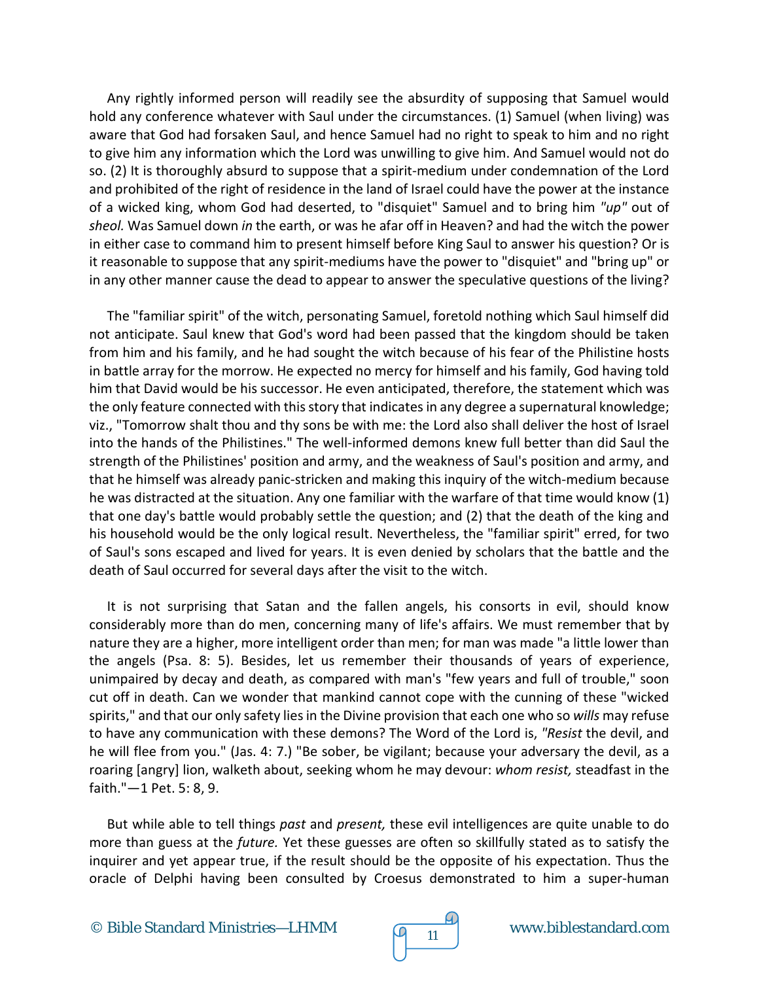Any rightly informed person will readily see the absurdity of supposing that Samuel would hold any conference whatever with Saul under the circumstances. (1) Samuel (when living) was aware that God had forsaken Saul, and hence Samuel had no right to speak to him and no right to give him any information which the Lord was unwilling to give him. And Samuel would not do so. (2) It is thoroughly absurd to suppose that a spirit-medium under condemnation of the Lord and prohibited of the right of residence in the land of Israel could have the power at the instance of a wicked king, whom God had deserted, to "disquiet" Samuel and to bring him *"up"* out of *sheol.* Was Samuel down *in* the earth, or was he afar off in Heaven? and had the witch the power in either case to command him to present himself before King Saul to answer his question? Or is it reasonable to suppose that any spirit-mediums have the power to "disquiet" and "bring up" or in any other manner cause the dead to appear to answer the speculative questions of the living?

The "familiar spirit" of the witch, personating Samuel, foretold nothing which Saul himself did not anticipate. Saul knew that God's word had been passed that the kingdom should be taken from him and his family, and he had sought the witch because of his fear of the Philistine hosts in battle array for the morrow. He expected no mercy for himself and his family, God having told him that David would be his successor. He even anticipated, therefore, the statement which was the only feature connected with this story that indicates in any degree a supernatural knowledge; viz., "Tomorrow shalt thou and thy sons be with me: the Lord also shall deliver the host of Israel into the hands of the Philistines." The well-informed demons knew full better than did Saul the strength of the Philistines' position and army, and the weakness of Saul's position and army, and that he himself was already panic-stricken and making this inquiry of the witch-medium because he was distracted at the situation. Any one familiar with the warfare of that time would know (1) that one day's battle would probably settle the question; and (2) that the death of the king and his household would be the only logical result. Nevertheless, the "familiar spirit" erred, for two of Saul's sons escaped and lived for years. It is even denied by scholars that the battle and the death of Saul occurred for several days after the visit to the witch.

It is not surprising that Satan and the fallen angels, his consorts in evil, should know considerably more than do men, concerning many of life's affairs. We must remember that by nature they are a higher, more intelligent order than men; for man was made "a little lower than the angels (Psa. 8: 5). Besides, let us remember their thousands of years of experience, unimpaired by decay and death, as compared with man's "few years and full of trouble," soon cut off in death. Can we wonder that mankind cannot cope with the cunning of these "wicked spirits," and that our only safety lies in the Divine provision that each one who so *wills* may refuse to have any communication with these demons? The Word of the Lord is, *"Resist* the devil, and he will flee from you." (Jas. 4: 7.) "Be sober, be vigilant; because your adversary the devil, as a roaring [angry] lion, walketh about, seeking whom he may devour: *whom resist,* steadfast in the faith."—1 Pet. 5: 8, 9.

But while able to tell things *past* and *present,* these evil intelligences are quite unable to do more than guess at the *future.* Yet these guesses are often so skillfully stated as to satisfy the inquirer and yet appear true, if the result should be the opposite of his expectation. Thus the oracle of Delphi having been consulted by Croesus demonstrated to him a super-human

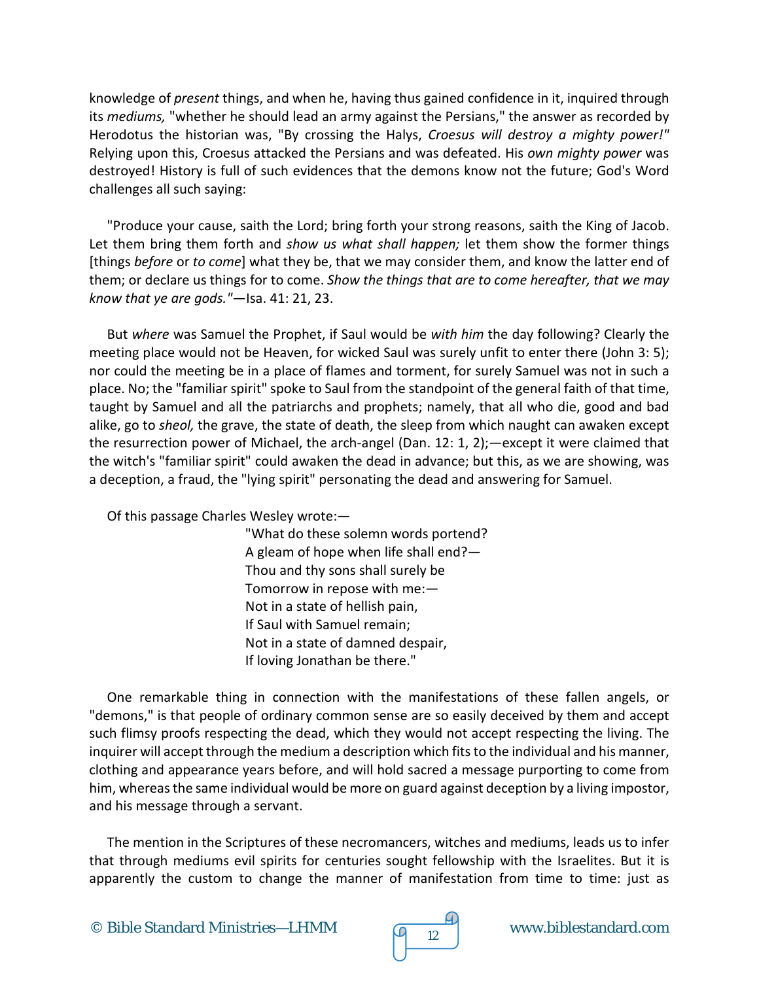knowledge of *present* things, and when he, having thus gained confidence in it, inquired through its *mediums,* "whether he should lead an army against the Persians," the answer as recorded by Herodotus the historian was, "By crossing the Halys, *Croesus will destroy a mighty power!"*  Relying upon this, Croesus attacked the Persians and was defeated. His *own mighty power* was destroyed! History is full of such evidences that the demons know not the future; God's Word challenges all such saying:

"Produce your cause, saith the Lord; bring forth your strong reasons, saith the King of Jacob. Let them bring them forth and *show us what shall happen;* let them show the former things [things *before* or *to come*] what they be, that we may consider them, and know the latter end of them; or declare us things for to come. *Show the things that are to come hereafter, that we may know that ye are gods."*—Isa. 41: 21, 23.

But *where* was Samuel the Prophet, if Saul would be *with him* the day following? Clearly the meeting place would not be Heaven, for wicked Saul was surely unfit to enter there (John 3: 5); nor could the meeting be in a place of flames and torment, for surely Samuel was not in such a place. No; the "familiar spirit" spoke to Saul from the standpoint of the general faith of that time, taught by Samuel and all the patriarchs and prophets; namely, that all who die, good and bad alike, go to *sheol,* the grave, the state of death, the sleep from which naught can awaken except the resurrection power of Michael, the arch-angel (Dan. 12: 1, 2);—except it were claimed that the witch's "familiar spirit" could awaken the dead in advance; but this, as we are showing, was a deception, a fraud, the "lying spirit" personating the dead and answering for Samuel.

Of this passage Charles Wesley wrote:—

"What do these solemn words portend? A gleam of hope when life shall end?— Thou and thy sons shall surely be Tomorrow in repose with me:— Not in a state of hellish pain, If Saul with Samuel remain; Not in a state of damned despair, If loving Jonathan be there."

One remarkable thing in connection with the manifestations of these fallen angels, or "demons," is that people of ordinary common sense are so easily deceived by them and accept such flimsy proofs respecting the dead, which they would not accept respecting the living. The inquirer will accept through the medium a description which fits to the individual and his manner, clothing and appearance years before, and will hold sacred a message purporting to come from him, whereas the same individual would be more on guard against deception by a living impostor, and his message through a servant.

The mention in the Scriptures of these necromancers, witches and mediums, leads us to infer that through mediums evil spirits for centuries sought fellowship with the Israelites. But it is apparently the custom to change the manner of manifestation from time to time: just as

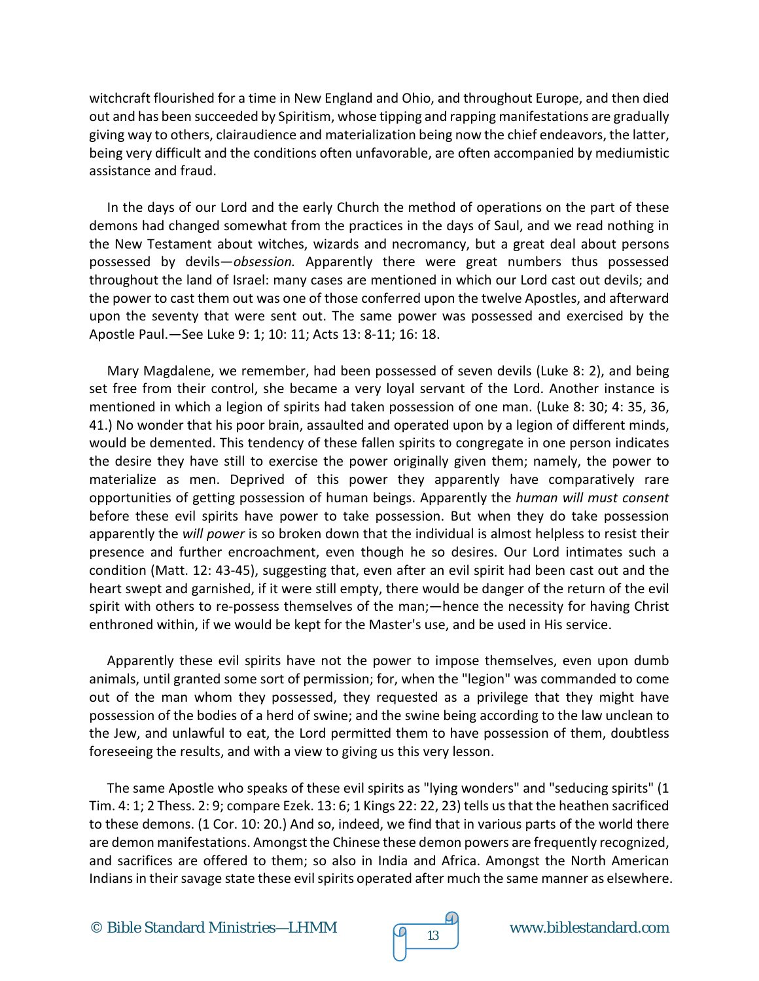witchcraft flourished for a time in New England and Ohio, and throughout Europe, and then died out and has been succeeded by Spiritism, whose tipping and rapping manifestations are gradually giving way to others, clairaudience and materialization being now the chief endeavors, the latter, being very difficult and the conditions often unfavorable, are often accompanied by mediumistic assistance and fraud.

In the days of our Lord and the early Church the method of operations on the part of these demons had changed somewhat from the practices in the days of Saul, and we read nothing in the New Testament about witches, wizards and necromancy, but a great deal about persons possessed by devils—*obsession.* Apparently there were great numbers thus possessed throughout the land of Israel: many cases are mentioned in which our Lord cast out devils; and the power to cast them out was one of those conferred upon the twelve Apostles, and afterward upon the seventy that were sent out. The same power was possessed and exercised by the Apostle Paul.—See Luke 9: 1; 10: 11; Acts 13: 8-11; 16: 18.

Mary Magdalene, we remember, had been possessed of seven devils (Luke 8: 2), and being set free from their control, she became a very loyal servant of the Lord. Another instance is mentioned in which a legion of spirits had taken possession of one man. (Luke 8: 30; 4: 35, 36, 41.) No wonder that his poor brain, assaulted and operated upon by a legion of different minds, would be demented. This tendency of these fallen spirits to congregate in one person indicates the desire they have still to exercise the power originally given them; namely, the power to materialize as men. Deprived of this power they apparently have comparatively rare opportunities of getting possession of human beings. Apparently the *human will must consent*  before these evil spirits have power to take possession. But when they do take possession apparently the *will power* is so broken down that the individual is almost helpless to resist their presence and further encroachment, even though he so desires. Our Lord intimates such a condition (Matt. 12: 43-45), suggesting that, even after an evil spirit had been cast out and the heart swept and garnished, if it were still empty, there would be danger of the return of the evil spirit with others to re-possess themselves of the man;—hence the necessity for having Christ enthroned within, if we would be kept for the Master's use, and be used in His service.

Apparently these evil spirits have not the power to impose themselves, even upon dumb animals, until granted some sort of permission; for, when the "legion" was commanded to come out of the man whom they possessed, they requested as a privilege that they might have possession of the bodies of a herd of swine; and the swine being according to the law unclean to the Jew, and unlawful to eat, the Lord permitted them to have possession of them, doubtless foreseeing the results, and with a view to giving us this very lesson.

The same Apostle who speaks of these evil spirits as "lying wonders" and "seducing spirits" (1 Tim. 4: 1; 2 Thess. 2: 9; compare Ezek. 13: 6; 1 Kings 22: 22, 23) tells us that the heathen sacrificed to these demons. (1 Cor. 10: 20.) And so, indeed, we find that in various parts of the world there are demon manifestations. Amongst the Chinese these demon powers are frequently recognized, and sacrifices are offered to them; so also in India and Africa. Amongst the North American Indians in their savage state these evil spirits operated after much the same manner as elsewhere.

© Bible Standard Ministries—LHMM  $\sqrt{9}$  13 www.biblestandard.com

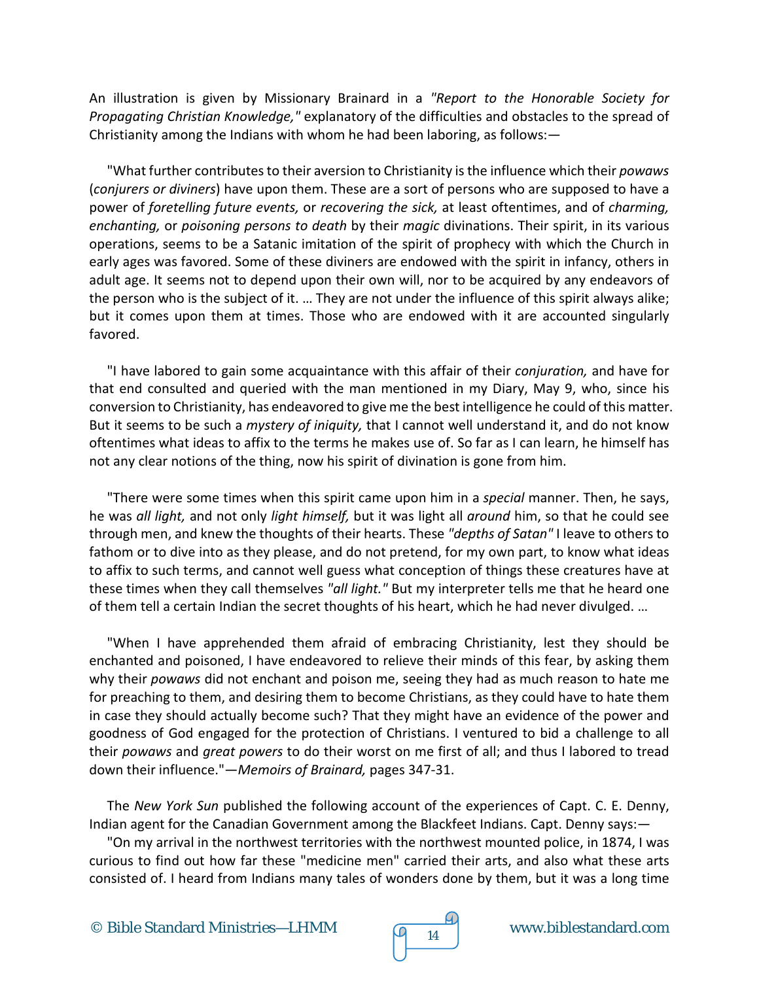An illustration is given by Missionary Brainard in a *"Report to the Honorable Society for Propagating Christian Knowledge,"* explanatory of the difficulties and obstacles to the spread of Christianity among the Indians with whom he had been laboring, as follows:—

"What further contributes to their aversion to Christianity is the influence which their *powaws* (*conjurers or diviners*) have upon them. These are a sort of persons who are supposed to have a power of *foretelling future events,* or *recovering the sick,* at least oftentimes, and of *charming, enchanting,* or *poisoning persons to death* by their *magic* divinations. Their spirit, in its various operations, seems to be a Satanic imitation of the spirit of prophecy with which the Church in early ages was favored. Some of these diviners are endowed with the spirit in infancy, others in adult age. It seems not to depend upon their own will, nor to be acquired by any endeavors of the person who is the subject of it. … They are not under the influence of this spirit always alike; but it comes upon them at times. Those who are endowed with it are accounted singularly favored.

"I have labored to gain some acquaintance with this affair of their *conjuration,* and have for that end consulted and queried with the man mentioned in my Diary, May 9, who, since his conversion to Christianity, has endeavored to give me the best intelligence he could of this matter. But it seems to be such a *mystery of iniquity,* that I cannot well understand it, and do not know oftentimes what ideas to affix to the terms he makes use of. So far as I can learn, he himself has not any clear notions of the thing, now his spirit of divination is gone from him.

"There were some times when this spirit came upon him in a *special* manner. Then, he says, he was *all light,* and not only *light himself,* but it was light all *around* him, so that he could see through men, and knew the thoughts of their hearts. These *"depths of Satan"* I leave to others to fathom or to dive into as they please, and do not pretend, for my own part, to know what ideas to affix to such terms, and cannot well guess what conception of things these creatures have at these times when they call themselves *"all light."* But my interpreter tells me that he heard one of them tell a certain Indian the secret thoughts of his heart, which he had never divulged. …

"When I have apprehended them afraid of embracing Christianity, lest they should be enchanted and poisoned, I have endeavored to relieve their minds of this fear, by asking them why their *powaws* did not enchant and poison me, seeing they had as much reason to hate me for preaching to them, and desiring them to become Christians, as they could have to hate them in case they should actually become such? That they might have an evidence of the power and goodness of God engaged for the protection of Christians. I ventured to bid a challenge to all their *powaws* and *great powers* to do their worst on me first of all; and thus I labored to tread down their influence."—*Memoirs of Brainard,* pages 347-31.

The *New York Sun* published the following account of the experiences of Capt. C. E. Denny, Indian agent for the Canadian Government among the Blackfeet Indians. Capt. Denny says:—

"On my arrival in the northwest territories with the northwest mounted police, in 1874, I was curious to find out how far these "medicine men" carried their arts, and also what these arts consisted of. I heard from Indians many tales of wonders done by them, but it was a long time

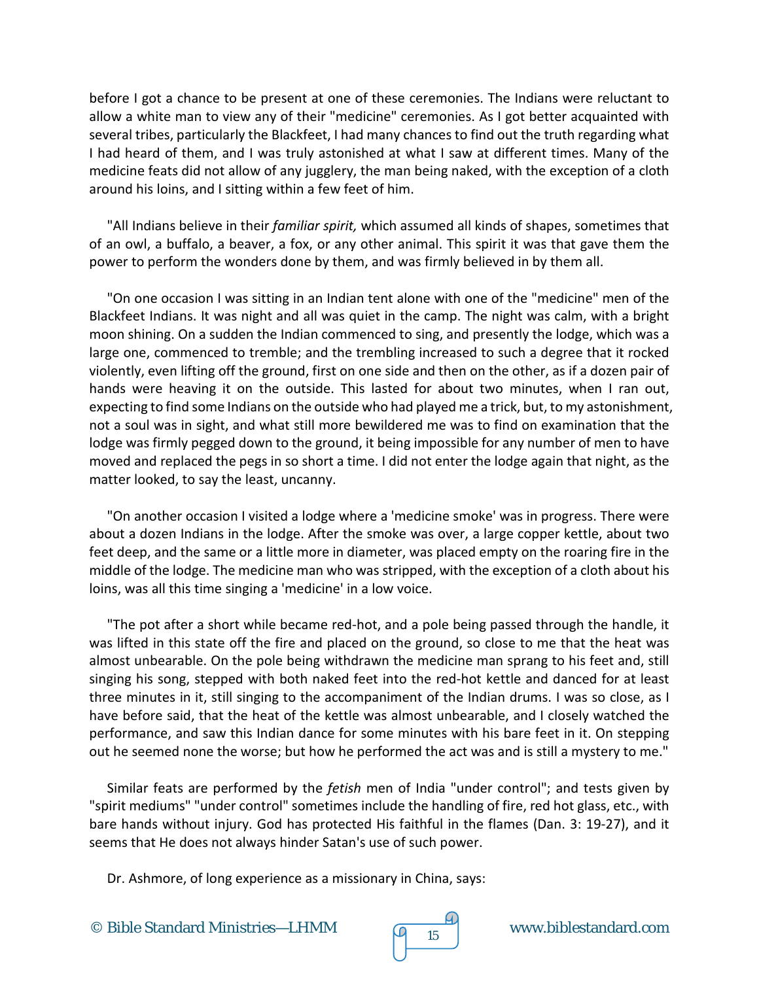before I got a chance to be present at one of these ceremonies. The Indians were reluctant to allow a white man to view any of their "medicine" ceremonies. As I got better acquainted with several tribes, particularly the Blackfeet, I had many chances to find out the truth regarding what I had heard of them, and I was truly astonished at what I saw at different times. Many of the medicine feats did not allow of any jugglery, the man being naked, with the exception of a cloth around his loins, and I sitting within a few feet of him.

"All Indians believe in their *familiar spirit,* which assumed all kinds of shapes, sometimes that of an owl, a buffalo, a beaver, a fox, or any other animal. This spirit it was that gave them the power to perform the wonders done by them, and was firmly believed in by them all.

"On one occasion I was sitting in an Indian tent alone with one of the "medicine" men of the Blackfeet Indians. It was night and all was quiet in the camp. The night was calm, with a bright moon shining. On a sudden the Indian commenced to sing, and presently the lodge, which was a large one, commenced to tremble; and the trembling increased to such a degree that it rocked violently, even lifting off the ground, first on one side and then on the other, as if a dozen pair of hands were heaving it on the outside. This lasted for about two minutes, when I ran out, expecting to find some Indians on the outside who had played me a trick, but, to my astonishment, not a soul was in sight, and what still more bewildered me was to find on examination that the lodge was firmly pegged down to the ground, it being impossible for any number of men to have moved and replaced the pegs in so short a time. I did not enter the lodge again that night, as the matter looked, to say the least, uncanny.

"On another occasion I visited a lodge where a 'medicine smoke' was in progress. There were about a dozen Indians in the lodge. After the smoke was over, a large copper kettle, about two feet deep, and the same or a little more in diameter, was placed empty on the roaring fire in the middle of the lodge. The medicine man who was stripped, with the exception of a cloth about his loins, was all this time singing a 'medicine' in a low voice.

"The pot after a short while became red-hot, and a pole being passed through the handle, it was lifted in this state off the fire and placed on the ground, so close to me that the heat was almost unbearable. On the pole being withdrawn the medicine man sprang to his feet and, still singing his song, stepped with both naked feet into the red-hot kettle and danced for at least three minutes in it, still singing to the accompaniment of the Indian drums. I was so close, as I have before said, that the heat of the kettle was almost unbearable, and I closely watched the performance, and saw this Indian dance for some minutes with his bare feet in it. On stepping out he seemed none the worse; but how he performed the act was and is still a mystery to me."

Similar feats are performed by the *fetish* men of India "under control"; and tests given by "spirit mediums" "under control" sometimes include the handling of fire, red hot glass, etc., with bare hands without injury. God has protected His faithful in the flames (Dan. 3: 19-27), and it seems that He does not always hinder Satan's use of such power.

Dr. Ashmore, of long experience as a missionary in China, says:

© Bible Standard Ministries—LHMM  $\sqrt{9}$  15 www.biblestandard.com

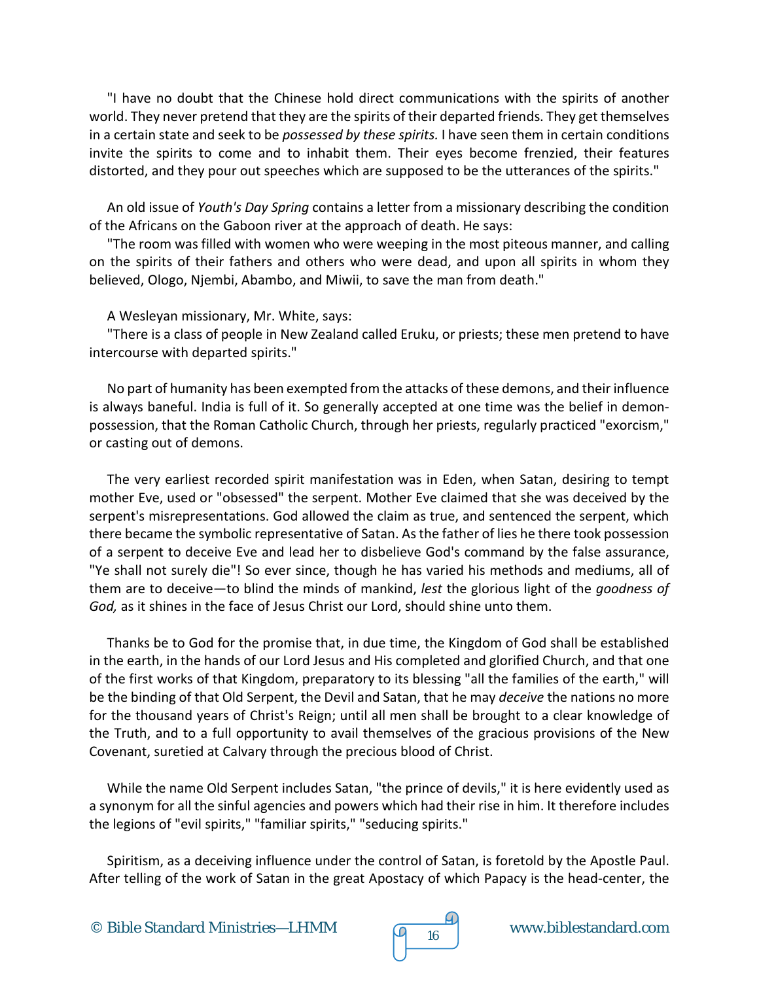"I have no doubt that the Chinese hold direct communications with the spirits of another world. They never pretend that they are the spirits of their departed friends. They get themselves in a certain state and seek to be *possessed by these spirits.* I have seen them in certain conditions invite the spirits to come and to inhabit them. Their eyes become frenzied, their features distorted, and they pour out speeches which are supposed to be the utterances of the spirits."

An old issue of *Youth's Day Spring* contains a letter from a missionary describing the condition of the Africans on the Gaboon river at the approach of death. He says:

"The room was filled with women who were weeping in the most piteous manner, and calling on the spirits of their fathers and others who were dead, and upon all spirits in whom they believed, Ologo, Njembi, Abambo, and Miwii, to save the man from death."

#### A Wesleyan missionary, Mr. White, says:

"There is a class of people in New Zealand called Eruku, or priests; these men pretend to have intercourse with departed spirits."

No part of humanity has been exempted from the attacks of these demons, and their influence is always baneful. India is full of it. So generally accepted at one time was the belief in demonpossession, that the Roman Catholic Church, through her priests, regularly practiced "exorcism," or casting out of demons.

The very earliest recorded spirit manifestation was in Eden, when Satan, desiring to tempt mother Eve, used or "obsessed" the serpent. Mother Eve claimed that she was deceived by the serpent's misrepresentations. God allowed the claim as true, and sentenced the serpent, which there became the symbolic representative of Satan. As the father of lies he there took possession of a serpent to deceive Eve and lead her to disbelieve God's command by the false assurance, "Ye shall not surely die"! So ever since, though he has varied his methods and mediums, all of them are to deceive—to blind the minds of mankind, *lest* the glorious light of the *goodness of God,* as it shines in the face of Jesus Christ our Lord, should shine unto them.

Thanks be to God for the promise that, in due time, the Kingdom of God shall be established in the earth, in the hands of our Lord Jesus and His completed and glorified Church, and that one of the first works of that Kingdom, preparatory to its blessing "all the families of the earth," will be the binding of that Old Serpent, the Devil and Satan, that he may *deceive* the nations no more for the thousand years of Christ's Reign; until all men shall be brought to a clear knowledge of the Truth, and to a full opportunity to avail themselves of the gracious provisions of the New Covenant, suretied at Calvary through the precious blood of Christ.

While the name Old Serpent includes Satan, "the prince of devils," it is here evidently used as a synonym for all the sinful agencies and powers which had their rise in him. It therefore includes the legions of "evil spirits," "familiar spirits," "seducing spirits."

Spiritism, as a deceiving influence under the control of Satan, is foretold by the Apostle Paul. After telling of the work of Satan in the great Apostacy of which Papacy is the head-center, the

© Bible Standard Ministries—LHMM  $\sqrt{9}$  16 www.biblestandard.com



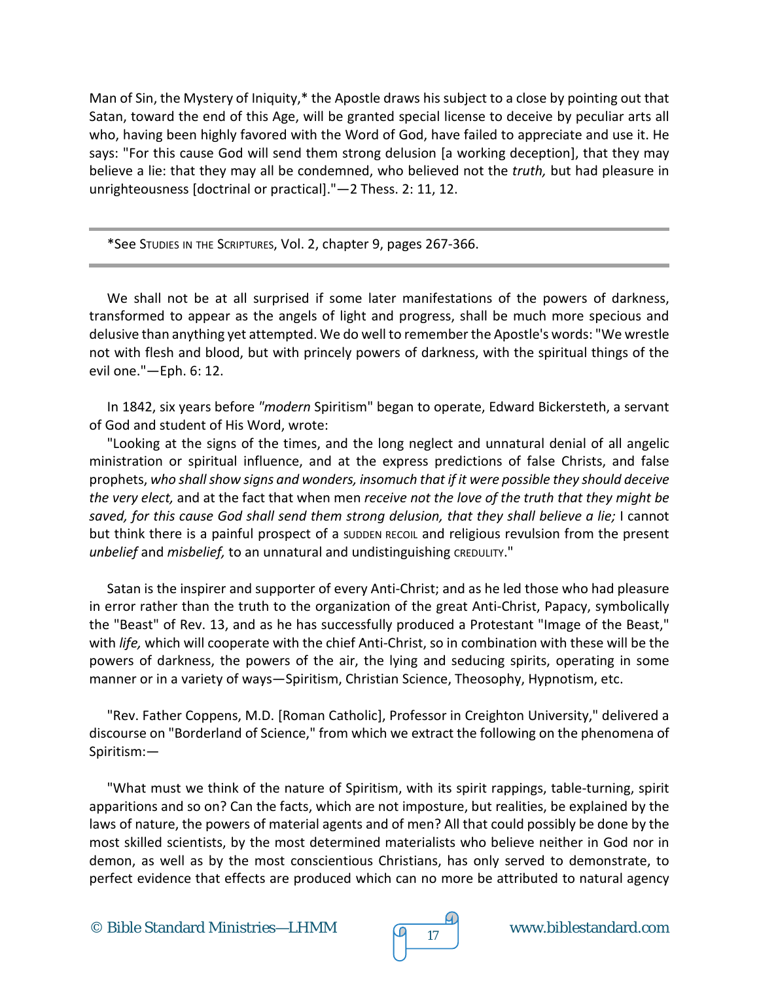Man of Sin, the Mystery of Iniquity,\* the Apostle draws his subject to a close by pointing out that Satan, toward the end of this Age, will be granted special license to deceive by peculiar arts all who, having been highly favored with the Word of God, have failed to appreciate and use it. He says: "For this cause God will send them strong delusion [a working deception], that they may believe a lie: that they may all be condemned, who believed not the *truth,* but had pleasure in unrighteousness [doctrinal or practical]."—2 Thess. 2: 11, 12.

\*See STUDIES IN THE SCRIPTURES, Vol. 2, chapter 9, pages 267-366.

We shall not be at all surprised if some later manifestations of the powers of darkness, transformed to appear as the angels of light and progress, shall be much more specious and delusive than anything yet attempted. We do well to remember the Apostle's words: "We wrestle not with flesh and blood, but with princely powers of darkness, with the spiritual things of the evil one."—Eph. 6: 12.

In 1842, six years before *"modern* Spiritism" began to operate, Edward Bickersteth, a servant of God and student of His Word, wrote:

"Looking at the signs of the times, and the long neglect and unnatural denial of all angelic ministration or spiritual influence, and at the express predictions of false Christs, and false prophets, *who shall show signs and wonders, insomuch that if it were possible they should deceive the very elect,* and at the fact that when men *receive not the love of the truth that they might be saved, for this cause God shall send them strong delusion, that they shall believe a lie;* I cannot but think there is a painful prospect of a suppen RECOIL and religious revulsion from the present *unbelief* and *misbelief,* to an unnatural and undistinguishing CREDULITY."

Satan is the inspirer and supporter of every Anti-Christ; and as he led those who had pleasure in error rather than the truth to the organization of the great Anti-Christ, Papacy, symbolically the "Beast" of Rev. 13, and as he has successfully produced a Protestant "Image of the Beast," with *life,* which will cooperate with the chief Anti-Christ, so in combination with these will be the powers of darkness, the powers of the air, the lying and seducing spirits, operating in some manner or in a variety of ways—Spiritism, Christian Science, Theosophy, Hypnotism, etc.

"Rev. Father Coppens, M.D. [Roman Catholic], Professor in Creighton University," delivered a discourse on "Borderland of Science," from which we extract the following on the phenomena of Spiritism:—

"What must we think of the nature of Spiritism, with its spirit rappings, table-turning, spirit apparitions and so on? Can the facts, which are not imposture, but realities, be explained by the laws of nature, the powers of material agents and of men? All that could possibly be done by the most skilled scientists, by the most determined materialists who believe neither in God nor in demon, as well as by the most conscientious Christians, has only served to demonstrate, to perfect evidence that effects are produced which can no more be attributed to natural agency

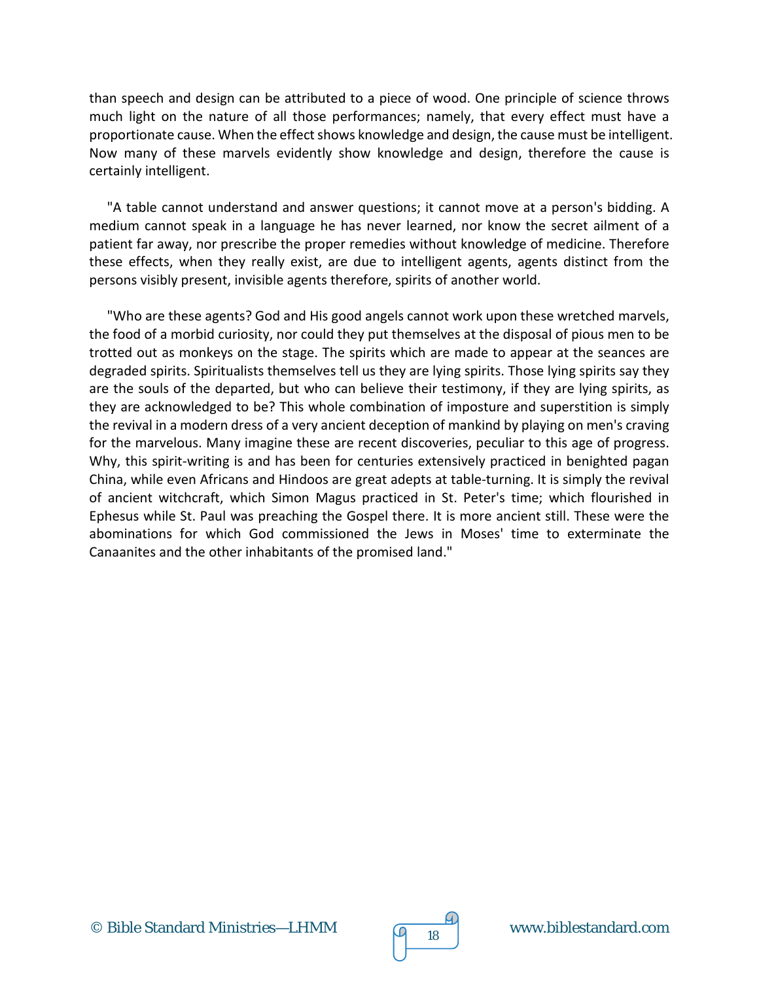than speech and design can be attributed to a piece of wood. One principle of science throws much light on the nature of all those performances; namely, that every effect must have a proportionate cause. When the effect shows knowledge and design, the cause must be intelligent. Now many of these marvels evidently show knowledge and design, therefore the cause is certainly intelligent.

"A table cannot understand and answer questions; it cannot move at a person's bidding. A medium cannot speak in a language he has never learned, nor know the secret ailment of a patient far away, nor prescribe the proper remedies without knowledge of medicine. Therefore these effects, when they really exist, are due to intelligent agents, agents distinct from the persons visibly present, invisible agents therefore, spirits of another world.

"Who are these agents? God and His good angels cannot work upon these wretched marvels, the food of a morbid curiosity, nor could they put themselves at the disposal of pious men to be trotted out as monkeys on the stage. The spirits which are made to appear at the seances are degraded spirits. Spiritualists themselves tell us they are lying spirits. Those lying spirits say they are the souls of the departed, but who can believe their testimony, if they are lying spirits, as they are acknowledged to be? This whole combination of imposture and superstition is simply the revival in a modern dress of a very ancient deception of mankind by playing on men's craving for the marvelous. Many imagine these are recent discoveries, peculiar to this age of progress. Why, this spirit-writing is and has been for centuries extensively practiced in benighted pagan China, while even Africans and Hindoos are great adepts at table-turning. It is simply the revival of ancient witchcraft, which Simon Magus practiced in St. Peter's time; which flourished in Ephesus while St. Paul was preaching the Gospel there. It is more ancient still. These were the abominations for which God commissioned the Jews in Moses' time to exterminate the Canaanites and the other inhabitants of the promised land."

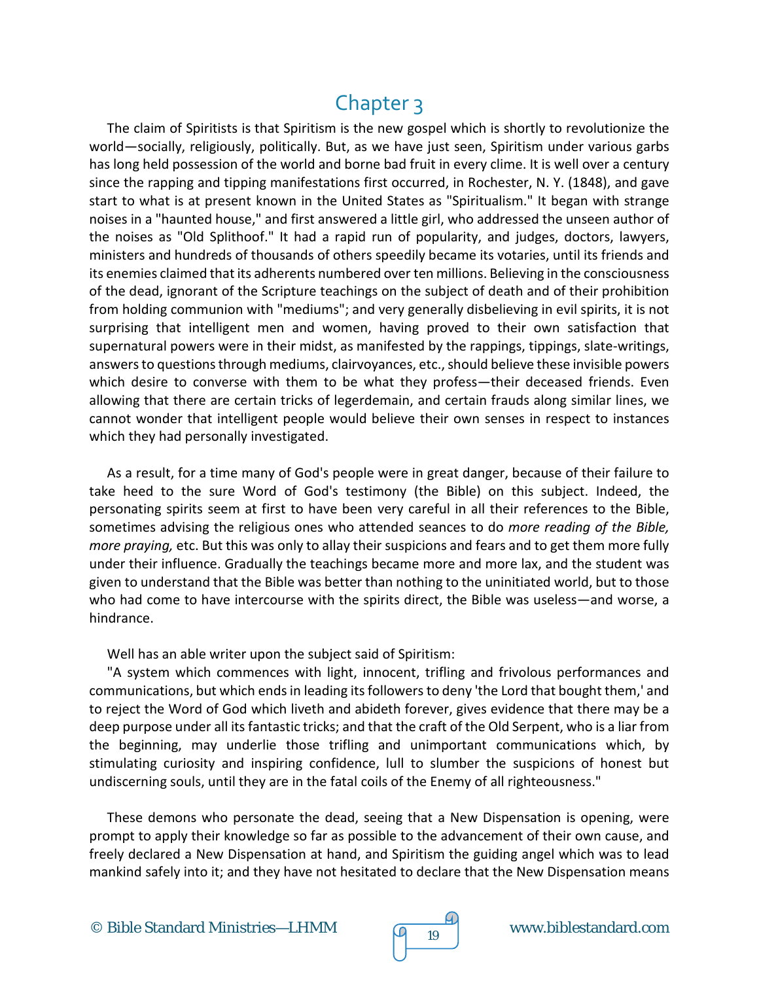## Chapter 3

The claim of Spiritists is that Spiritism is the new gospel which is shortly to revolutionize the world—socially, religiously, politically. But, as we have just seen, Spiritism under various garbs has long held possession of the world and borne bad fruit in every clime. It is well over a century since the rapping and tipping manifestations first occurred, in Rochester, N. Y. (1848), and gave start to what is at present known in the United States as "Spiritualism." It began with strange noises in a "haunted house," and first answered a little girl, who addressed the unseen author of the noises as "Old Splithoof." It had a rapid run of popularity, and judges, doctors, lawyers, ministers and hundreds of thousands of others speedily became its votaries, until its friends and its enemies claimed that its adherents numbered over ten millions. Believing in the consciousness of the dead, ignorant of the Scripture teachings on the subject of death and of their prohibition from holding communion with "mediums"; and very generally disbelieving in evil spirits, it is not surprising that intelligent men and women, having proved to their own satisfaction that supernatural powers were in their midst, as manifested by the rappings, tippings, slate-writings, answers to questions through mediums, clairvoyances, etc., should believe these invisible powers which desire to converse with them to be what they profess—their deceased friends. Even allowing that there are certain tricks of legerdemain, and certain frauds along similar lines, we cannot wonder that intelligent people would believe their own senses in respect to instances which they had personally investigated.

As a result, for a time many of God's people were in great danger, because of their failure to take heed to the sure Word of God's testimony (the Bible) on this subject. Indeed, the personating spirits seem at first to have been very careful in all their references to the Bible, sometimes advising the religious ones who attended seances to do *more reading of the Bible, more praying,* etc. But this was only to allay their suspicions and fears and to get them more fully under their influence. Gradually the teachings became more and more lax, and the student was given to understand that the Bible was better than nothing to the uninitiated world, but to those who had come to have intercourse with the spirits direct, the Bible was useless—and worse, a hindrance.

Well has an able writer upon the subject said of Spiritism:

"A system which commences with light, innocent, trifling and frivolous performances and communications, but which ends in leading its followers to deny 'the Lord that bought them,' and to reject the Word of God which liveth and abideth forever, gives evidence that there may be a deep purpose under all its fantastic tricks; and that the craft of the Old Serpent, who is a liar from the beginning, may underlie those trifling and unimportant communications which, by stimulating curiosity and inspiring confidence, lull to slumber the suspicions of honest but undiscerning souls, until they are in the fatal coils of the Enemy of all righteousness."

These demons who personate the dead, seeing that a New Dispensation is opening, were prompt to apply their knowledge so far as possible to the advancement of their own cause, and freely declared a New Dispensation at hand, and Spiritism the guiding angel which was to lead mankind safely into it; and they have not hesitated to declare that the New Dispensation means

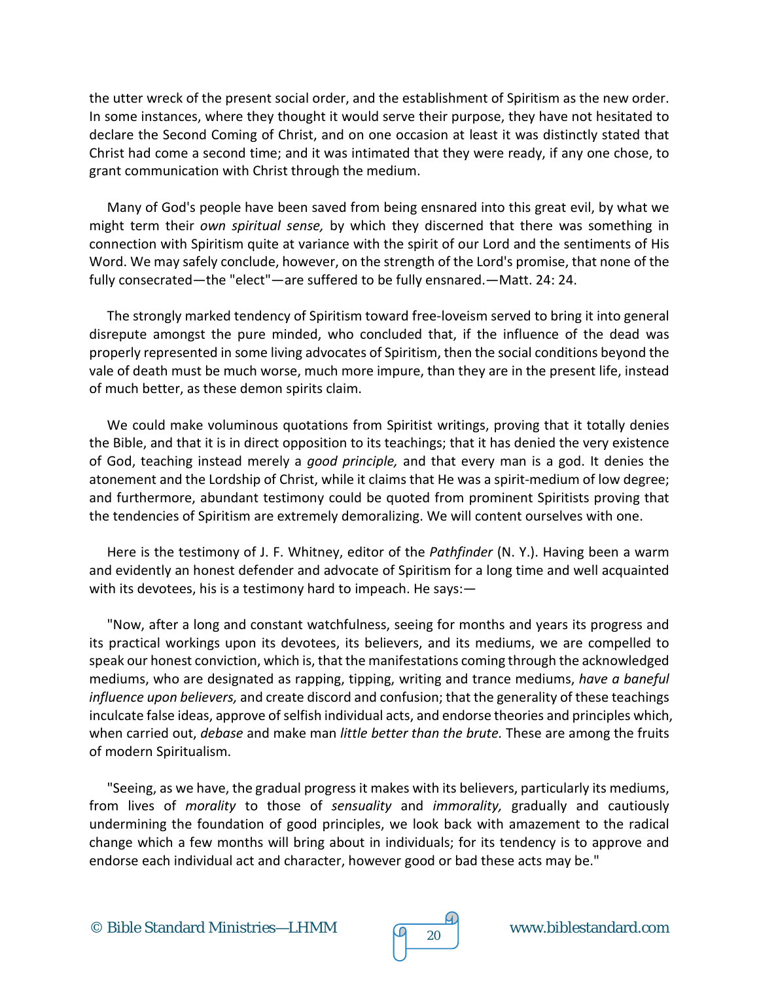the utter wreck of the present social order, and the establishment of Spiritism as the new order. In some instances, where they thought it would serve their purpose, they have not hesitated to declare the Second Coming of Christ, and on one occasion at least it was distinctly stated that Christ had come a second time; and it was intimated that they were ready, if any one chose, to grant communication with Christ through the medium.

Many of God's people have been saved from being ensnared into this great evil, by what we might term their *own spiritual sense,* by which they discerned that there was something in connection with Spiritism quite at variance with the spirit of our Lord and the sentiments of His Word. We may safely conclude, however, on the strength of the Lord's promise, that none of the fully consecrated—the "elect"—are suffered to be fully ensnared.—Matt. 24: 24.

The strongly marked tendency of Spiritism toward free-loveism served to bring it into general disrepute amongst the pure minded, who concluded that, if the influence of the dead was properly represented in some living advocates of Spiritism, then the social conditions beyond the vale of death must be much worse, much more impure, than they are in the present life, instead of much better, as these demon spirits claim.

We could make voluminous quotations from Spiritist writings, proving that it totally denies the Bible, and that it is in direct opposition to its teachings; that it has denied the very existence of God, teaching instead merely a *good principle,* and that every man is a god. It denies the atonement and the Lordship of Christ, while it claims that He was a spirit-medium of low degree; and furthermore, abundant testimony could be quoted from prominent Spiritists proving that the tendencies of Spiritism are extremely demoralizing. We will content ourselves with one.

Here is the testimony of J. F. Whitney, editor of the *Pathfinder* (N. Y.). Having been a warm and evidently an honest defender and advocate of Spiritism for a long time and well acquainted with its devotees, his is a testimony hard to impeach. He says:—

"Now, after a long and constant watchfulness, seeing for months and years its progress and its practical workings upon its devotees, its believers, and its mediums, we are compelled to speak our honest conviction, which is, that the manifestations coming through the acknowledged mediums, who are designated as rapping, tipping, writing and trance mediums, *have a baneful influence upon believers,* and create discord and confusion; that the generality of these teachings inculcate false ideas, approve of selfish individual acts, and endorse theories and principles which, when carried out, *debase* and make man *little better than the brute.* These are among the fruits of modern Spiritualism.

"Seeing, as we have, the gradual progress it makes with its believers, particularly its mediums, from lives of *morality* to those of *sensuality* and *immorality,* gradually and cautiously undermining the foundation of good principles, we look back with amazement to the radical change which a few months will bring about in individuals; for its tendency is to approve and endorse each individual act and character, however good or bad these acts may be."

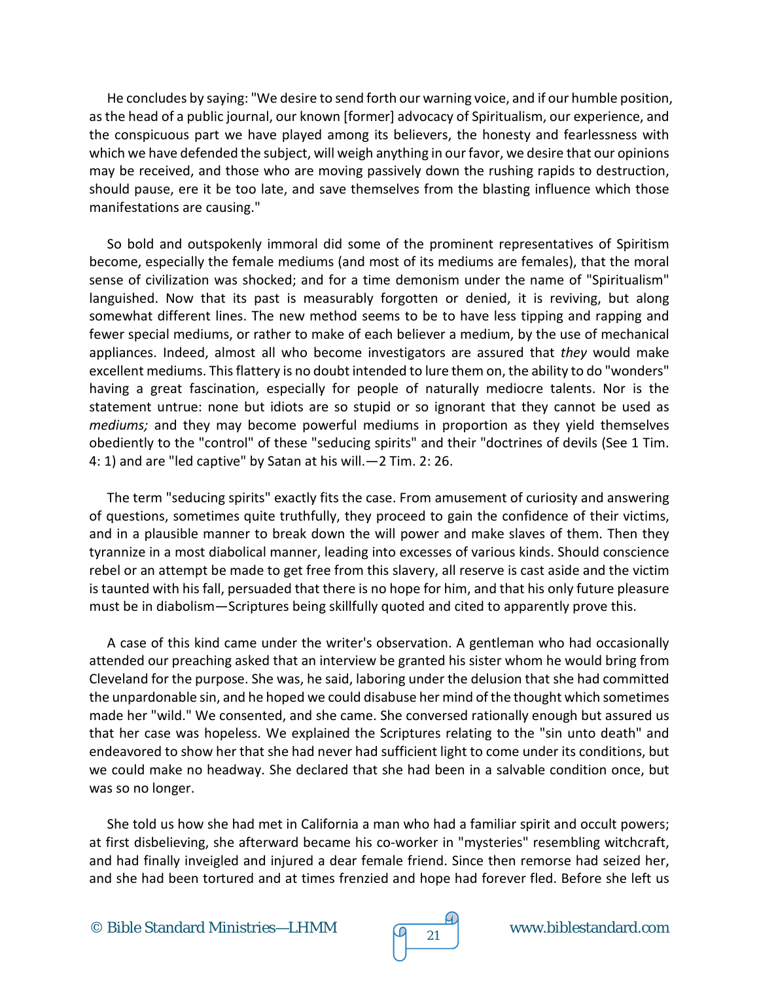He concludes by saying: "We desire to send forth our warning voice, and if our humble position, as the head of a public journal, our known [former] advocacy of Spiritualism, our experience, and the conspicuous part we have played among its believers, the honesty and fearlessness with which we have defended the subject, will weigh anything in our favor, we desire that our opinions may be received, and those who are moving passively down the rushing rapids to destruction, should pause, ere it be too late, and save themselves from the blasting influence which those manifestations are causing."

So bold and outspokenly immoral did some of the prominent representatives of Spiritism become, especially the female mediums (and most of its mediums are females), that the moral sense of civilization was shocked; and for a time demonism under the name of "Spiritualism" languished. Now that its past is measurably forgotten or denied, it is reviving, but along somewhat different lines. The new method seems to be to have less tipping and rapping and fewer special mediums, or rather to make of each believer a medium, by the use of mechanical appliances. Indeed, almost all who become investigators are assured that *they* would make excellent mediums. This flattery is no doubt intended to lure them on, the ability to do "wonders" having a great fascination, especially for people of naturally mediocre talents. Nor is the statement untrue: none but idiots are so stupid or so ignorant that they cannot be used as *mediums;* and they may become powerful mediums in proportion as they yield themselves obediently to the "control" of these "seducing spirits" and their "doctrines of devils (See 1 Tim. 4: 1) and are "led captive" by Satan at his will.—2 Tim. 2: 26.

The term "seducing spirits" exactly fits the case. From amusement of curiosity and answering of questions, sometimes quite truthfully, they proceed to gain the confidence of their victims, and in a plausible manner to break down the will power and make slaves of them. Then they tyrannize in a most diabolical manner, leading into excesses of various kinds. Should conscience rebel or an attempt be made to get free from this slavery, all reserve is cast aside and the victim is taunted with his fall, persuaded that there is no hope for him, and that his only future pleasure must be in diabolism—Scriptures being skillfully quoted and cited to apparently prove this.

A case of this kind came under the writer's observation. A gentleman who had occasionally attended our preaching asked that an interview be granted his sister whom he would bring from Cleveland for the purpose. She was, he said, laboring under the delusion that she had committed the unpardonable sin, and he hoped we could disabuse her mind of the thought which sometimes made her "wild." We consented, and she came. She conversed rationally enough but assured us that her case was hopeless. We explained the Scriptures relating to the "sin unto death" and endeavored to show her that she had never had sufficient light to come under its conditions, but we could make no headway. She declared that she had been in a salvable condition once, but was so no longer.

She told us how she had met in California a man who had a familiar spirit and occult powers; at first disbelieving, she afterward became his co-worker in "mysteries" resembling witchcraft, and had finally inveigled and injured a dear female friend. Since then remorse had seized her, and she had been tortured and at times frenzied and hope had forever fled. Before she left us

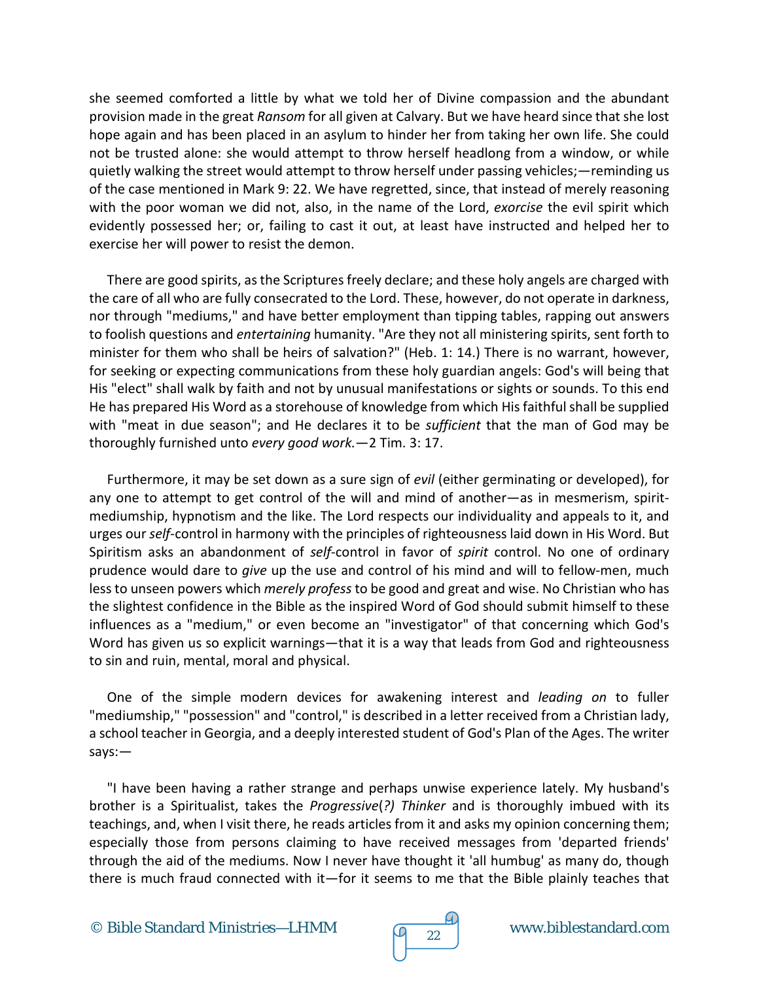she seemed comforted a little by what we told her of Divine compassion and the abundant provision made in the great *Ransom* for all given at Calvary. But we have heard since that she lost hope again and has been placed in an asylum to hinder her from taking her own life. She could not be trusted alone: she would attempt to throw herself headlong from a window, or while quietly walking the street would attempt to throw herself under passing vehicles;—reminding us of the case mentioned in Mark 9: 22. We have regretted, since, that instead of merely reasoning with the poor woman we did not, also, in the name of the Lord, *exorcise* the evil spirit which evidently possessed her; or, failing to cast it out, at least have instructed and helped her to exercise her will power to resist the demon.

There are good spirits, as the Scriptures freely declare; and these holy angels are charged with the care of all who are fully consecrated to the Lord. These, however, do not operate in darkness, nor through "mediums," and have better employment than tipping tables, rapping out answers to foolish questions and *entertaining* humanity. "Are they not all ministering spirits, sent forth to minister for them who shall be heirs of salvation?" (Heb. 1: 14.) There is no warrant, however, for seeking or expecting communications from these holy guardian angels: God's will being that His "elect" shall walk by faith and not by unusual manifestations or sights or sounds. To this end He has prepared His Word as a storehouse of knowledge from which His faithful shall be supplied with "meat in due season"; and He declares it to be *sufficient* that the man of God may be thoroughly furnished unto *every good work.*—2 Tim. 3: 17.

Furthermore, it may be set down as a sure sign of *evil* (either germinating or developed), for any one to attempt to get control of the will and mind of another—as in mesmerism, spiritmediumship, hypnotism and the like. The Lord respects our individuality and appeals to it, and urges our *self*-control in harmony with the principles of righteousness laid down in His Word. But Spiritism asks an abandonment of *self*-control in favor of *spirit* control. No one of ordinary prudence would dare to *give* up the use and control of his mind and will to fellow-men, much less to unseen powers which *merely profess* to be good and great and wise. No Christian who has the slightest confidence in the Bible as the inspired Word of God should submit himself to these influences as a "medium," or even become an "investigator" of that concerning which God's Word has given us so explicit warnings—that it is a way that leads from God and righteousness to sin and ruin, mental, moral and physical.

One of the simple modern devices for awakening interest and *leading on* to fuller "mediumship," "possession" and "control," is described in a letter received from a Christian lady, a school teacher in Georgia, and a deeply interested student of God's Plan of the Ages. The writer says:—

"I have been having a rather strange and perhaps unwise experience lately. My husband's brother is a Spiritualist, takes the *Progressive*(*?) Thinker* and is thoroughly imbued with its teachings, and, when I visit there, he reads articles from it and asks my opinion concerning them; especially those from persons claiming to have received messages from 'departed friends' through the aid of the mediums. Now I never have thought it 'all humbug' as many do, though there is much fraud connected with it—for it seems to me that the Bible plainly teaches that

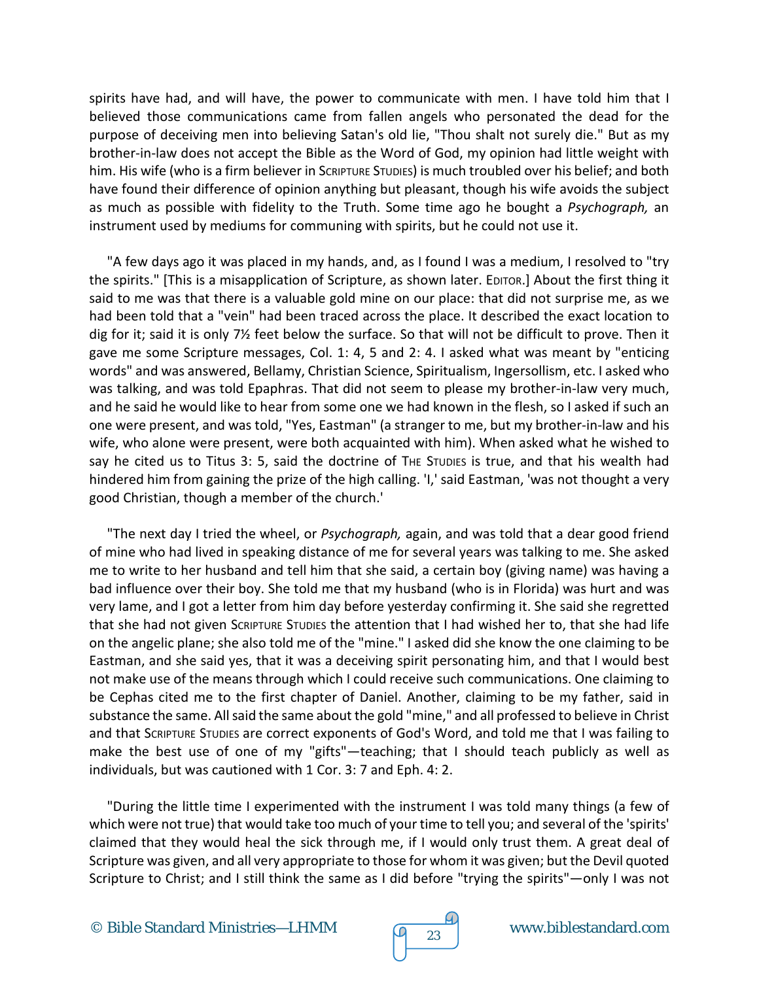spirits have had, and will have, the power to communicate with men. I have told him that I believed those communications came from fallen angels who personated the dead for the purpose of deceiving men into believing Satan's old lie, "Thou shalt not surely die." But as my brother-in-law does not accept the Bible as the Word of God, my opinion had little weight with him. His wife (who is a firm believer in SCRIPTURE STUDIES) is much troubled over his belief; and both have found their difference of opinion anything but pleasant, though his wife avoids the subject as much as possible with fidelity to the Truth. Some time ago he bought a *Psychograph,* an instrument used by mediums for communing with spirits, but he could not use it.

"A few days ago it was placed in my hands, and, as I found I was a medium, I resolved to "try the spirits." [This is a misapplication of Scripture, as shown later. EDITOR.] About the first thing it said to me was that there is a valuable gold mine on our place: that did not surprise me, as we had been told that a "vein" had been traced across the place. It described the exact location to dig for it; said it is only 7½ feet below the surface. So that will not be difficult to prove. Then it gave me some Scripture messages, Col. 1: 4, 5 and 2: 4. I asked what was meant by "enticing words" and was answered, Bellamy, Christian Science, Spiritualism, Ingersollism, etc. I asked who was talking, and was told Epaphras. That did not seem to please my brother-in-law very much, and he said he would like to hear from some one we had known in the flesh, so I asked if such an one were present, and was told, "Yes, Eastman" (a stranger to me, but my brother-in-law and his wife, who alone were present, were both acquainted with him). When asked what he wished to say he cited us to Titus 3: 5, said the doctrine of THE STUDIES is true, and that his wealth had hindered him from gaining the prize of the high calling. 'I,' said Eastman, 'was not thought a very good Christian, though a member of the church.'

"The next day I tried the wheel, or *Psychograph,* again, and was told that a dear good friend of mine who had lived in speaking distance of me for several years was talking to me. She asked me to write to her husband and tell him that she said, a certain boy (giving name) was having a bad influence over their boy. She told me that my husband (who is in Florida) was hurt and was very lame, and I got a letter from him day before yesterday confirming it. She said she regretted that she had not given SCRIPTURE STUDIES the attention that I had wished her to, that she had life on the angelic plane; she also told me of the "mine." I asked did she know the one claiming to be Eastman, and she said yes, that it was a deceiving spirit personating him, and that I would best not make use of the means through which I could receive such communications. One claiming to be Cephas cited me to the first chapter of Daniel. Another, claiming to be my father, said in substance the same. All said the same about the gold "mine," and all professed to believe in Christ and that SCRIPTURE STUDIES are correct exponents of God's Word, and told me that I was failing to make the best use of one of my "gifts"—teaching; that I should teach publicly as well as individuals, but was cautioned with 1 Cor. 3: 7 and Eph. 4: 2.

"During the little time I experimented with the instrument I was told many things (a few of which were not true) that would take too much of your time to tell you; and several of the 'spirits' claimed that they would heal the sick through me, if I would only trust them. A great deal of Scripture was given, and all very appropriate to those for whom it was given; but the Devil quoted Scripture to Christ; and I still think the same as I did before "trying the spirits"—only I was not

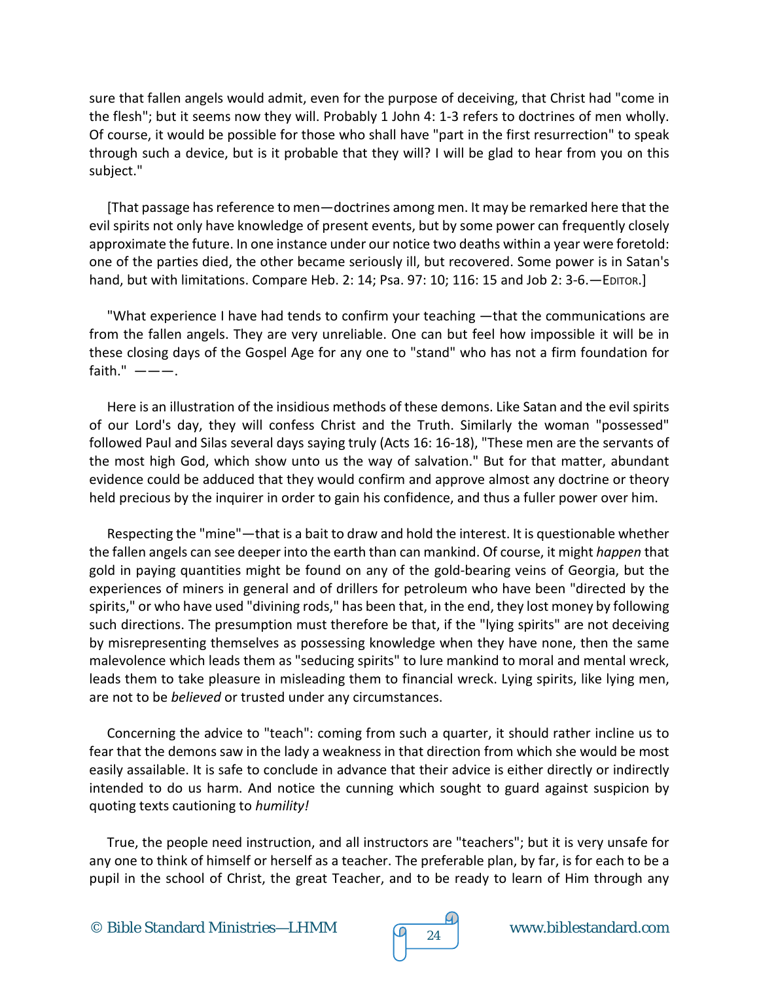sure that fallen angels would admit, even for the purpose of deceiving, that Christ had "come in the flesh"; but it seems now they will. Probably 1 John 4: 1-3 refers to doctrines of men wholly. Of course, it would be possible for those who shall have "part in the first resurrection" to speak through such a device, but is it probable that they will? I will be glad to hear from you on this subject."

[That passage has reference to men—doctrines among men. It may be remarked here that the evil spirits not only have knowledge of present events, but by some power can frequently closely approximate the future. In one instance under our notice two deaths within a year were foretold: one of the parties died, the other became seriously ill, but recovered. Some power is in Satan's hand, but with limitations. Compare Heb. 2: 14; Psa. 97: 10; 116: 15 and Job 2: 3-6. - EDITOR.]

"What experience I have had tends to confirm your teaching —that the communications are from the fallen angels. They are very unreliable. One can but feel how impossible it will be in these closing days of the Gospel Age for any one to "stand" who has not a firm foundation for faith."  $---$ .

Here is an illustration of the insidious methods of these demons. Like Satan and the evil spirits of our Lord's day, they will confess Christ and the Truth. Similarly the woman "possessed" followed Paul and Silas several days saying truly (Acts 16: 16-18), "These men are the servants of the most high God, which show unto us the way of salvation." But for that matter, abundant evidence could be adduced that they would confirm and approve almost any doctrine or theory held precious by the inquirer in order to gain his confidence, and thus a fuller power over him.

Respecting the "mine"—that is a bait to draw and hold the interest. It is questionable whether the fallen angels can see deeper into the earth than can mankind. Of course, it might *happen* that gold in paying quantities might be found on any of the gold-bearing veins of Georgia, but the experiences of miners in general and of drillers for petroleum who have been "directed by the spirits," or who have used "divining rods," has been that, in the end, they lost money by following such directions. The presumption must therefore be that, if the "lying spirits" are not deceiving by misrepresenting themselves as possessing knowledge when they have none, then the same malevolence which leads them as "seducing spirits" to lure mankind to moral and mental wreck, leads them to take pleasure in misleading them to financial wreck. Lying spirits, like lying men, are not to be *believed* or trusted under any circumstances.

Concerning the advice to "teach": coming from such a quarter, it should rather incline us to fear that the demons saw in the lady a weakness in that direction from which she would be most easily assailable. It is safe to conclude in advance that their advice is either directly or indirectly intended to do us harm. And notice the cunning which sought to guard against suspicion by quoting texts cautioning to *humility!*

True, the people need instruction, and all instructors are "teachers"; but it is very unsafe for any one to think of himself or herself as a teacher. The preferable plan, by far, is for each to be a pupil in the school of Christ, the great Teacher, and to be ready to learn of Him through any

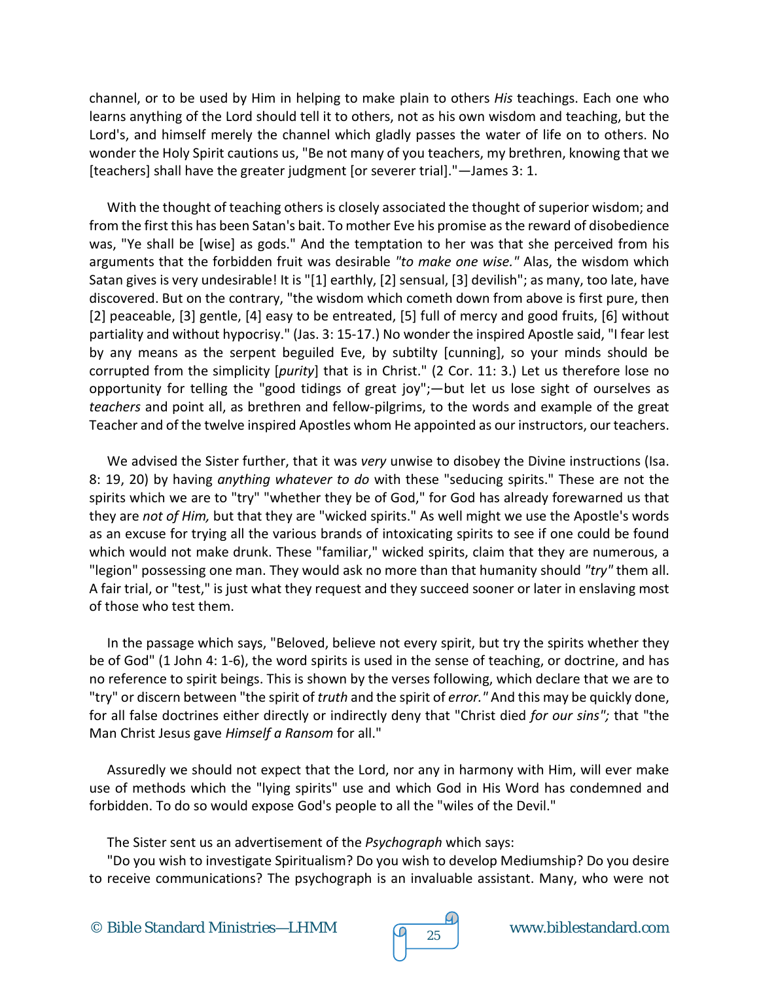channel, or to be used by Him in helping to make plain to others *His* teachings. Each one who learns anything of the Lord should tell it to others, not as his own wisdom and teaching, but the Lord's, and himself merely the channel which gladly passes the water of life on to others. No wonder the Holy Spirit cautions us, "Be not many of you teachers, my brethren, knowing that we [teachers] shall have the greater judgment [or severer trial]."—James 3: 1.

With the thought of teaching others is closely associated the thought of superior wisdom; and from the first this has been Satan's bait. To mother Eve his promise as the reward of disobedience was, "Ye shall be [wise] as gods." And the temptation to her was that she perceived from his arguments that the forbidden fruit was desirable *"to make one wise."* Alas, the wisdom which Satan gives is very undesirable! It is "[1] earthly, [2] sensual, [3] devilish"; as many, too late, have discovered. But on the contrary, "the wisdom which cometh down from above is first pure, then [2] peaceable, [3] gentle, [4] easy to be entreated, [5] full of mercy and good fruits, [6] without partiality and without hypocrisy." (Jas. 3: 15-17.) No wonder the inspired Apostle said, "I fear lest by any means as the serpent beguiled Eve, by subtilty [cunning], so your minds should be corrupted from the simplicity [*purity*] that is in Christ." (2 Cor. 11: 3.) Let us therefore lose no opportunity for telling the "good tidings of great joy";—but let us lose sight of ourselves as *teachers* and point all, as brethren and fellow-pilgrims, to the words and example of the great Teacher and of the twelve inspired Apostles whom He appointed as our instructors, our teachers.

We advised the Sister further, that it was *very* unwise to disobey the Divine instructions (Isa. 8: 19, 20) by having *anything whatever to do* with these "seducing spirits." These are not the spirits which we are to "try" "whether they be of God," for God has already forewarned us that they are *not of Him,* but that they are "wicked spirits." As well might we use the Apostle's words as an excuse for trying all the various brands of intoxicating spirits to see if one could be found which would not make drunk. These "familiar," wicked spirits, claim that they are numerous, a "legion" possessing one man. They would ask no more than that humanity should *"try"* them all. A fair trial, or "test," is just what they request and they succeed sooner or later in enslaving most of those who test them.

In the passage which says, "Beloved, believe not every spirit, but try the spirits whether they be of God" (1 John 4: 1-6), the word spirits is used in the sense of teaching, or doctrine, and has no reference to spirit beings. This is shown by the verses following, which declare that we are to "try" or discern between "the spirit of *truth* and the spirit of *error."* And this may be quickly done, for all false doctrines either directly or indirectly deny that "Christ died *for our sins";* that "the Man Christ Jesus gave *Himself a Ransom* for all."

Assuredly we should not expect that the Lord, nor any in harmony with Him, will ever make use of methods which the "lying spirits" use and which God in His Word has condemned and forbidden. To do so would expose God's people to all the "wiles of the Devil."

The Sister sent us an advertisement of the *Psychograph* which says:

"Do you wish to investigate Spiritualism? Do you wish to develop Mediumship? Do you desire to receive communications? The psychograph is an invaluable assistant. Many, who were not

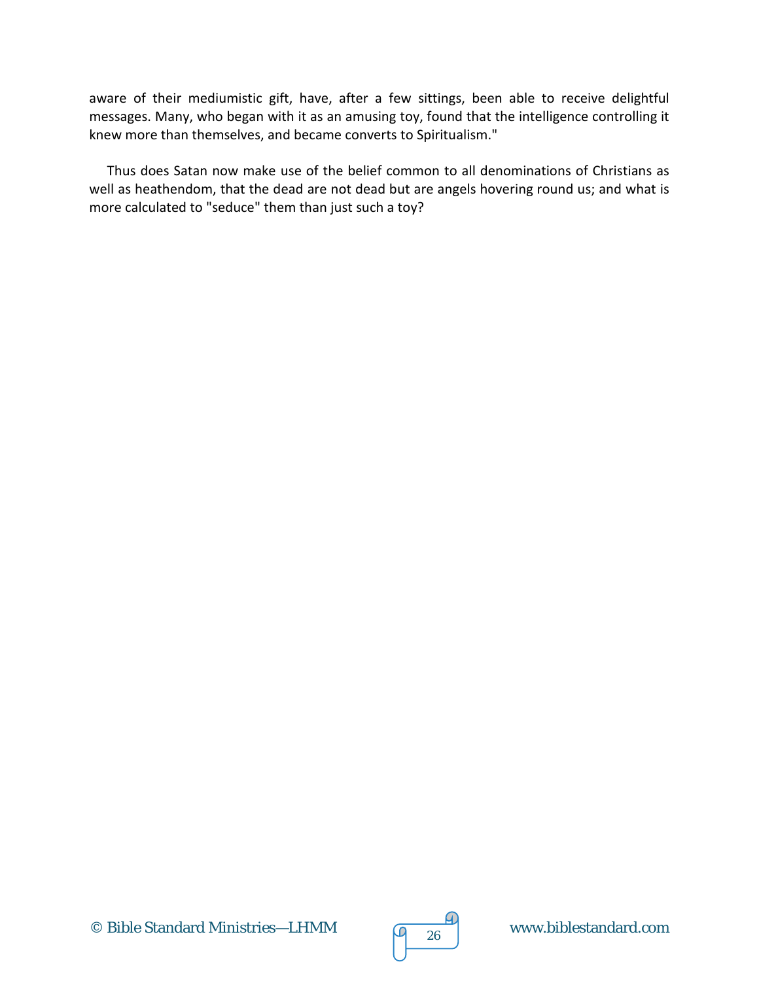aware of their mediumistic gift, have, after a few sittings, been able to receive delightful messages. Many, who began with it as an amusing toy, found that the intelligence controlling it knew more than themselves, and became converts to Spiritualism."

Thus does Satan now make use of the belief common to all denominations of Christians as well as heathendom, that the dead are not dead but are angels hovering round us; and what is more calculated to "seduce" them than just such a toy?

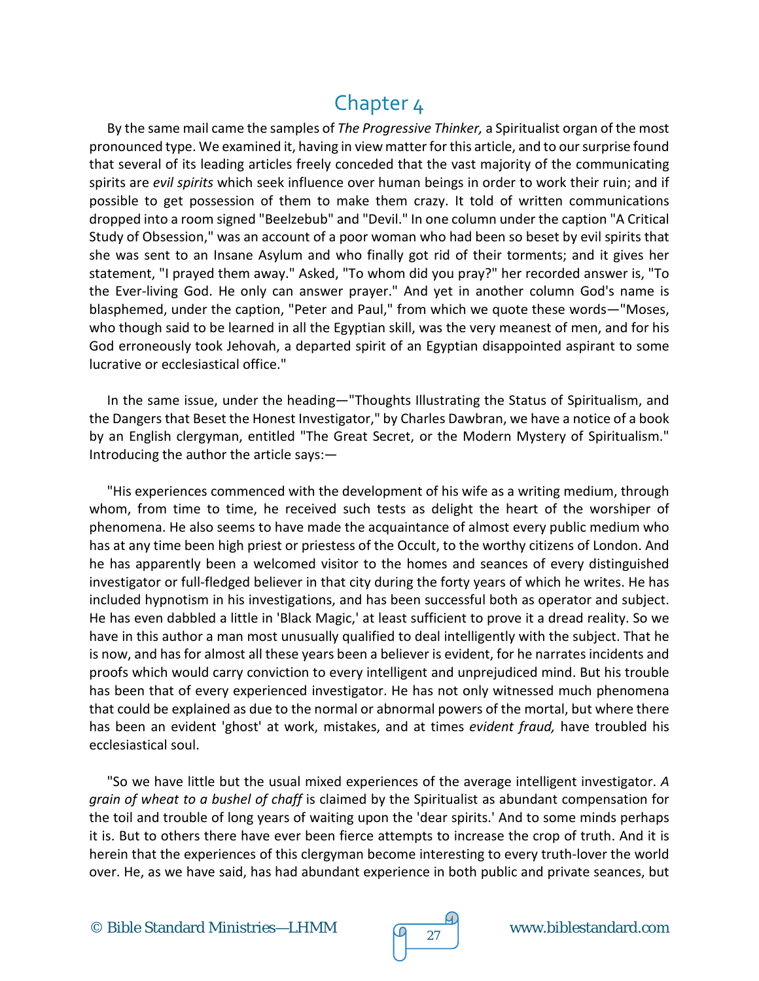### Chapter 4

By the same mail came the samples of *The Progressive Thinker,* a Spiritualist organ of the most pronounced type. We examined it, having in view matter for this article, and to our surprise found that several of its leading articles freely conceded that the vast majority of the communicating spirits are *evil spirits* which seek influence over human beings in order to work their ruin; and if possible to get possession of them to make them crazy. It told of written communications dropped into a room signed "Beelzebub" and "Devil." In one column under the caption "A Critical Study of Obsession," was an account of a poor woman who had been so beset by evil spirits that she was sent to an Insane Asylum and who finally got rid of their torments; and it gives her statement, "I prayed them away." Asked, "To whom did you pray?" her recorded answer is, "To the Ever-living God. He only can answer prayer." And yet in another column God's name is blasphemed, under the caption, "Peter and Paul," from which we quote these words—"Moses, who though said to be learned in all the Egyptian skill, was the very meanest of men, and for his God erroneously took Jehovah, a departed spirit of an Egyptian disappointed aspirant to some lucrative or ecclesiastical office."

In the same issue, under the heading—"Thoughts Illustrating the Status of Spiritualism, and the Dangers that Beset the Honest Investigator," by Charles Dawbran, we have a notice of a book by an English clergyman, entitled "The Great Secret, or the Modern Mystery of Spiritualism." Introducing the author the article says:—

"His experiences commenced with the development of his wife as a writing medium, through whom, from time to time, he received such tests as delight the heart of the worshiper of phenomena. He also seems to have made the acquaintance of almost every public medium who has at any time been high priest or priestess of the Occult, to the worthy citizens of London. And he has apparently been a welcomed visitor to the homes and seances of every distinguished investigator or full-fledged believer in that city during the forty years of which he writes. He has included hypnotism in his investigations, and has been successful both as operator and subject. He has even dabbled a little in 'Black Magic,' at least sufficient to prove it a dread reality. So we have in this author a man most unusually qualified to deal intelligently with the subject. That he is now, and has for almost all these years been a believer is evident, for he narrates incidents and proofs which would carry conviction to every intelligent and unprejudiced mind. But his trouble has been that of every experienced investigator. He has not only witnessed much phenomena that could be explained as due to the normal or abnormal powers of the mortal, but where there has been an evident 'ghost' at work, mistakes, and at times *evident fraud,* have troubled his ecclesiastical soul.

"So we have little but the usual mixed experiences of the average intelligent investigator. *A grain of wheat to a bushel of chaff* is claimed by the Spiritualist as abundant compensation for the toil and trouble of long years of waiting upon the 'dear spirits.' And to some minds perhaps it is. But to others there have ever been fierce attempts to increase the crop of truth. And it is herein that the experiences of this clergyman become interesting to every truth-lover the world over. He, as we have said, has had abundant experience in both public and private seances, but

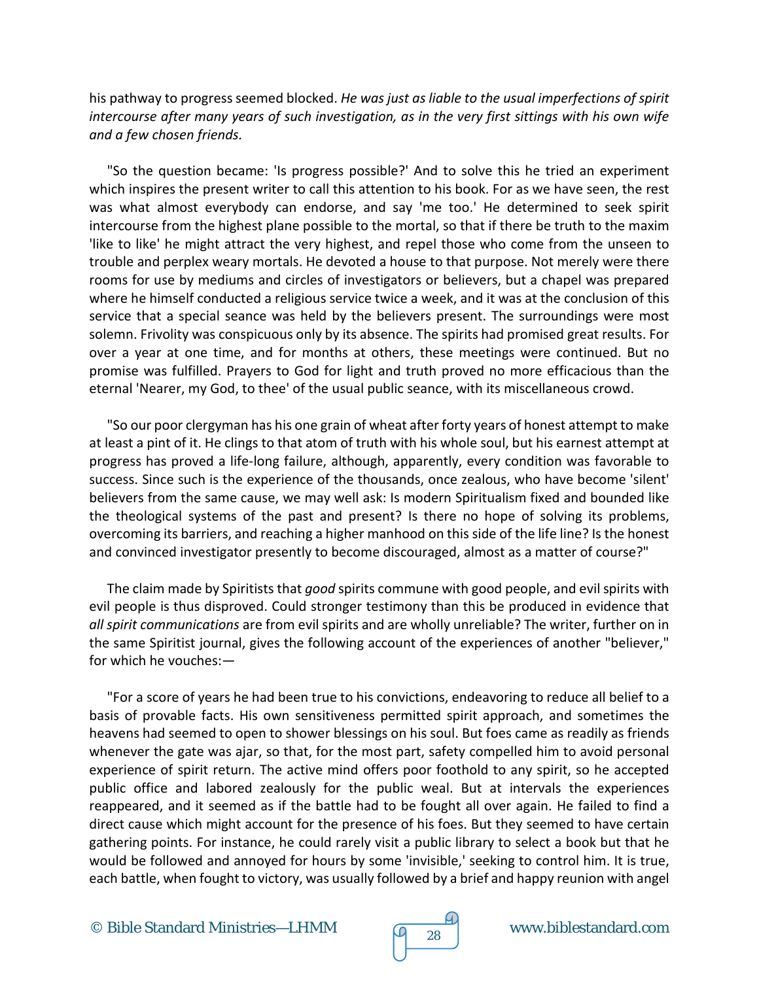his pathway to progress seemed blocked. *He was just as liable to the usual imperfections of spirit intercourse after many years of such investigation, as in the very first sittings with his own wife and a few chosen friends.*

"So the question became: 'Is progress possible?' And to solve this he tried an experiment which inspires the present writer to call this attention to his book. For as we have seen, the rest was what almost everybody can endorse, and say 'me too.' He determined to seek spirit intercourse from the highest plane possible to the mortal, so that if there be truth to the maxim 'like to like' he might attract the very highest, and repel those who come from the unseen to trouble and perplex weary mortals. He devoted a house to that purpose. Not merely were there rooms for use by mediums and circles of investigators or believers, but a chapel was prepared where he himself conducted a religious service twice a week, and it was at the conclusion of this service that a special seance was held by the believers present. The surroundings were most solemn. Frivolity was conspicuous only by its absence. The spirits had promised great results. For over a year at one time, and for months at others, these meetings were continued. But no promise was fulfilled. Prayers to God for light and truth proved no more efficacious than the eternal 'Nearer, my God, to thee' of the usual public seance, with its miscellaneous crowd.

"So our poor clergyman has his one grain of wheat after forty years of honest attempt to make at least a pint of it. He clings to that atom of truth with his whole soul, but his earnest attempt at progress has proved a life-long failure, although, apparently, every condition was favorable to success. Since such is the experience of the thousands, once zealous, who have become 'silent' believers from the same cause, we may well ask: Is modern Spiritualism fixed and bounded like the theological systems of the past and present? Is there no hope of solving its problems, overcoming its barriers, and reaching a higher manhood on this side of the life line? Is the honest and convinced investigator presently to become discouraged, almost as a matter of course?"

The claim made by Spiritists that *good* spirits commune with good people, and evil spirits with evil people is thus disproved. Could stronger testimony than this be produced in evidence that *all spirit communications* are from evil spirits and are wholly unreliable? The writer, further on in the same Spiritist journal, gives the following account of the experiences of another "believer," for which he vouches:—

"For a score of years he had been true to his convictions, endeavoring to reduce all belief to a basis of provable facts. His own sensitiveness permitted spirit approach, and sometimes the heavens had seemed to open to shower blessings on his soul. But foes came as readily as friends whenever the gate was ajar, so that, for the most part, safety compelled him to avoid personal experience of spirit return. The active mind offers poor foothold to any spirit, so he accepted public office and labored zealously for the public weal. But at intervals the experiences reappeared, and it seemed as if the battle had to be fought all over again. He failed to find a direct cause which might account for the presence of his foes. But they seemed to have certain gathering points. For instance, he could rarely visit a public library to select a book but that he would be followed and annoyed for hours by some 'invisible,' seeking to control him. It is true, each battle, when fought to victory, was usually followed by a brief and happy reunion with angel

© Bible Standard Ministries—LHMM  $\sqrt{9}$  28 www.biblestandard.com

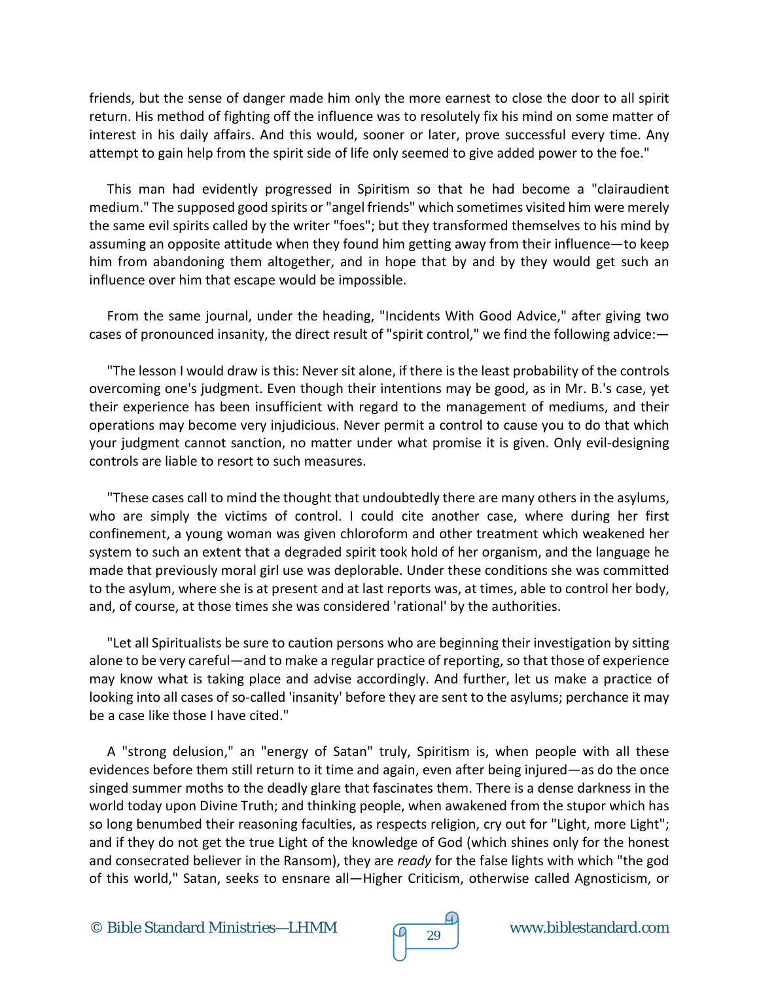friends, but the sense of danger made him only the more earnest to close the door to all spirit return. His method of fighting off the influence was to resolutely fix his mind on some matter of interest in his daily affairs. And this would, sooner or later, prove successful every time. Any attempt to gain help from the spirit side of life only seemed to give added power to the foe."

This man had evidently progressed in Spiritism so that he had become a "clairaudient medium." The supposed good spirits or "angel friends" which sometimes visited him were merely the same evil spirits called by the writer "foes"; but they transformed themselves to his mind by assuming an opposite attitude when they found him getting away from their influence—to keep him from abandoning them altogether, and in hope that by and by they would get such an influence over him that escape would be impossible.

From the same journal, under the heading, "Incidents With Good Advice," after giving two cases of pronounced insanity, the direct result of "spirit control," we find the following advice:—

"The lesson I would draw is this: Never sit alone, if there is the least probability of the controls overcoming one's judgment. Even though their intentions may be good, as in Mr. B.'s case, yet their experience has been insufficient with regard to the management of mediums, and their operations may become very injudicious. Never permit a control to cause you to do that which your judgment cannot sanction, no matter under what promise it is given. Only evil-designing controls are liable to resort to such measures.

"These cases call to mind the thought that undoubtedly there are many others in the asylums, who are simply the victims of control. I could cite another case, where during her first confinement, a young woman was given chloroform and other treatment which weakened her system to such an extent that a degraded spirit took hold of her organism, and the language he made that previously moral girl use was deplorable. Under these conditions she was committed to the asylum, where she is at present and at last reports was, at times, able to control her body, and, of course, at those times she was considered 'rational' by the authorities.

"Let all Spiritualists be sure to caution persons who are beginning their investigation by sitting alone to be very careful—and to make a regular practice of reporting, so that those of experience may know what is taking place and advise accordingly. And further, let us make a practice of looking into all cases of so-called 'insanity' before they are sent to the asylums; perchance it may be a case like those I have cited."

A "strong delusion," an "energy of Satan" truly, Spiritism is, when people with all these evidences before them still return to it time and again, even after being injured—as do the once singed summer moths to the deadly glare that fascinates them. There is a dense darkness in the world today upon Divine Truth; and thinking people, when awakened from the stupor which has so long benumbed their reasoning faculties, as respects religion, cry out for "Light, more Light"; and if they do not get the true Light of the knowledge of God (which shines only for the honest and consecrated believer in the Ransom), they are *ready* for the false lights with which "the god of this world," Satan, seeks to ensnare all—Higher Criticism, otherwise called Agnosticism, or

© Bible Standard Ministries—LHMM  $\sqrt{9}$  29 www.biblestandard.com

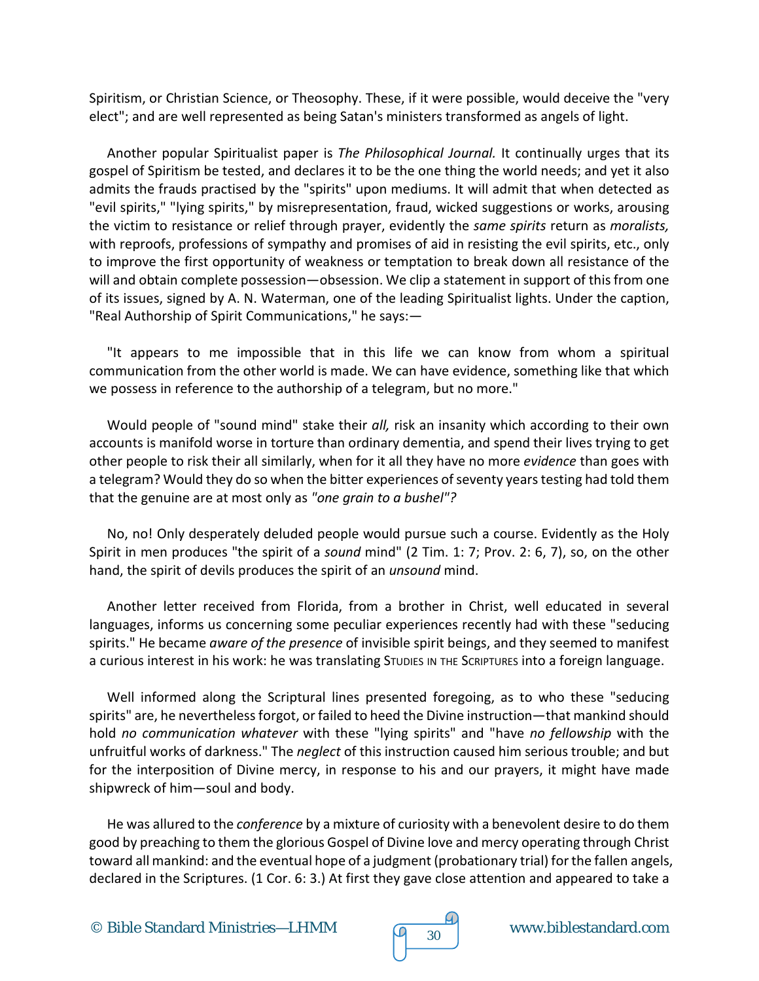Spiritism, or Christian Science, or Theosophy. These, if it were possible, would deceive the "very elect"; and are well represented as being Satan's ministers transformed as angels of light.

Another popular Spiritualist paper is *The Philosophical Journal.* It continually urges that its gospel of Spiritism be tested, and declares it to be the one thing the world needs; and yet it also admits the frauds practised by the "spirits" upon mediums. It will admit that when detected as "evil spirits," "lying spirits," by misrepresentation, fraud, wicked suggestions or works, arousing the victim to resistance or relief through prayer, evidently the *same spirits* return as *moralists,*  with reproofs, professions of sympathy and promises of aid in resisting the evil spirits, etc., only to improve the first opportunity of weakness or temptation to break down all resistance of the will and obtain complete possession—obsession. We clip a statement in support of this from one of its issues, signed by A. N. Waterman, one of the leading Spiritualist lights. Under the caption, "Real Authorship of Spirit Communications," he says:—

"It appears to me impossible that in this life we can know from whom a spiritual communication from the other world is made. We can have evidence, something like that which we possess in reference to the authorship of a telegram, but no more."

Would people of "sound mind" stake their *all,* risk an insanity which according to their own accounts is manifold worse in torture than ordinary dementia, and spend their lives trying to get other people to risk their all similarly, when for it all they have no more *evidence* than goes with a telegram? Would they do so when the bitter experiences of seventy years testing had told them that the genuine are at most only as *"one grain to a bushel"?*

No, no! Only desperately deluded people would pursue such a course. Evidently as the Holy Spirit in men produces "the spirit of a *sound* mind" (2 Tim. 1: 7; Prov. 2: 6, 7), so, on the other hand, the spirit of devils produces the spirit of an *unsound* mind.

Another letter received from Florida, from a brother in Christ, well educated in several languages, informs us concerning some peculiar experiences recently had with these "seducing spirits." He became *aware of the presence* of invisible spirit beings, and they seemed to manifest a curious interest in his work: he was translating STUDIES IN THE SCRIPTURES into a foreign language.

Well informed along the Scriptural lines presented foregoing, as to who these "seducing spirits" are, he nevertheless forgot, or failed to heed the Divine instruction—that mankind should hold *no communication whatever* with these "lying spirits" and "have *no fellowship* with the unfruitful works of darkness." The *neglect* of this instruction caused him serious trouble; and but for the interposition of Divine mercy, in response to his and our prayers, it might have made shipwreck of him—soul and body.

He was allured to the *conference* by a mixture of curiosity with a benevolent desire to do them good by preaching to them the glorious Gospel of Divine love and mercy operating through Christ toward all mankind: and the eventual hope of a judgment (probationary trial) for the fallen angels, declared in the Scriptures. (1 Cor. 6: 3.) At first they gave close attention and appeared to take a



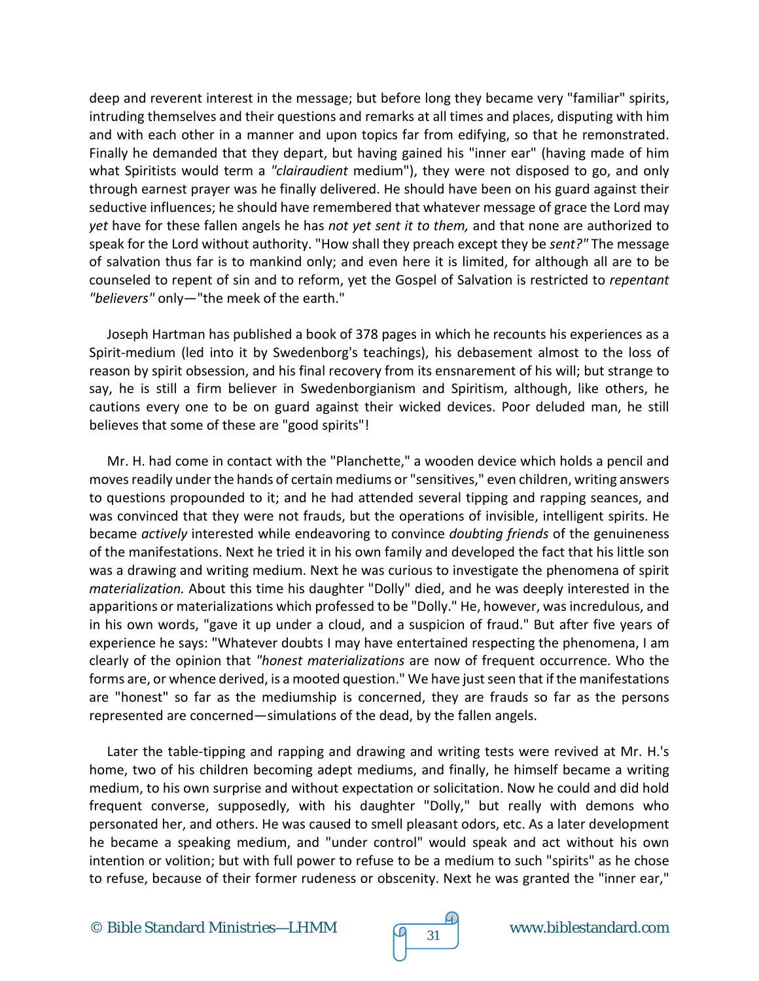deep and reverent interest in the message; but before long they became very "familiar" spirits, intruding themselves and their questions and remarks at all times and places, disputing with him and with each other in a manner and upon topics far from edifying, so that he remonstrated. Finally he demanded that they depart, but having gained his "inner ear" (having made of him what Spiritists would term a *"clairaudient* medium"), they were not disposed to go, and only through earnest prayer was he finally delivered. He should have been on his guard against their seductive influences; he should have remembered that whatever message of grace the Lord may *yet* have for these fallen angels he has *not yet sent it to them,* and that none are authorized to speak for the Lord without authority. "How shall they preach except they be *sent?"* The message of salvation thus far is to mankind only; and even here it is limited, for although all are to be counseled to repent of sin and to reform, yet the Gospel of Salvation is restricted to *repentant "believers"* only—"the meek of the earth."

Joseph Hartman has published a book of 378 pages in which he recounts his experiences as a Spirit-medium (led into it by Swedenborg's teachings), his debasement almost to the loss of reason by spirit obsession, and his final recovery from its ensnarement of his will; but strange to say, he is still a firm believer in Swedenborgianism and Spiritism, although, like others, he cautions every one to be on guard against their wicked devices. Poor deluded man, he still believes that some of these are "good spirits"!

Mr. H. had come in contact with the "Planchette," a wooden device which holds a pencil and moves readily under the hands of certain mediums or "sensitives," even children, writing answers to questions propounded to it; and he had attended several tipping and rapping seances, and was convinced that they were not frauds, but the operations of invisible, intelligent spirits. He became *actively* interested while endeavoring to convince *doubting friends* of the genuineness of the manifestations. Next he tried it in his own family and developed the fact that his little son was a drawing and writing medium. Next he was curious to investigate the phenomena of spirit *materialization.* About this time his daughter "Dolly" died, and he was deeply interested in the apparitions or materializations which professed to be "Dolly." He, however, was incredulous, and in his own words, "gave it up under a cloud, and a suspicion of fraud." But after five years of experience he says: "Whatever doubts I may have entertained respecting the phenomena, I am clearly of the opinion that *"honest materializations* are now of frequent occurrence. Who the forms are, or whence derived, is a mooted question." We have just seen that if the manifestations are "honest" so far as the mediumship is concerned, they are frauds so far as the persons represented are concerned—simulations of the dead, by the fallen angels.

Later the table-tipping and rapping and drawing and writing tests were revived at Mr. H.'s home, two of his children becoming adept mediums, and finally, he himself became a writing medium, to his own surprise and without expectation or solicitation. Now he could and did hold frequent converse, supposedly, with his daughter "Dolly," but really with demons who personated her, and others. He was caused to smell pleasant odors, etc. As a later development he became a speaking medium, and "under control" would speak and act without his own intention or volition; but with full power to refuse to be a medium to such "spirits" as he chose to refuse, because of their former rudeness or obscenity. Next he was granted the "inner ear,"



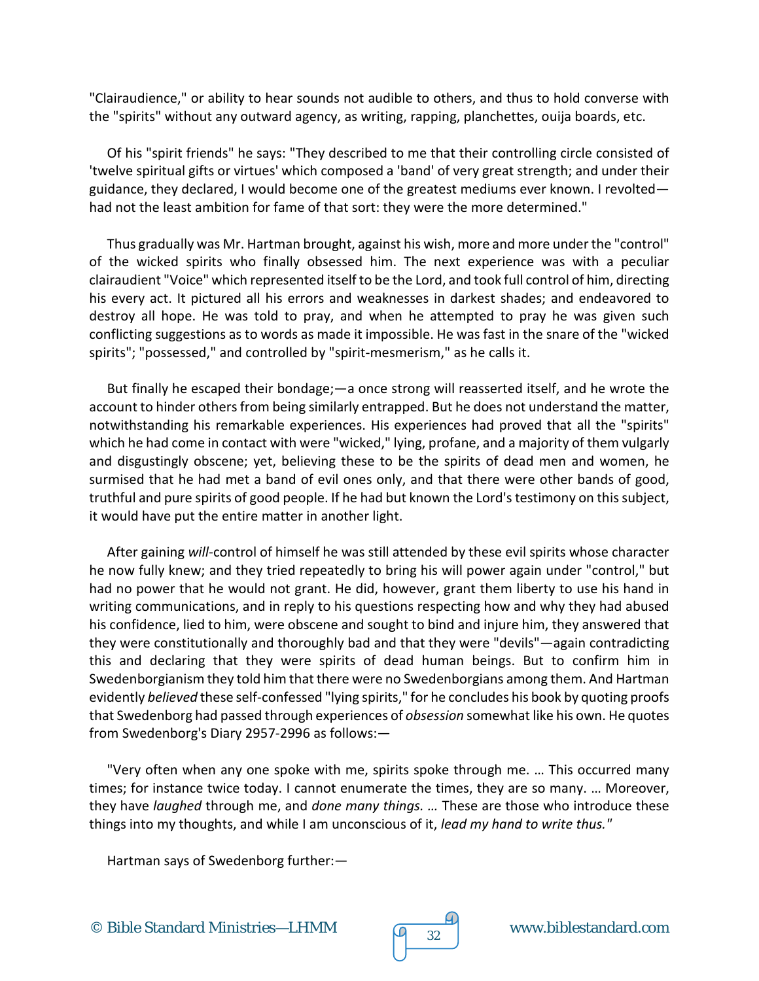"Clairaudience," or ability to hear sounds not audible to others, and thus to hold converse with the "spirits" without any outward agency, as writing, rapping, planchettes, ouija boards, etc.

Of his "spirit friends" he says: "They described to me that their controlling circle consisted of 'twelve spiritual gifts or virtues' which composed a 'band' of very great strength; and under their guidance, they declared, I would become one of the greatest mediums ever known. I revolted had not the least ambition for fame of that sort: they were the more determined."

Thus gradually was Mr. Hartman brought, against his wish, more and more under the "control" of the wicked spirits who finally obsessed him. The next experience was with a peculiar clairaudient "Voice" which represented itself to be the Lord, and took full control of him, directing his every act. It pictured all his errors and weaknesses in darkest shades; and endeavored to destroy all hope. He was told to pray, and when he attempted to pray he was given such conflicting suggestions as to words as made it impossible. He was fast in the snare of the "wicked spirits"; "possessed," and controlled by "spirit-mesmerism," as he calls it.

But finally he escaped their bondage;—a once strong will reasserted itself, and he wrote the account to hinder others from being similarly entrapped. But he does not understand the matter, notwithstanding his remarkable experiences. His experiences had proved that all the "spirits" which he had come in contact with were "wicked," lying, profane, and a majority of them vulgarly and disgustingly obscene; yet, believing these to be the spirits of dead men and women, he surmised that he had met a band of evil ones only, and that there were other bands of good, truthful and pure spirits of good people. If he had but known the Lord's testimony on this subject, it would have put the entire matter in another light.

After gaining *will*-control of himself he was still attended by these evil spirits whose character he now fully knew; and they tried repeatedly to bring his will power again under "control," but had no power that he would not grant. He did, however, grant them liberty to use his hand in writing communications, and in reply to his questions respecting how and why they had abused his confidence, lied to him, were obscene and sought to bind and injure him, they answered that they were constitutionally and thoroughly bad and that they were "devils"—again contradicting this and declaring that they were spirits of dead human beings. But to confirm him in Swedenborgianism they told him that there were no Swedenborgians among them. And Hartman evidently *believed* these self-confessed "lying spirits," for he concludes his book by quoting proofs that Swedenborg had passed through experiences of *obsession* somewhat like his own. He quotes from Swedenborg's Diary 2957-2996 as follows:—

"Very often when any one spoke with me, spirits spoke through me. … This occurred many times; for instance twice today. I cannot enumerate the times, they are so many. … Moreover, they have *laughed* through me, and *done many things. …* These are those who introduce these things into my thoughts, and while I am unconscious of it, *lead my hand to write thus."*

Hartman says of Swedenborg further:—

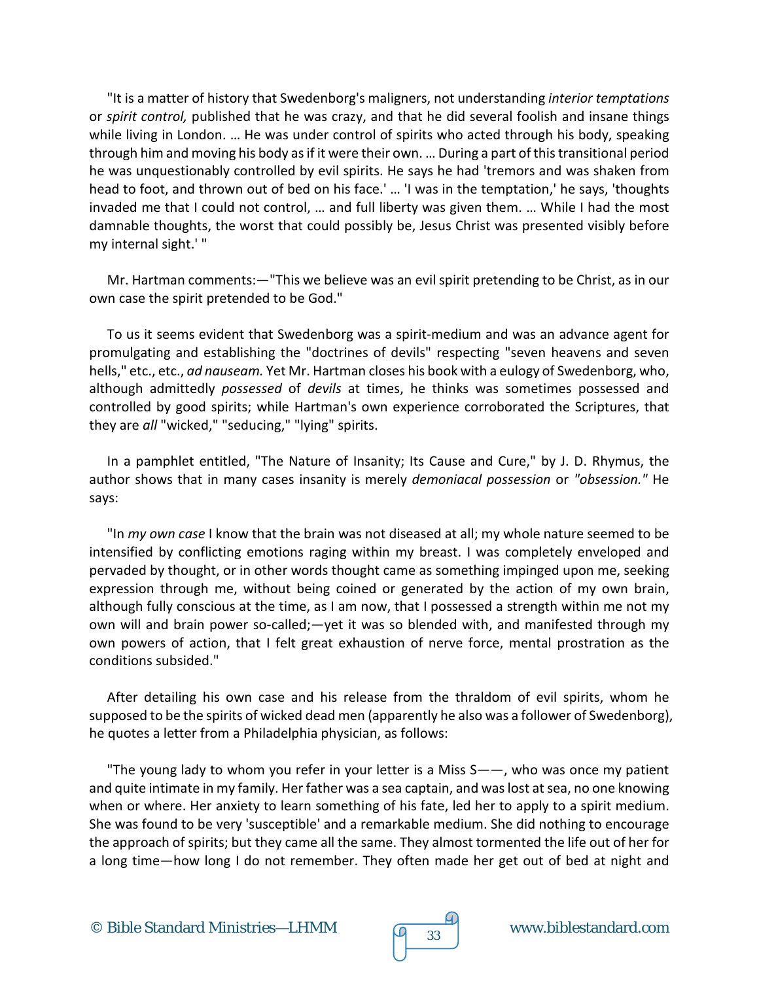"It is a matter of history that Swedenborg's maligners, not understanding *interior temptations*  or *spirit control,* published that he was crazy, and that he did several foolish and insane things while living in London. ... He was under control of spirits who acted through his body, speaking through him and moving his body as if it were their own. … During a part of this transitional period he was unquestionably controlled by evil spirits. He says he had 'tremors and was shaken from head to foot, and thrown out of bed on his face.' … 'I was in the temptation,' he says, 'thoughts invaded me that I could not control, … and full liberty was given them. … While I had the most damnable thoughts, the worst that could possibly be, Jesus Christ was presented visibly before my internal sight.' "

Mr. Hartman comments:—"This we believe was an evil spirit pretending to be Christ, as in our own case the spirit pretended to be God."

To us it seems evident that Swedenborg was a spirit-medium and was an advance agent for promulgating and establishing the "doctrines of devils" respecting "seven heavens and seven hells," etc., etc., *ad nauseam.* Yet Mr. Hartman closes his book with a eulogy of Swedenborg, who, although admittedly *possessed* of *devils* at times, he thinks was sometimes possessed and controlled by good spirits; while Hartman's own experience corroborated the Scriptures, that they are *all* "wicked," "seducing," "lying" spirits.

In a pamphlet entitled, "The Nature of Insanity; Its Cause and Cure," by J. D. Rhymus, the author shows that in many cases insanity is merely *demoniacal possession* or *"obsession."* He says:

"In *my own case* I know that the brain was not diseased at all; my whole nature seemed to be intensified by conflicting emotions raging within my breast. I was completely enveloped and pervaded by thought, or in other words thought came as something impinged upon me, seeking expression through me, without being coined or generated by the action of my own brain, although fully conscious at the time, as I am now, that I possessed a strength within me not my own will and brain power so-called;—yet it was so blended with, and manifested through my own powers of action, that I felt great exhaustion of nerve force, mental prostration as the conditions subsided."

After detailing his own case and his release from the thraldom of evil spirits, whom he supposed to be the spirits of wicked dead men (apparently he also was a follower of Swedenborg), he quotes a letter from a Philadelphia physician, as follows:

"The young lady to whom you refer in your letter is a Miss S——, who was once my patient and quite intimate in my family. Her father was a sea captain, and was lost at sea, no one knowing when or where. Her anxiety to learn something of his fate, led her to apply to a spirit medium. She was found to be very 'susceptible' and a remarkable medium. She did nothing to encourage the approach of spirits; but they came all the same. They almost tormented the life out of her for a long time—how long I do not remember. They often made her get out of bed at night and



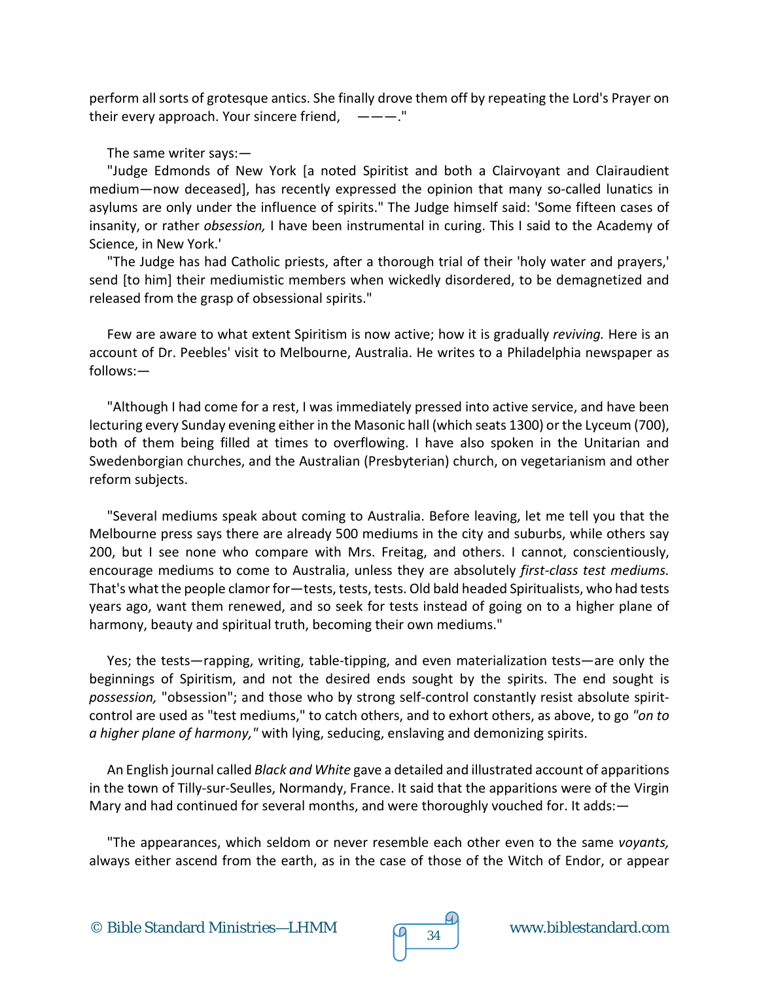perform all sorts of grotesque antics. She finally drove them off by repeating the Lord's Prayer on their every approach. Your sincere friend,  $---$ ."

The same writer says:—

"Judge Edmonds of New York [a noted Spiritist and both a Clairvoyant and Clairaudient medium—now deceased], has recently expressed the opinion that many so-called lunatics in asylums are only under the influence of spirits." The Judge himself said: 'Some fifteen cases of insanity, or rather *obsession,* I have been instrumental in curing. This I said to the Academy of Science, in New York.'

"The Judge has had Catholic priests, after a thorough trial of their 'holy water and prayers,' send [to him] their mediumistic members when wickedly disordered, to be demagnetized and released from the grasp of obsessional spirits."

Few are aware to what extent Spiritism is now active; how it is gradually *reviving.* Here is an account of Dr. Peebles' visit to Melbourne, Australia. He writes to a Philadelphia newspaper as follows:—

"Although I had come for a rest, I was immediately pressed into active service, and have been lecturing every Sunday evening either in the Masonic hall (which seats 1300) or the Lyceum (700), both of them being filled at times to overflowing. I have also spoken in the Unitarian and Swedenborgian churches, and the Australian (Presbyterian) church, on vegetarianism and other reform subjects.

"Several mediums speak about coming to Australia. Before leaving, let me tell you that the Melbourne press says there are already 500 mediums in the city and suburbs, while others say 200, but I see none who compare with Mrs. Freitag, and others. I cannot, conscientiously, encourage mediums to come to Australia, unless they are absolutely *first-class test mediums.*  That's what the people clamor for—tests, tests, tests. Old bald headed Spiritualists, who had tests years ago, want them renewed, and so seek for tests instead of going on to a higher plane of harmony, beauty and spiritual truth, becoming their own mediums."

Yes; the tests—rapping, writing, table-tipping, and even materialization tests—are only the beginnings of Spiritism, and not the desired ends sought by the spirits. The end sought is *possession,* "obsession"; and those who by strong self-control constantly resist absolute spiritcontrol are used as "test mediums," to catch others, and to exhort others, as above, to go *"on to a higher plane of harmony,"* with lying, seducing, enslaving and demonizing spirits.

An English journal called *Black and White* gave a detailed and illustrated account of apparitions in the town of Tilly-sur-Seulles, Normandy, France. It said that the apparitions were of the Virgin Mary and had continued for several months, and were thoroughly vouched for. It adds:—

"The appearances, which seldom or never resemble each other even to the same *voyants,*  always either ascend from the earth, as in the case of those of the Witch of Endor, or appear

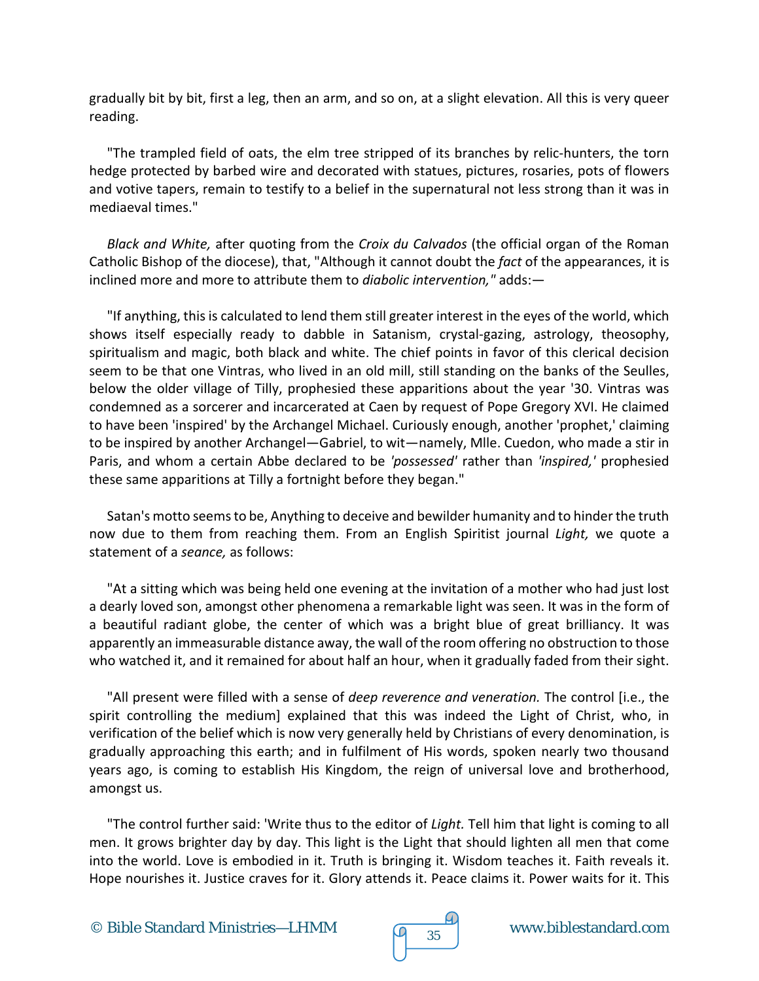gradually bit by bit, first a leg, then an arm, and so on, at a slight elevation. All this is very queer reading.

"The trampled field of oats, the elm tree stripped of its branches by relic-hunters, the torn hedge protected by barbed wire and decorated with statues, pictures, rosaries, pots of flowers and votive tapers, remain to testify to a belief in the supernatural not less strong than it was in mediaeval times."

*Black and White,* after quoting from the *Croix du Calvados* (the official organ of the Roman Catholic Bishop of the diocese), that, "Although it cannot doubt the *fact* of the appearances, it is inclined more and more to attribute them to *diabolic intervention,"* adds:—

"If anything, this is calculated to lend them still greater interest in the eyes of the world, which shows itself especially ready to dabble in Satanism, crystal-gazing, astrology, theosophy, spiritualism and magic, both black and white. The chief points in favor of this clerical decision seem to be that one Vintras, who lived in an old mill, still standing on the banks of the Seulles, below the older village of Tilly, prophesied these apparitions about the year '30. Vintras was condemned as a sorcerer and incarcerated at Caen by request of Pope Gregory XVI. He claimed to have been 'inspired' by the Archangel Michael. Curiously enough, another 'prophet,' claiming to be inspired by another Archangel—Gabriel, to wit—namely, Mlle. Cuedon, who made a stir in Paris, and whom a certain Abbe declared to be *'possessed'* rather than *'inspired,'* prophesied these same apparitions at Tilly a fortnight before they began."

Satan's motto seems to be, Anything to deceive and bewilder humanity and to hinder the truth now due to them from reaching them. From an English Spiritist journal *Light,* we quote a statement of a *seance,* as follows:

"At a sitting which was being held one evening at the invitation of a mother who had just lost a dearly loved son, amongst other phenomena a remarkable light was seen. It was in the form of a beautiful radiant globe, the center of which was a bright blue of great brilliancy. It was apparently an immeasurable distance away, the wall of the room offering no obstruction to those who watched it, and it remained for about half an hour, when it gradually faded from their sight.

"All present were filled with a sense of *deep reverence and veneration.* The control [i.e., the spirit controlling the medium] explained that this was indeed the Light of Christ, who, in verification of the belief which is now very generally held by Christians of every denomination, is gradually approaching this earth; and in fulfilment of His words, spoken nearly two thousand years ago, is coming to establish His Kingdom, the reign of universal love and brotherhood, amongst us.

"The control further said: 'Write thus to the editor of *Light.* Tell him that light is coming to all men. It grows brighter day by day. This light is the Light that should lighten all men that come into the world. Love is embodied in it. Truth is bringing it. Wisdom teaches it. Faith reveals it. Hope nourishes it. Justice craves for it. Glory attends it. Peace claims it. Power waits for it. This



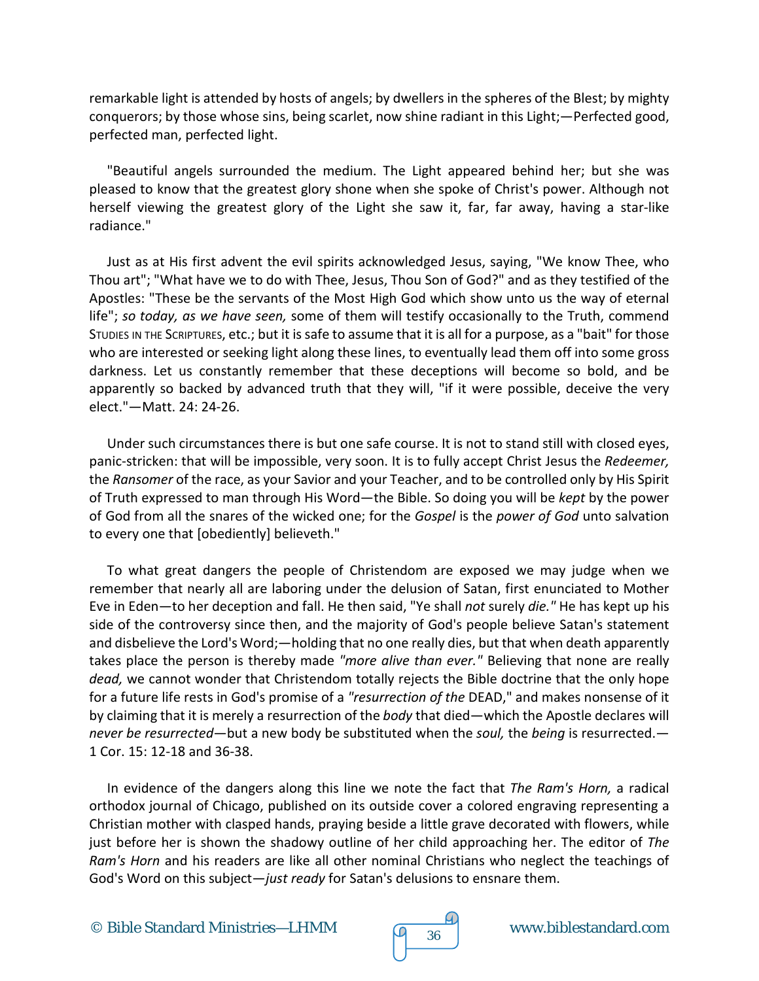remarkable light is attended by hosts of angels; by dwellers in the spheres of the Blest; by mighty conquerors; by those whose sins, being scarlet, now shine radiant in this Light;—Perfected good, perfected man, perfected light.

"Beautiful angels surrounded the medium. The Light appeared behind her; but she was pleased to know that the greatest glory shone when she spoke of Christ's power. Although not herself viewing the greatest glory of the Light she saw it, far, far away, having a star-like radiance."

Just as at His first advent the evil spirits acknowledged Jesus, saying, "We know Thee, who Thou art"; "What have we to do with Thee, Jesus, Thou Son of God?" and as they testified of the Apostles: "These be the servants of the Most High God which show unto us the way of eternal life"; *so today, as we have seen,* some of them will testify occasionally to the Truth, commend STUDIES IN THE SCRIPTURES, etc.; but it is safe to assume that it is all for a purpose, as a "bait" for those who are interested or seeking light along these lines, to eventually lead them off into some gross darkness. Let us constantly remember that these deceptions will become so bold, and be apparently so backed by advanced truth that they will, "if it were possible, deceive the very elect."—Matt. 24: 24-26.

Under such circumstances there is but one safe course. It is not to stand still with closed eyes, panic-stricken: that will be impossible, very soon. It is to fully accept Christ Jesus the *Redeemer,*  the *Ransomer* of the race, as your Savior and your Teacher, and to be controlled only by His Spirit of Truth expressed to man through His Word—the Bible. So doing you will be *kept* by the power of God from all the snares of the wicked one; for the *Gospel* is the *power of God* unto salvation to every one that [obediently] believeth."

To what great dangers the people of Christendom are exposed we may judge when we remember that nearly all are laboring under the delusion of Satan, first enunciated to Mother Eve in Eden—to her deception and fall. He then said, "Ye shall *not* surely *die."* He has kept up his side of the controversy since then, and the majority of God's people believe Satan's statement and disbelieve the Lord's Word;—holding that no one really dies, but that when death apparently takes place the person is thereby made *"more alive than ever."* Believing that none are really *dead,* we cannot wonder that Christendom totally rejects the Bible doctrine that the only hope for a future life rests in God's promise of a *"resurrection of the* DEAD," and makes nonsense of it by claiming that it is merely a resurrection of the *body* that died—which the Apostle declares will *never be resurrected*—but a new body be substituted when the *soul,* the *being* is resurrected.— 1 Cor. 15: 12-18 and 36-38.

In evidence of the dangers along this line we note the fact that *The Ram's Horn,* a radical orthodox journal of Chicago, published on its outside cover a colored engraving representing a Christian mother with clasped hands, praying beside a little grave decorated with flowers, while just before her is shown the shadowy outline of her child approaching her. The editor of *The Ram's Horn* and his readers are like all other nominal Christians who neglect the teachings of God's Word on this subject—*just ready* for Satan's delusions to ensnare them.



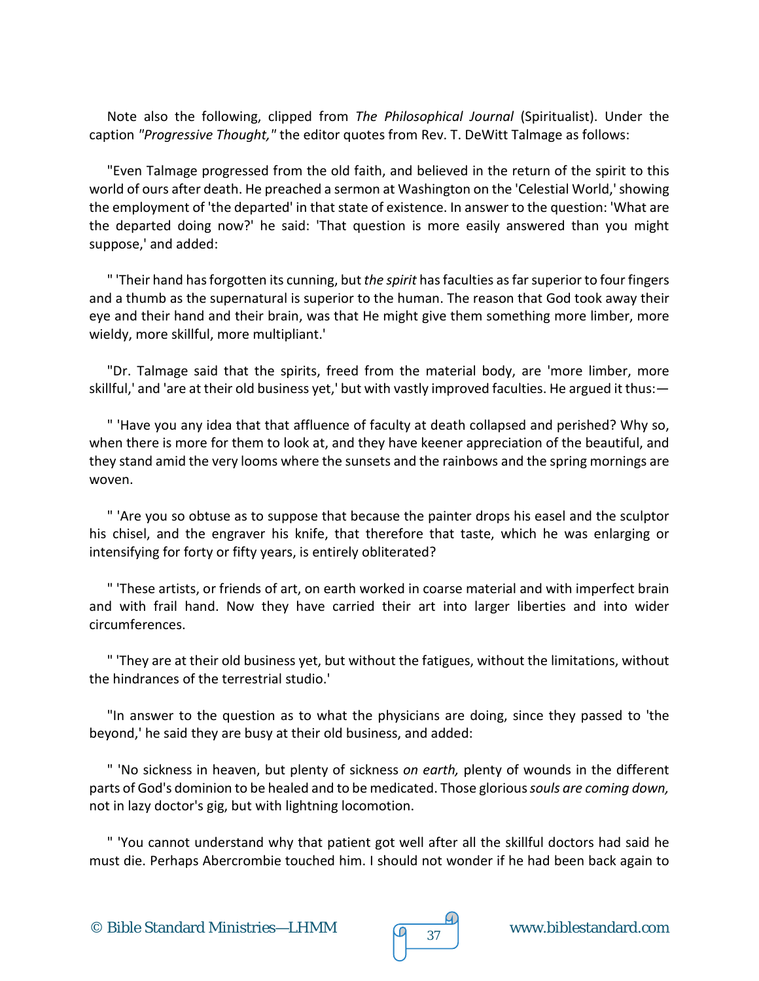Note also the following, clipped from *The Philosophical Journal* (Spiritualist). Under the caption *"Progressive Thought,"* the editor quotes from Rev. T. DeWitt Talmage as follows:

"Even Talmage progressed from the old faith, and believed in the return of the spirit to this world of ours after death. He preached a sermon at Washington on the 'Celestial World,' showing the employment of 'the departed' in that state of existence. In answer to the question: 'What are the departed doing now?' he said: 'That question is more easily answered than you might suppose,' and added:

" 'Their hand has forgotten its cunning, but *the spirit* hasfaculties as far superior to four fingers and a thumb as the supernatural is superior to the human. The reason that God took away their eye and their hand and their brain, was that He might give them something more limber, more wieldy, more skillful, more multipliant.'

"Dr. Talmage said that the spirits, freed from the material body, are 'more limber, more skillful,' and 'are at their old business yet,' but with vastly improved faculties. He argued it thus:—

" 'Have you any idea that that affluence of faculty at death collapsed and perished? Why so, when there is more for them to look at, and they have keener appreciation of the beautiful, and they stand amid the very looms where the sunsets and the rainbows and the spring mornings are woven.

" 'Are you so obtuse as to suppose that because the painter drops his easel and the sculptor his chisel, and the engraver his knife, that therefore that taste, which he was enlarging or intensifying for forty or fifty years, is entirely obliterated?

" 'These artists, or friends of art, on earth worked in coarse material and with imperfect brain and with frail hand. Now they have carried their art into larger liberties and into wider circumferences.

" 'They are at their old business yet, but without the fatigues, without the limitations, without the hindrances of the terrestrial studio.'

"In answer to the question as to what the physicians are doing, since they passed to 'the beyond,' he said they are busy at their old business, and added:

" 'No sickness in heaven, but plenty of sickness *on earth,* plenty of wounds in the different parts of God's dominion to be healed and to be medicated. Those glorious *souls are coming down,*  not in lazy doctor's gig, but with lightning locomotion.

" 'You cannot understand why that patient got well after all the skillful doctors had said he must die. Perhaps Abercrombie touched him. I should not wonder if he had been back again to

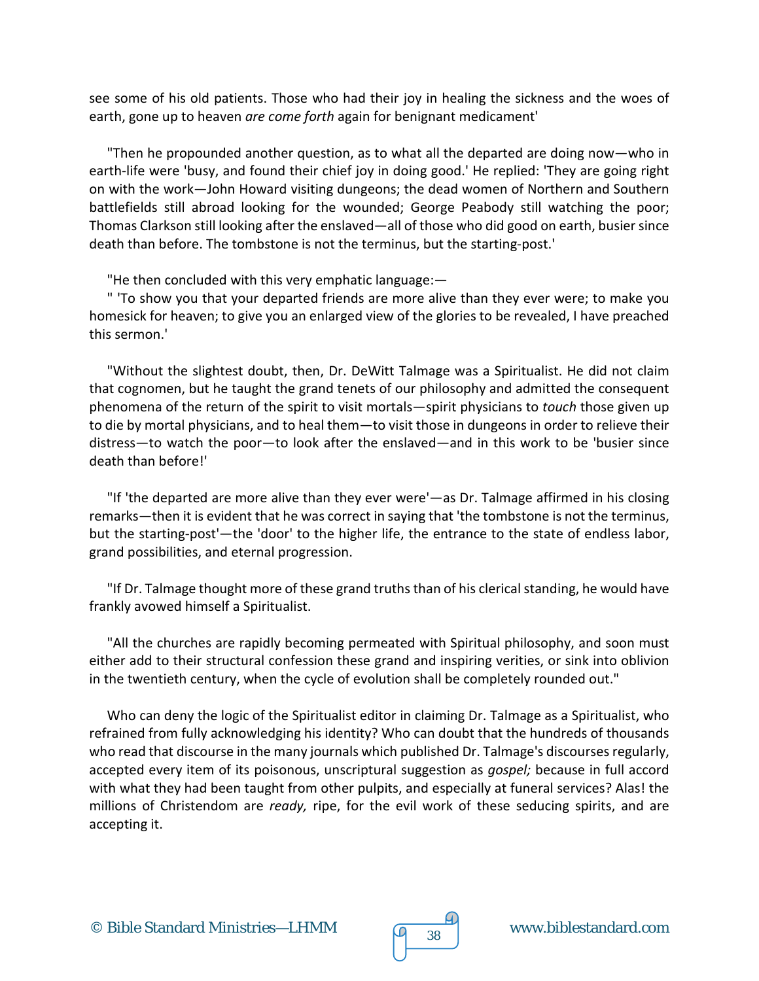see some of his old patients. Those who had their joy in healing the sickness and the woes of earth, gone up to heaven *are come forth* again for benignant medicament'

"Then he propounded another question, as to what all the departed are doing now—who in earth-life were 'busy, and found their chief joy in doing good.' He replied: 'They are going right on with the work—John Howard visiting dungeons; the dead women of Northern and Southern battlefields still abroad looking for the wounded; George Peabody still watching the poor; Thomas Clarkson still looking after the enslaved—all of those who did good on earth, busier since death than before. The tombstone is not the terminus, but the starting-post.'

"He then concluded with this very emphatic language:—

" 'To show you that your departed friends are more alive than they ever were; to make you homesick for heaven; to give you an enlarged view of the glories to be revealed, I have preached this sermon.'

"Without the slightest doubt, then, Dr. DeWitt Talmage was a Spiritualist. He did not claim that cognomen, but he taught the grand tenets of our philosophy and admitted the consequent phenomena of the return of the spirit to visit mortals—spirit physicians to *touch* those given up to die by mortal physicians, and to heal them—to visit those in dungeons in order to relieve their distress—to watch the poor—to look after the enslaved—and in this work to be 'busier since death than before!'

"If 'the departed are more alive than they ever were'—as Dr. Talmage affirmed in his closing remarks—then it is evident that he was correct in saying that 'the tombstone is not the terminus, but the starting-post'—the 'door' to the higher life, the entrance to the state of endless labor, grand possibilities, and eternal progression.

"If Dr. Talmage thought more of these grand truths than of his clerical standing, he would have frankly avowed himself a Spiritualist.

"All the churches are rapidly becoming permeated with Spiritual philosophy, and soon must either add to their structural confession these grand and inspiring verities, or sink into oblivion in the twentieth century, when the cycle of evolution shall be completely rounded out."

Who can deny the logic of the Spiritualist editor in claiming Dr. Talmage as a Spiritualist, who refrained from fully acknowledging his identity? Who can doubt that the hundreds of thousands who read that discourse in the many journals which published Dr. Talmage's discourses regularly, accepted every item of its poisonous, unscriptural suggestion as *gospel;* because in full accord with what they had been taught from other pulpits, and especially at funeral services? Alas! the millions of Christendom are *ready,* ripe, for the evil work of these seducing spirits, and are accepting it.

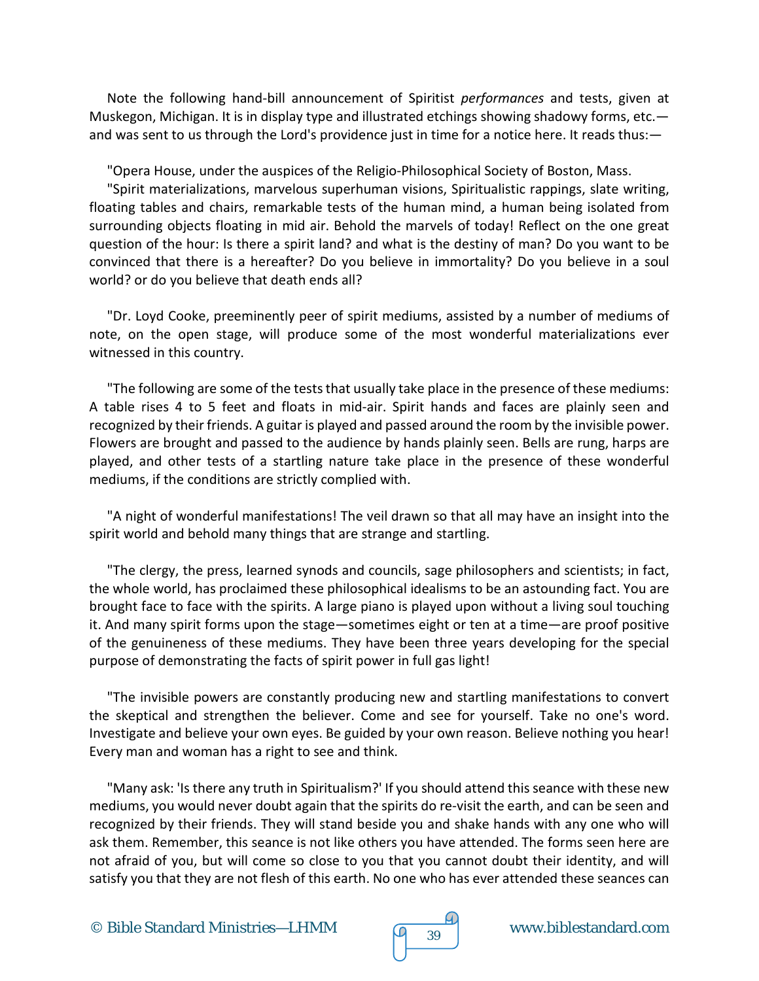Note the following hand-bill announcement of Spiritist *performances* and tests, given at Muskegon, Michigan. It is in display type and illustrated etchings showing shadowy forms, etc. and was sent to us through the Lord's providence just in time for a notice here. It reads thus:—

"Opera House, under the auspices of the Religio-Philosophical Society of Boston, Mass.

"Spirit materializations, marvelous superhuman visions, Spiritualistic rappings, slate writing, floating tables and chairs, remarkable tests of the human mind, a human being isolated from surrounding objects floating in mid air. Behold the marvels of today! Reflect on the one great question of the hour: Is there a spirit land? and what is the destiny of man? Do you want to be convinced that there is a hereafter? Do you believe in immortality? Do you believe in a soul world? or do you believe that death ends all?

"Dr. Loyd Cooke, preeminently peer of spirit mediums, assisted by a number of mediums of note, on the open stage, will produce some of the most wonderful materializations ever witnessed in this country.

"The following are some of the tests that usually take place in the presence of these mediums: A table rises 4 to 5 feet and floats in mid-air. Spirit hands and faces are plainly seen and recognized by their friends. A guitar is played and passed around the room by the invisible power. Flowers are brought and passed to the audience by hands plainly seen. Bells are rung, harps are played, and other tests of a startling nature take place in the presence of these wonderful mediums, if the conditions are strictly complied with.

"A night of wonderful manifestations! The veil drawn so that all may have an insight into the spirit world and behold many things that are strange and startling.

"The clergy, the press, learned synods and councils, sage philosophers and scientists; in fact, the whole world, has proclaimed these philosophical idealisms to be an astounding fact. You are brought face to face with the spirits. A large piano is played upon without a living soul touching it. And many spirit forms upon the stage—sometimes eight or ten at a time—are proof positive of the genuineness of these mediums. They have been three years developing for the special purpose of demonstrating the facts of spirit power in full gas light!

"The invisible powers are constantly producing new and startling manifestations to convert the skeptical and strengthen the believer. Come and see for yourself. Take no one's word. Investigate and believe your own eyes. Be guided by your own reason. Believe nothing you hear! Every man and woman has a right to see and think.

"Many ask: 'Is there any truth in Spiritualism?' If you should attend this seance with these new mediums, you would never doubt again that the spirits do re-visit the earth, and can be seen and recognized by their friends. They will stand beside you and shake hands with any one who will ask them. Remember, this seance is not like others you have attended. The forms seen here are not afraid of you, but will come so close to you that you cannot doubt their identity, and will satisfy you that they are not flesh of this earth. No one who has ever attended these seances can

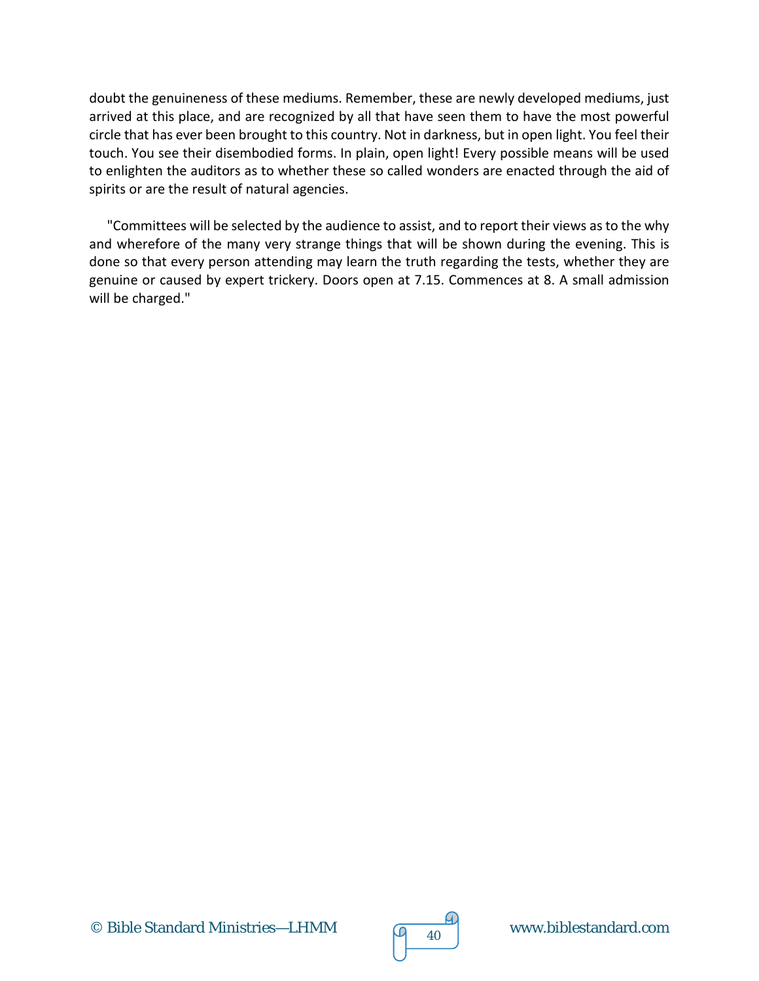doubt the genuineness of these mediums. Remember, these are newly developed mediums, just arrived at this place, and are recognized by all that have seen them to have the most powerful circle that has ever been brought to this country. Not in darkness, but in open light. You feel their touch. You see their disembodied forms. In plain, open light! Every possible means will be used to enlighten the auditors as to whether these so called wonders are enacted through the aid of spirits or are the result of natural agencies.

"Committees will be selected by the audience to assist, and to report their views as to the why and wherefore of the many very strange things that will be shown during the evening. This is done so that every person attending may learn the truth regarding the tests, whether they are genuine or caused by expert trickery. Doors open at 7.15. Commences at 8. A small admission will be charged."



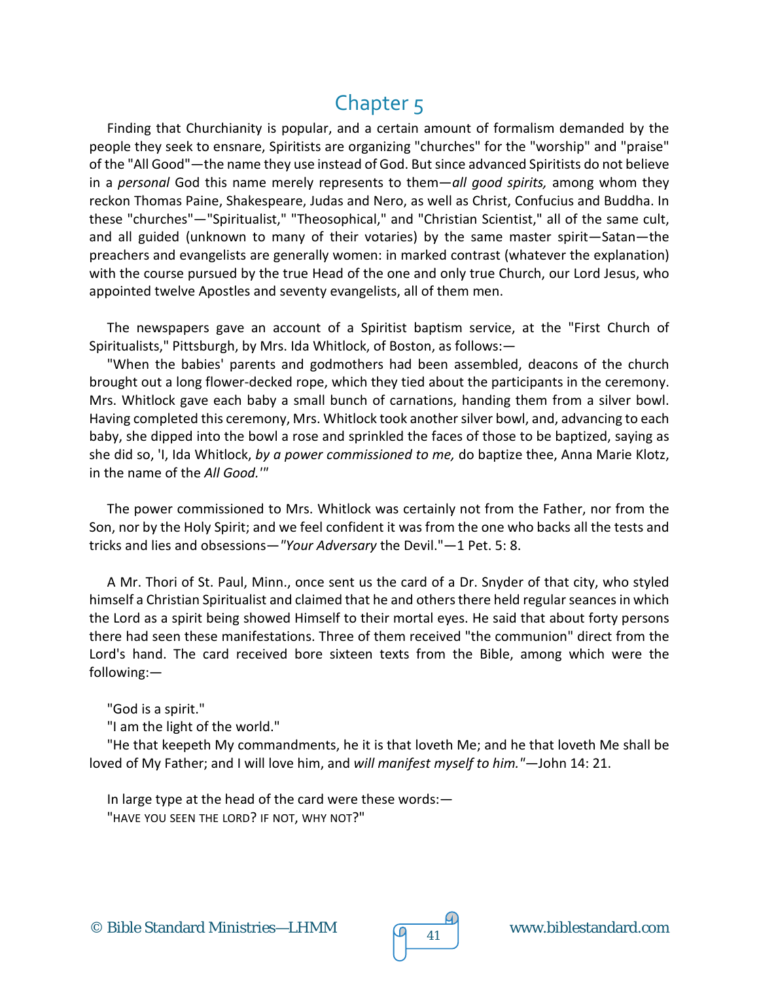### Chapter 5

Finding that Churchianity is popular, and a certain amount of formalism demanded by the people they seek to ensnare, Spiritists are organizing "churches" for the "worship" and "praise" of the "All Good"—the name they use instead of God. But since advanced Spiritists do not believe in a *personal* God this name merely represents to them—*all good spirits,* among whom they reckon Thomas Paine, Shakespeare, Judas and Nero, as well as Christ, Confucius and Buddha. In these "churches"—"Spiritualist," "Theosophical," and "Christian Scientist," all of the same cult, and all guided (unknown to many of their votaries) by the same master spirit—Satan—the preachers and evangelists are generally women: in marked contrast (whatever the explanation) with the course pursued by the true Head of the one and only true Church, our Lord Jesus, who appointed twelve Apostles and seventy evangelists, all of them men.

The newspapers gave an account of a Spiritist baptism service, at the "First Church of Spiritualists," Pittsburgh, by Mrs. Ida Whitlock, of Boston, as follows:—

"When the babies' parents and godmothers had been assembled, deacons of the church brought out a long flower-decked rope, which they tied about the participants in the ceremony. Mrs. Whitlock gave each baby a small bunch of carnations, handing them from a silver bowl. Having completed this ceremony, Mrs. Whitlock took another silver bowl, and, advancing to each baby, she dipped into the bowl a rose and sprinkled the faces of those to be baptized, saying as she did so, 'I, Ida Whitlock, *by a power commissioned to me,* do baptize thee, Anna Marie Klotz, in the name of the *All Good.'"*

The power commissioned to Mrs. Whitlock was certainly not from the Father, nor from the Son, nor by the Holy Spirit; and we feel confident it was from the one who backs all the tests and tricks and lies and obsessions—*"Your Adversary* the Devil."—1 Pet. 5: 8.

A Mr. Thori of St. Paul, Minn., once sent us the card of a Dr. Snyder of that city, who styled himself a Christian Spiritualist and claimed that he and others there held regular seances in which the Lord as a spirit being showed Himself to their mortal eyes. He said that about forty persons there had seen these manifestations. Three of them received "the communion" direct from the Lord's hand. The card received bore sixteen texts from the Bible, among which were the following:—

"God is a spirit."

"I am the light of the world."

"He that keepeth My commandments, he it is that loveth Me; and he that loveth Me shall be loved of My Father; and I will love him, and *will manifest myself to him."*—John 14: 21.

In large type at the head of the card were these words:— "HAVE YOU SEEN THE LORD? IF NOT, WHY NOT?"

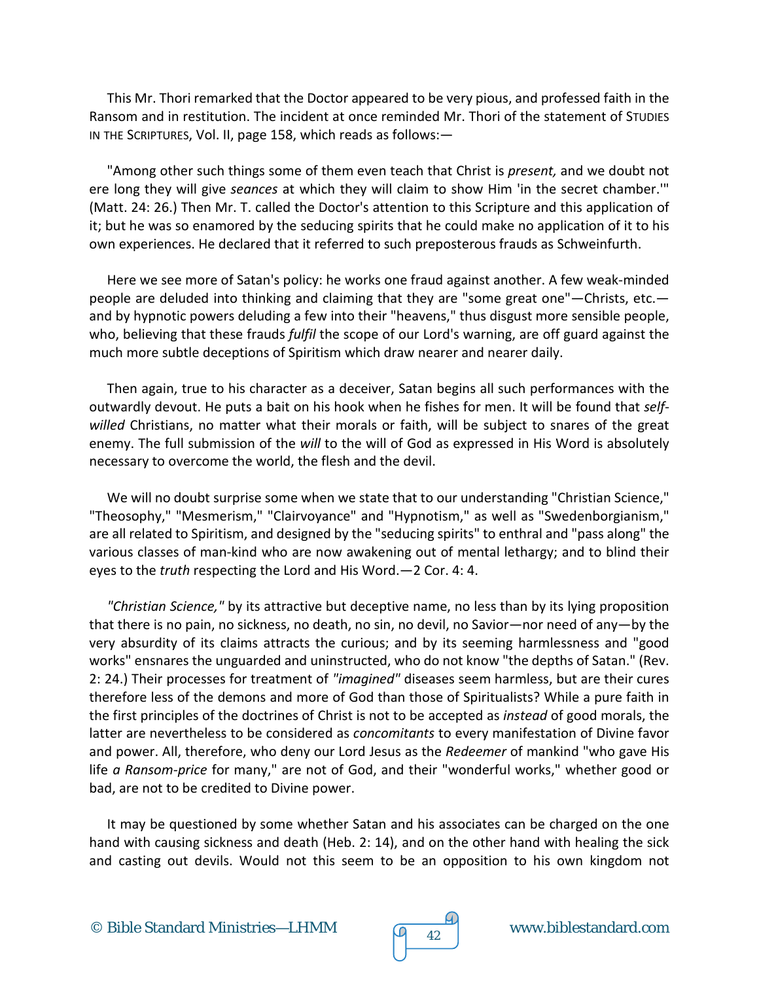This Mr. Thori remarked that the Doctor appeared to be very pious, and professed faith in the Ransom and in restitution. The incident at once reminded Mr. Thori of the statement of STUDIES IN THE SCRIPTURES, Vol. II, page 158, which reads as follows:—

"Among other such things some of them even teach that Christ is *present,* and we doubt not ere long they will give *seances* at which they will claim to show Him 'in the secret chamber.'" (Matt. 24: 26.) Then Mr. T. called the Doctor's attention to this Scripture and this application of it; but he was so enamored by the seducing spirits that he could make no application of it to his own experiences. He declared that it referred to such preposterous frauds as Schweinfurth.

Here we see more of Satan's policy: he works one fraud against another. A few weak-minded people are deluded into thinking and claiming that they are "some great one"—Christs, etc. and by hypnotic powers deluding a few into their "heavens," thus disgust more sensible people, who, believing that these frauds *fulfil* the scope of our Lord's warning, are off guard against the much more subtle deceptions of Spiritism which draw nearer and nearer daily.

Then again, true to his character as a deceiver, Satan begins all such performances with the outwardly devout. He puts a bait on his hook when he fishes for men. It will be found that *selfwilled* Christians, no matter what their morals or faith, will be subject to snares of the great enemy. The full submission of the *will* to the will of God as expressed in His Word is absolutely necessary to overcome the world, the flesh and the devil.

We will no doubt surprise some when we state that to our understanding "Christian Science," "Theosophy," "Mesmerism," "Clairvoyance" and "Hypnotism," as well as "Swedenborgianism," are all related to Spiritism, and designed by the "seducing spirits" to enthral and "pass along" the various classes of man-kind who are now awakening out of mental lethargy; and to blind their eyes to the *truth* respecting the Lord and His Word.—2 Cor. 4: 4.

*"Christian Science,"* by its attractive but deceptive name, no less than by its lying proposition that there is no pain, no sickness, no death, no sin, no devil, no Savior—nor need of any—by the very absurdity of its claims attracts the curious; and by its seeming harmlessness and "good works" ensnares the unguarded and uninstructed, who do not know "the depths of Satan." (Rev. 2: 24.) Their processes for treatment of *"imagined"* diseases seem harmless, but are their cures therefore less of the demons and more of God than those of Spiritualists? While a pure faith in the first principles of the doctrines of Christ is not to be accepted as *instead* of good morals, the latter are nevertheless to be considered as *concomitants* to every manifestation of Divine favor and power. All, therefore, who deny our Lord Jesus as the *Redeemer* of mankind "who gave His life *a Ransom-price* for many," are not of God, and their "wonderful works," whether good or bad, are not to be credited to Divine power.

It may be questioned by some whether Satan and his associates can be charged on the one hand with causing sickness and death (Heb. 2: 14), and on the other hand with healing the sick and casting out devils. Would not this seem to be an opposition to his own kingdom not



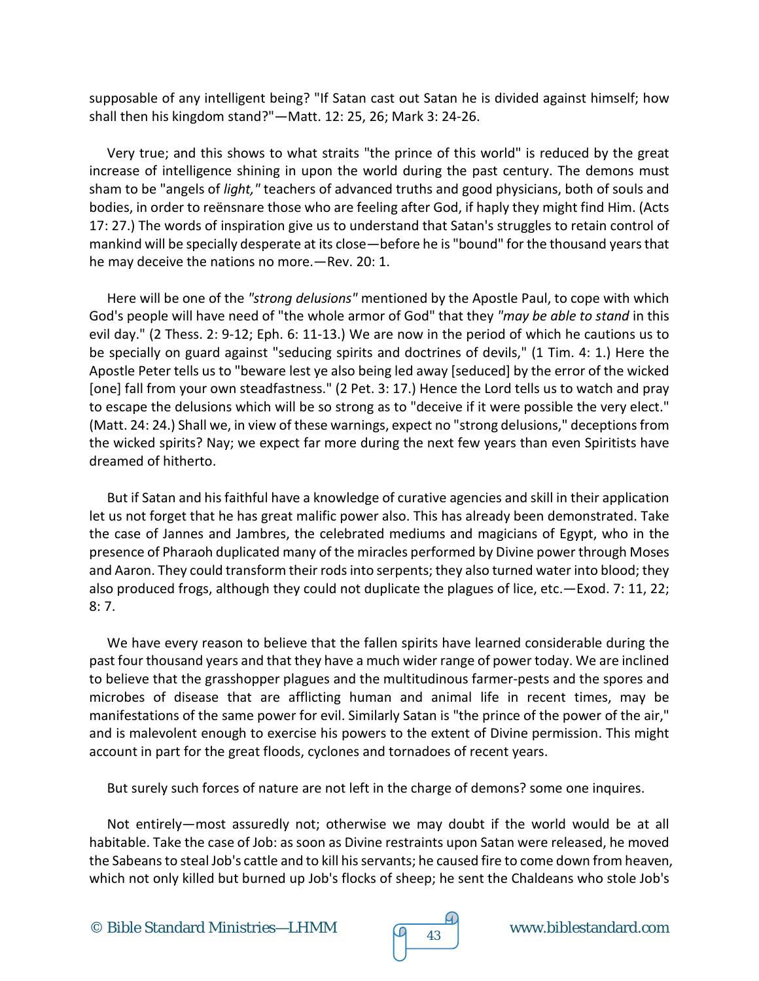supposable of any intelligent being? "If Satan cast out Satan he is divided against himself; how shall then his kingdom stand?"—Matt. 12: 25, 26; Mark 3: 24-26.

Very true; and this shows to what straits "the prince of this world" is reduced by the great increase of intelligence shining in upon the world during the past century. The demons must sham to be "angels of *light,"* teachers of advanced truths and good physicians, both of souls and bodies, in order to reënsnare those who are feeling after God, if haply they might find Him. (Acts 17: 27.) The words of inspiration give us to understand that Satan's struggles to retain control of mankind will be specially desperate at its close—before he is "bound" for the thousand years that he may deceive the nations no more.—Rev. 20: 1.

Here will be one of the *"strong delusions"* mentioned by the Apostle Paul, to cope with which God's people will have need of "the whole armor of God" that they *"may be able to stand* in this evil day." (2 Thess. 2: 9-12; Eph. 6: 11-13.) We are now in the period of which he cautions us to be specially on guard against "seducing spirits and doctrines of devils," (1 Tim. 4: 1.) Here the Apostle Peter tells us to "beware lest ye also being led away [seduced] by the error of the wicked [one] fall from your own steadfastness." (2 Pet. 3: 17.) Hence the Lord tells us to watch and pray to escape the delusions which will be so strong as to "deceive if it were possible the very elect." (Matt. 24: 24.) Shall we, in view of these warnings, expect no "strong delusions," deceptions from the wicked spirits? Nay; we expect far more during the next few years than even Spiritists have dreamed of hitherto.

But if Satan and his faithful have a knowledge of curative agencies and skill in their application let us not forget that he has great malific power also. This has already been demonstrated. Take the case of Jannes and Jambres, the celebrated mediums and magicians of Egypt, who in the presence of Pharaoh duplicated many of the miracles performed by Divine power through Moses and Aaron. They could transform their rods into serpents; they also turned water into blood; they also produced frogs, although they could not duplicate the plagues of lice, etc.—Exod. 7: 11, 22; 8: 7.

We have every reason to believe that the fallen spirits have learned considerable during the past four thousand years and that they have a much wider range of power today. We are inclined to believe that the grasshopper plagues and the multitudinous farmer-pests and the spores and microbes of disease that are afflicting human and animal life in recent times, may be manifestations of the same power for evil. Similarly Satan is "the prince of the power of the air," and is malevolent enough to exercise his powers to the extent of Divine permission. This might account in part for the great floods, cyclones and tornadoes of recent years.

But surely such forces of nature are not left in the charge of demons? some one inquires.

Not entirely—most assuredly not; otherwise we may doubt if the world would be at all habitable. Take the case of Job: as soon as Divine restraints upon Satan were released, he moved the Sabeans to steal Job's cattle and to kill his servants; he caused fire to come down from heaven, which not only killed but burned up Job's flocks of sheep; he sent the Chaldeans who stole Job's

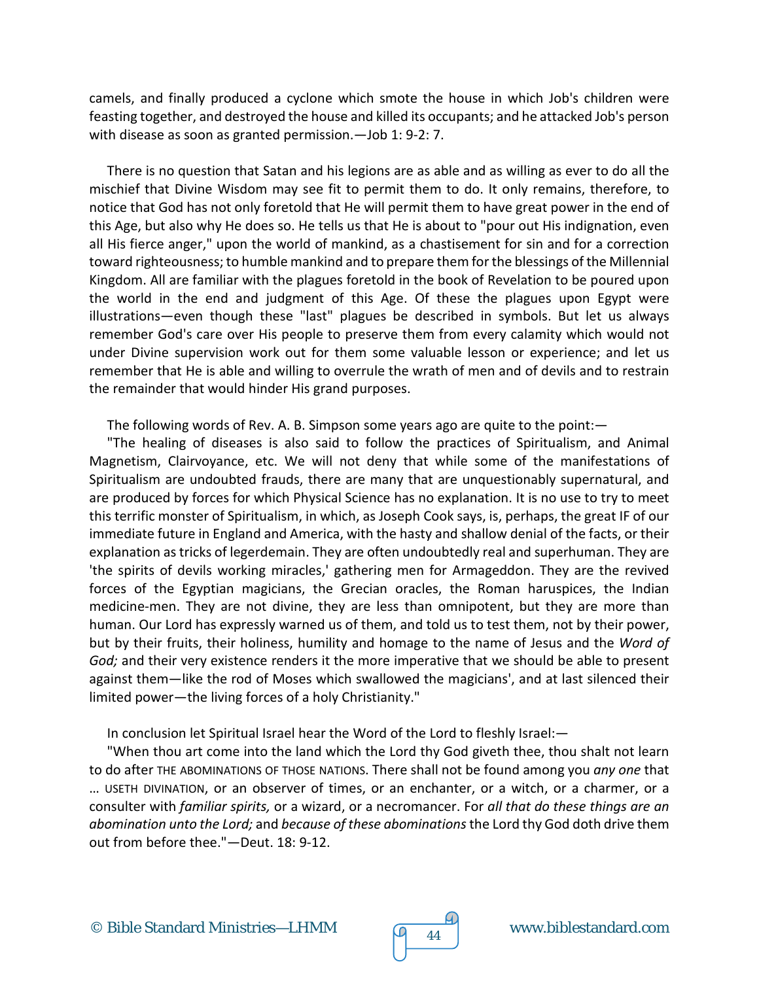camels, and finally produced a cyclone which smote the house in which Job's children were feasting together, and destroyed the house and killed its occupants; and he attacked Job's person with disease as soon as granted permission.—Job 1: 9-2: 7.

There is no question that Satan and his legions are as able and as willing as ever to do all the mischief that Divine Wisdom may see fit to permit them to do. It only remains, therefore, to notice that God has not only foretold that He will permit them to have great power in the end of this Age, but also why He does so. He tells us that He is about to "pour out His indignation, even all His fierce anger," upon the world of mankind, as a chastisement for sin and for a correction toward righteousness; to humble mankind and to prepare them for the blessings of the Millennial Kingdom. All are familiar with the plagues foretold in the book of Revelation to be poured upon the world in the end and judgment of this Age. Of these the plagues upon Egypt were illustrations—even though these "last" plagues be described in symbols. But let us always remember God's care over His people to preserve them from every calamity which would not under Divine supervision work out for them some valuable lesson or experience; and let us remember that He is able and willing to overrule the wrath of men and of devils and to restrain the remainder that would hinder His grand purposes.

The following words of Rev. A. B. Simpson some years ago are quite to the point:—

"The healing of diseases is also said to follow the practices of Spiritualism, and Animal Magnetism, Clairvoyance, etc. We will not deny that while some of the manifestations of Spiritualism are undoubted frauds, there are many that are unquestionably supernatural, and are produced by forces for which Physical Science has no explanation. It is no use to try to meet this terrific monster of Spiritualism, in which, as Joseph Cook says, is, perhaps, the great IF of our immediate future in England and America, with the hasty and shallow denial of the facts, or their explanation as tricks of legerdemain. They are often undoubtedly real and superhuman. They are 'the spirits of devils working miracles,' gathering men for Armageddon. They are the revived forces of the Egyptian magicians, the Grecian oracles, the Roman haruspices, the Indian medicine-men. They are not divine, they are less than omnipotent, but they are more than human. Our Lord has expressly warned us of them, and told us to test them, not by their power, but by their fruits, their holiness, humility and homage to the name of Jesus and the *Word of God;* and their very existence renders it the more imperative that we should be able to present against them—like the rod of Moses which swallowed the magicians', and at last silenced their limited power—the living forces of a holy Christianity."

In conclusion let Spiritual Israel hear the Word of the Lord to fleshly Israel:—

"When thou art come into the land which the Lord thy God giveth thee, thou shalt not learn to do after THE ABOMINATIONS OF THOSE NATIONS. There shall not be found among you *any one* that … USETH DIVINATION, or an observer of times, or an enchanter, or a witch, or a charmer, or a consulter with *familiar spirits,* or a wizard, or a necromancer. For *all that do these things are an abomination unto the Lord;* and *because of these abominations* the Lord thy God doth drive them out from before thee."—Deut. 18: 9-12.

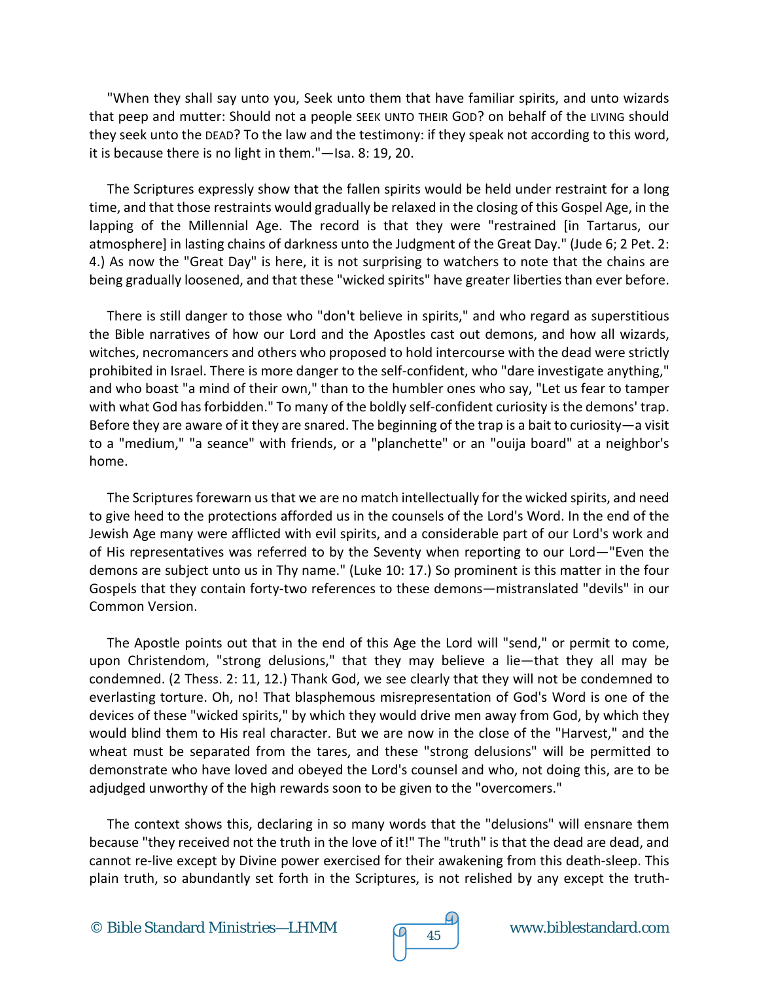"When they shall say unto you, Seek unto them that have familiar spirits, and unto wizards that peep and mutter: Should not a people SEEK UNTO THEIR GOD? on behalf of the LIVING should they seek unto the DEAD? To the law and the testimony: if they speak not according to this word, it is because there is no light in them."—Isa. 8: 19, 20.

The Scriptures expressly show that the fallen spirits would be held under restraint for a long time, and that those restraints would gradually be relaxed in the closing of this Gospel Age, in the lapping of the Millennial Age. The record is that they were "restrained [in Tartarus, our atmosphere] in lasting chains of darkness unto the Judgment of the Great Day." (Jude 6; 2 Pet. 2: 4.) As now the "Great Day" is here, it is not surprising to watchers to note that the chains are being gradually loosened, and that these "wicked spirits" have greater liberties than ever before.

There is still danger to those who "don't believe in spirits," and who regard as superstitious the Bible narratives of how our Lord and the Apostles cast out demons, and how all wizards, witches, necromancers and others who proposed to hold intercourse with the dead were strictly prohibited in Israel. There is more danger to the self-confident, who "dare investigate anything," and who boast "a mind of their own," than to the humbler ones who say, "Let us fear to tamper with what God has forbidden." To many of the boldly self-confident curiosity is the demons' trap. Before they are aware of it they are snared. The beginning of the trap is a bait to curiosity—a visit to a "medium," "a seance" with friends, or a "planchette" or an "ouija board" at a neighbor's home.

The Scriptures forewarn us that we are no match intellectually for the wicked spirits, and need to give heed to the protections afforded us in the counsels of the Lord's Word. In the end of the Jewish Age many were afflicted with evil spirits, and a considerable part of our Lord's work and of His representatives was referred to by the Seventy when reporting to our Lord—"Even the demons are subject unto us in Thy name." (Luke 10: 17.) So prominent is this matter in the four Gospels that they contain forty-two references to these demons—mistranslated "devils" in our Common Version.

The Apostle points out that in the end of this Age the Lord will "send," or permit to come, upon Christendom, "strong delusions," that they may believe a lie—that they all may be condemned. (2 Thess. 2: 11, 12.) Thank God, we see clearly that they will not be condemned to everlasting torture. Oh, no! That blasphemous misrepresentation of God's Word is one of the devices of these "wicked spirits," by which they would drive men away from God, by which they would blind them to His real character. But we are now in the close of the "Harvest," and the wheat must be separated from the tares, and these "strong delusions" will be permitted to demonstrate who have loved and obeyed the Lord's counsel and who, not doing this, are to be adjudged unworthy of the high rewards soon to be given to the "overcomers."

The context shows this, declaring in so many words that the "delusions" will ensnare them because "they received not the truth in the love of it!" The "truth" is that the dead are dead, and cannot re-live except by Divine power exercised for their awakening from this death-sleep. This plain truth, so abundantly set forth in the Scriptures, is not relished by any except the truth-

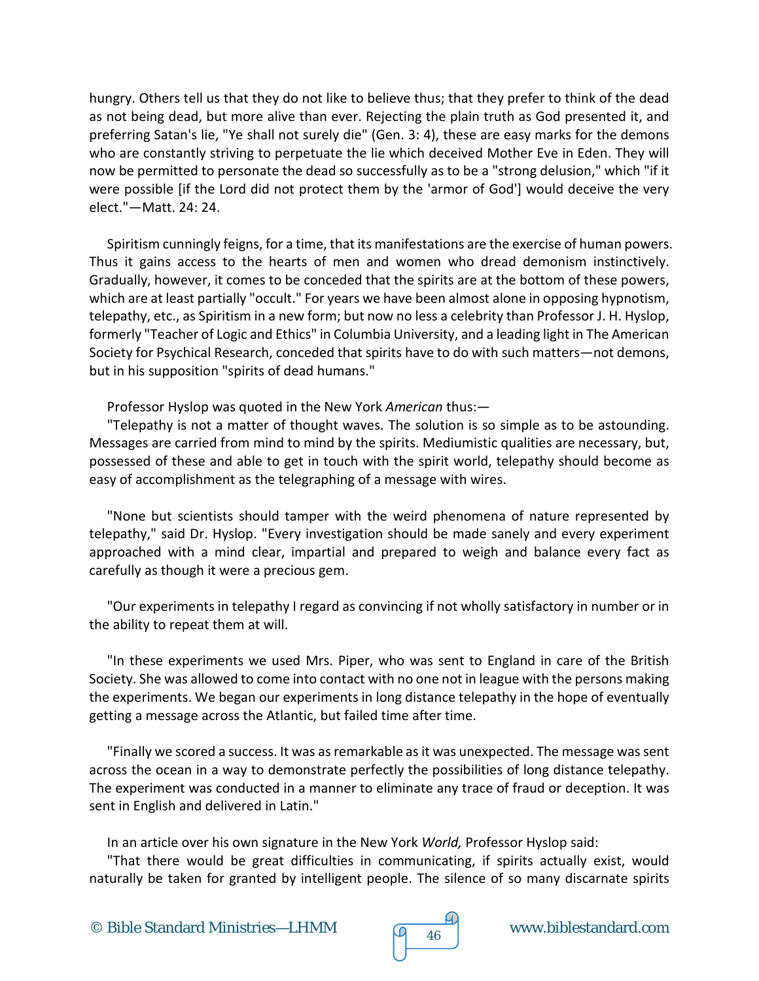hungry. Others tell us that they do not like to believe thus; that they prefer to think of the dead as not being dead, but more alive than ever. Rejecting the plain truth as God presented it, and preferring Satan's lie, "Ye shall not surely die" (Gen. 3: 4), these are easy marks for the demons who are constantly striving to perpetuate the lie which deceived Mother Eve in Eden. They will now be permitted to personate the dead so successfully as to be a "strong delusion," which "if it were possible [if the Lord did not protect them by the 'armor of God'] would deceive the very elect."—Matt. 24: 24.

Spiritism cunningly feigns, for a time, that its manifestations are the exercise of human powers. Thus it gains access to the hearts of men and women who dread demonism instinctively. Gradually, however, it comes to be conceded that the spirits are at the bottom of these powers, which are at least partially "occult." For years we have been almost alone in opposing hypnotism, telepathy, etc., as Spiritism in a new form; but now no less a celebrity than Professor J. H. Hyslop, formerly "Teacher of Logic and Ethics" in Columbia University, and a leading light in The American Society for Psychical Research, conceded that spirits have to do with such matters—not demons, but in his supposition "spirits of dead humans."

Professor Hyslop was quoted in the New York *American* thus:—

"Telepathy is not a matter of thought waves. The solution is so simple as to be astounding. Messages are carried from mind to mind by the spirits. Mediumistic qualities are necessary, but, possessed of these and able to get in touch with the spirit world, telepathy should become as easy of accomplishment as the telegraphing of a message with wires.

"None but scientists should tamper with the weird phenomena of nature represented by telepathy," said Dr. Hyslop. "Every investigation should be made sanely and every experiment approached with a mind clear, impartial and prepared to weigh and balance every fact as carefully as though it were a precious gem.

"Our experiments in telepathy I regard as convincing if not wholly satisfactory in number or in the ability to repeat them at will.

"In these experiments we used Mrs. Piper, who was sent to England in care of the British Society. She was allowed to come into contact with no one not in league with the persons making the experiments. We began our experiments in long distance telepathy in the hope of eventually getting a message across the Atlantic, but failed time after time.

"Finally we scored a success. It was as remarkable as it was unexpected. The message was sent across the ocean in a way to demonstrate perfectly the possibilities of long distance telepathy. The experiment was conducted in a manner to eliminate any trace of fraud or deception. It was sent in English and delivered in Latin."

In an article over his own signature in the New York *World,* Professor Hyslop said:

"That there would be great difficulties in communicating, if spirits actually exist, would naturally be taken for granted by intelligent people. The silence of so many discarnate spirits

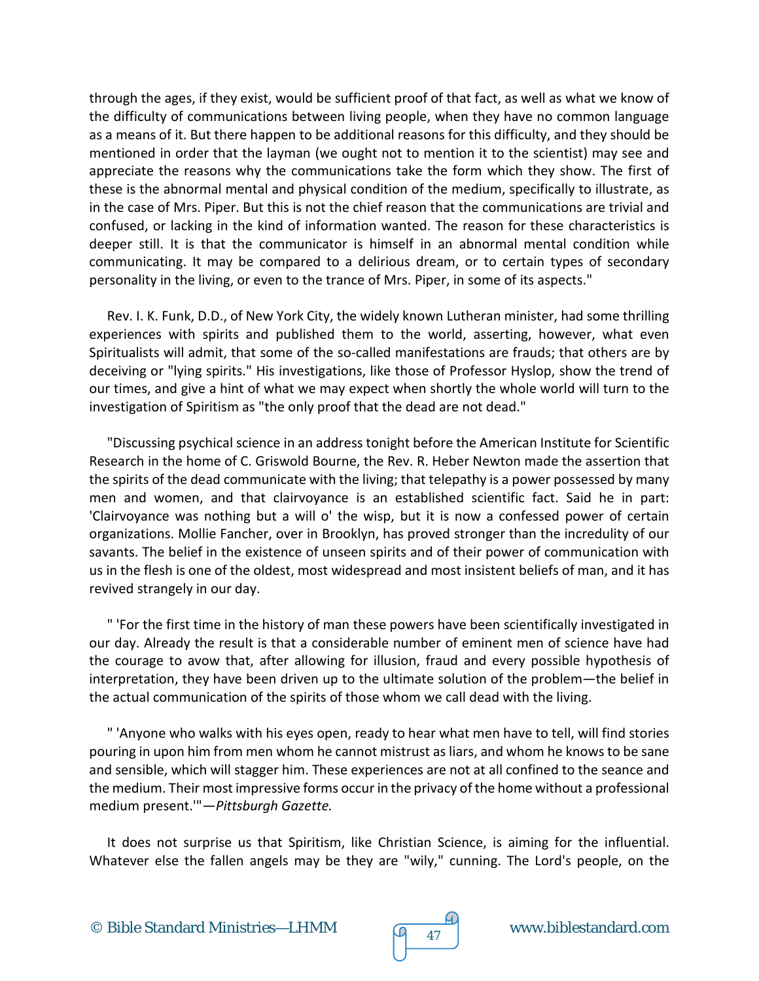through the ages, if they exist, would be sufficient proof of that fact, as well as what we know of the difficulty of communications between living people, when they have no common language as a means of it. But there happen to be additional reasons for this difficulty, and they should be mentioned in order that the layman (we ought not to mention it to the scientist) may see and appreciate the reasons why the communications take the form which they show. The first of these is the abnormal mental and physical condition of the medium, specifically to illustrate, as in the case of Mrs. Piper. But this is not the chief reason that the communications are trivial and confused, or lacking in the kind of information wanted. The reason for these characteristics is deeper still. It is that the communicator is himself in an abnormal mental condition while communicating. It may be compared to a delirious dream, or to certain types of secondary personality in the living, or even to the trance of Mrs. Piper, in some of its aspects."

Rev. I. K. Funk, D.D., of New York City, the widely known Lutheran minister, had some thrilling experiences with spirits and published them to the world, asserting, however, what even Spiritualists will admit, that some of the so-called manifestations are frauds; that others are by deceiving or "lying spirits." His investigations, like those of Professor Hyslop, show the trend of our times, and give a hint of what we may expect when shortly the whole world will turn to the investigation of Spiritism as "the only proof that the dead are not dead."

"Discussing psychical science in an address tonight before the American Institute for Scientific Research in the home of C. Griswold Bourne, the Rev. R. Heber Newton made the assertion that the spirits of the dead communicate with the living; that telepathy is a power possessed by many men and women, and that clairvoyance is an established scientific fact. Said he in part: 'Clairvoyance was nothing but a will o' the wisp, but it is now a confessed power of certain organizations. Mollie Fancher, over in Brooklyn, has proved stronger than the incredulity of our savants. The belief in the existence of unseen spirits and of their power of communication with us in the flesh is one of the oldest, most widespread and most insistent beliefs of man, and it has revived strangely in our day.

" 'For the first time in the history of man these powers have been scientifically investigated in our day. Already the result is that a considerable number of eminent men of science have had the courage to avow that, after allowing for illusion, fraud and every possible hypothesis of interpretation, they have been driven up to the ultimate solution of the problem—the belief in the actual communication of the spirits of those whom we call dead with the living.

" 'Anyone who walks with his eyes open, ready to hear what men have to tell, will find stories pouring in upon him from men whom he cannot mistrust as liars, and whom he knows to be sane and sensible, which will stagger him. These experiences are not at all confined to the seance and the medium. Their most impressive forms occur in the privacy of the home without a professional medium present.'"—*Pittsburgh Gazette.*

It does not surprise us that Spiritism, like Christian Science, is aiming for the influential. Whatever else the fallen angels may be they are "wily," cunning. The Lord's people, on the

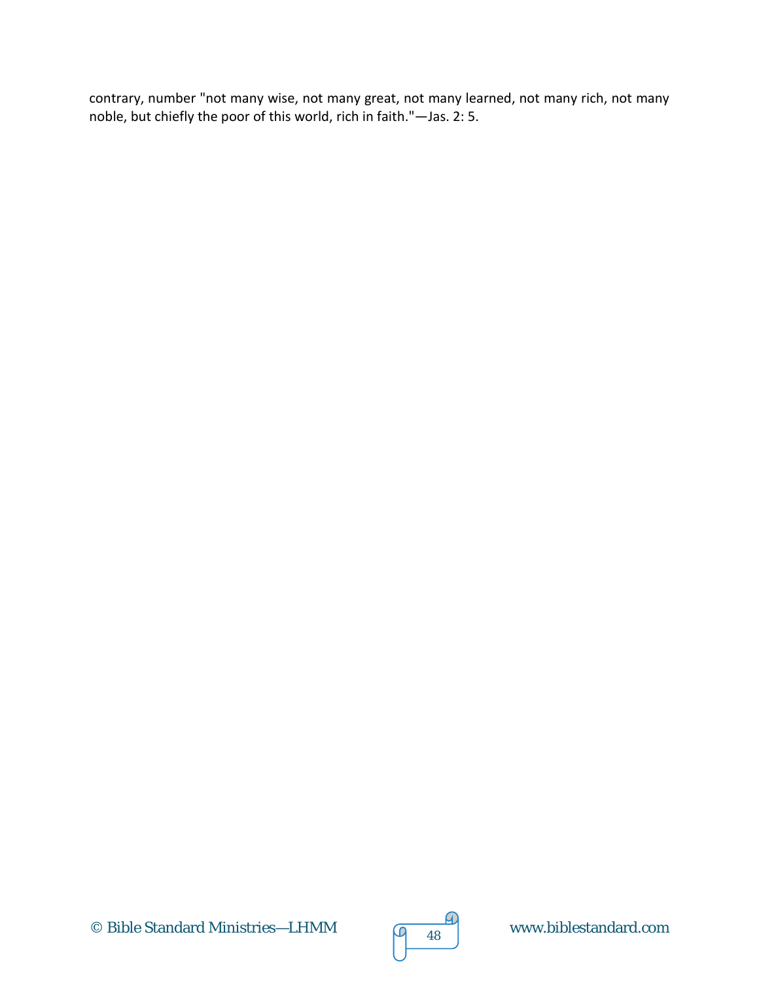contrary, number "not many wise, not many great, not many learned, not many rich, not many noble, but chiefly the poor of this world, rich in faith."—Jas. 2: 5.

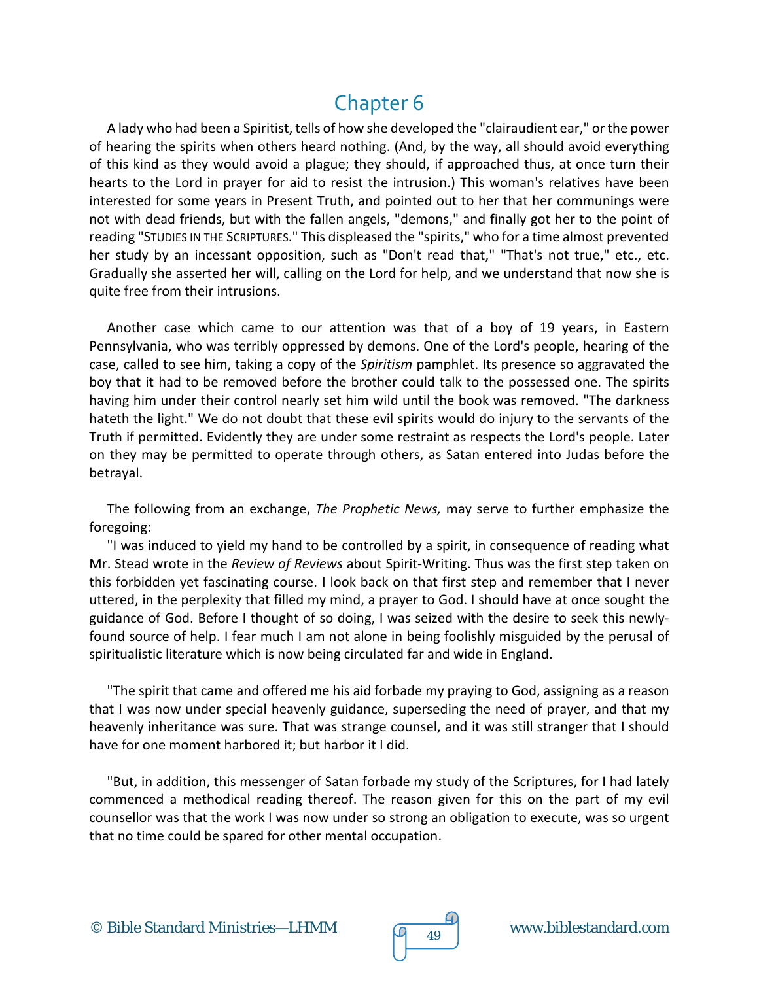#### Chapter 6

A lady who had been a Spiritist, tells of how she developed the "clairaudient ear," or the power of hearing the spirits when others heard nothing. (And, by the way, all should avoid everything of this kind as they would avoid a plague; they should, if approached thus, at once turn their hearts to the Lord in prayer for aid to resist the intrusion.) This woman's relatives have been interested for some years in Present Truth, and pointed out to her that her communings were not with dead friends, but with the fallen angels, "demons," and finally got her to the point of reading "STUDIES IN THE SCRIPTURES." This displeased the "spirits," who for a time almost prevented her study by an incessant opposition, such as "Don't read that," "That's not true," etc., etc. Gradually she asserted her will, calling on the Lord for help, and we understand that now she is quite free from their intrusions.

Another case which came to our attention was that of a boy of 19 years, in Eastern Pennsylvania, who was terribly oppressed by demons. One of the Lord's people, hearing of the case, called to see him, taking a copy of the *Spiritism* pamphlet. Its presence so aggravated the boy that it had to be removed before the brother could talk to the possessed one. The spirits having him under their control nearly set him wild until the book was removed. "The darkness hateth the light." We do not doubt that these evil spirits would do injury to the servants of the Truth if permitted. Evidently they are under some restraint as respects the Lord's people. Later on they may be permitted to operate through others, as Satan entered into Judas before the betrayal.

The following from an exchange, *The Prophetic News,* may serve to further emphasize the foregoing:

"I was induced to yield my hand to be controlled by a spirit, in consequence of reading what Mr. Stead wrote in the *Review of Reviews* about Spirit-Writing. Thus was the first step taken on this forbidden yet fascinating course. I look back on that first step and remember that I never uttered, in the perplexity that filled my mind, a prayer to God. I should have at once sought the guidance of God. Before I thought of so doing, I was seized with the desire to seek this newlyfound source of help. I fear much I am not alone in being foolishly misguided by the perusal of spiritualistic literature which is now being circulated far and wide in England.

"The spirit that came and offered me his aid forbade my praying to God, assigning as a reason that I was now under special heavenly guidance, superseding the need of prayer, and that my heavenly inheritance was sure. That was strange counsel, and it was still stranger that I should have for one moment harbored it; but harbor it I did.

"But, in addition, this messenger of Satan forbade my study of the Scriptures, for I had lately commenced a methodical reading thereof. The reason given for this on the part of my evil counsellor was that the work I was now under so strong an obligation to execute, was so urgent that no time could be spared for other mental occupation.

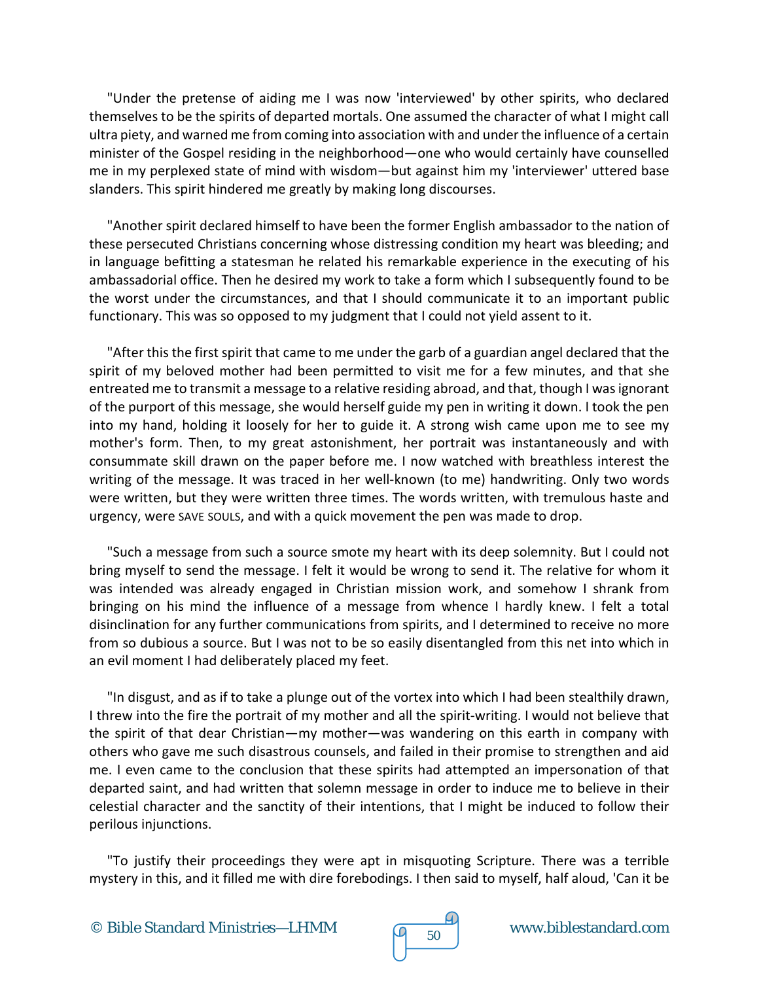"Under the pretense of aiding me I was now 'interviewed' by other spirits, who declared themselves to be the spirits of departed mortals. One assumed the character of what I might call ultra piety, and warned me from coming into association with and under the influence of a certain minister of the Gospel residing in the neighborhood—one who would certainly have counselled me in my perplexed state of mind with wisdom—but against him my 'interviewer' uttered base slanders. This spirit hindered me greatly by making long discourses.

"Another spirit declared himself to have been the former English ambassador to the nation of these persecuted Christians concerning whose distressing condition my heart was bleeding; and in language befitting a statesman he related his remarkable experience in the executing of his ambassadorial office. Then he desired my work to take a form which I subsequently found to be the worst under the circumstances, and that I should communicate it to an important public functionary. This was so opposed to my judgment that I could not yield assent to it.

"After this the first spirit that came to me under the garb of a guardian angel declared that the spirit of my beloved mother had been permitted to visit me for a few minutes, and that she entreated me to transmit a message to a relative residing abroad, and that, though I was ignorant of the purport of this message, she would herself guide my pen in writing it down. I took the pen into my hand, holding it loosely for her to guide it. A strong wish came upon me to see my mother's form. Then, to my great astonishment, her portrait was instantaneously and with consummate skill drawn on the paper before me. I now watched with breathless interest the writing of the message. It was traced in her well-known (to me) handwriting. Only two words were written, but they were written three times. The words written, with tremulous haste and urgency, were SAVE SOULS, and with a quick movement the pen was made to drop.

"Such a message from such a source smote my heart with its deep solemnity. But I could not bring myself to send the message. I felt it would be wrong to send it. The relative for whom it was intended was already engaged in Christian mission work, and somehow I shrank from bringing on his mind the influence of a message from whence I hardly knew. I felt a total disinclination for any further communications from spirits, and I determined to receive no more from so dubious a source. But I was not to be so easily disentangled from this net into which in an evil moment I had deliberately placed my feet.

"In disgust, and as if to take a plunge out of the vortex into which I had been stealthily drawn, I threw into the fire the portrait of my mother and all the spirit-writing. I would not believe that the spirit of that dear Christian—my mother—was wandering on this earth in company with others who gave me such disastrous counsels, and failed in their promise to strengthen and aid me. I even came to the conclusion that these spirits had attempted an impersonation of that departed saint, and had written that solemn message in order to induce me to believe in their celestial character and the sanctity of their intentions, that I might be induced to follow their perilous injunctions.

"To justify their proceedings they were apt in misquoting Scripture. There was a terrible mystery in this, and it filled me with dire forebodings. I then said to myself, half aloud, 'Can it be



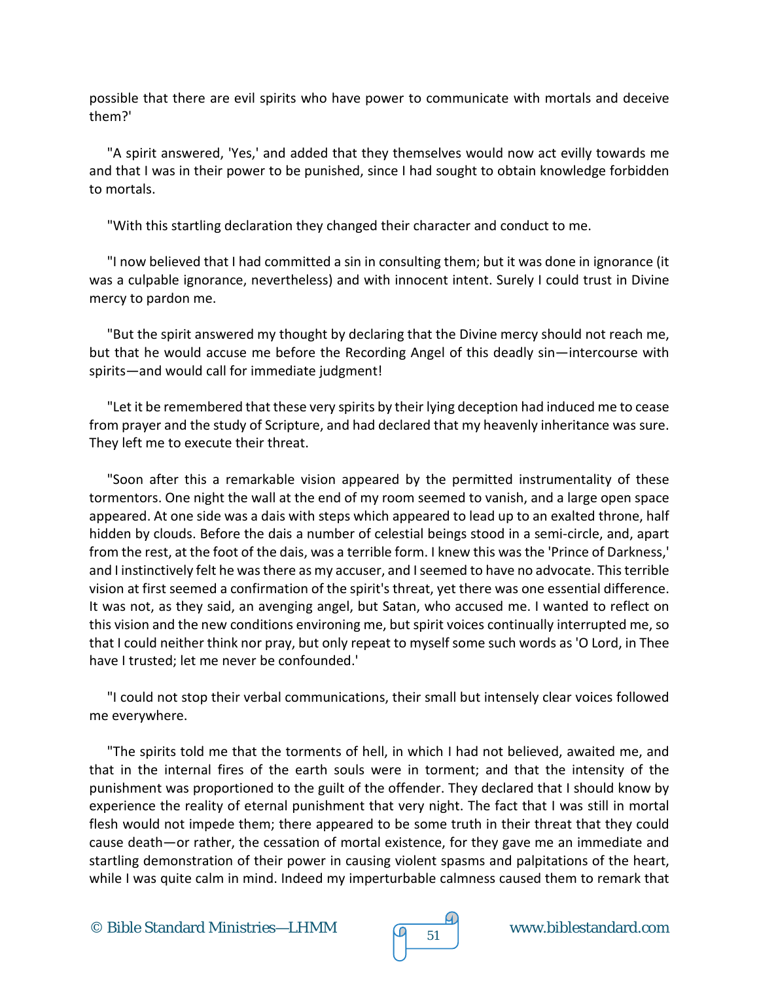possible that there are evil spirits who have power to communicate with mortals and deceive them?'

"A spirit answered, 'Yes,' and added that they themselves would now act evilly towards me and that I was in their power to be punished, since I had sought to obtain knowledge forbidden to mortals.

"With this startling declaration they changed their character and conduct to me.

"I now believed that I had committed a sin in consulting them; but it was done in ignorance (it was a culpable ignorance, nevertheless) and with innocent intent. Surely I could trust in Divine mercy to pardon me.

"But the spirit answered my thought by declaring that the Divine mercy should not reach me, but that he would accuse me before the Recording Angel of this deadly sin—intercourse with spirits—and would call for immediate judgment!

"Let it be remembered that these very spirits by their lying deception had induced me to cease from prayer and the study of Scripture, and had declared that my heavenly inheritance was sure. They left me to execute their threat.

"Soon after this a remarkable vision appeared by the permitted instrumentality of these tormentors. One night the wall at the end of my room seemed to vanish, and a large open space appeared. At one side was a dais with steps which appeared to lead up to an exalted throne, half hidden by clouds. Before the dais a number of celestial beings stood in a semi-circle, and, apart from the rest, at the foot of the dais, was a terrible form. I knew this was the 'Prince of Darkness,' and I instinctively felt he was there as my accuser, and I seemed to have no advocate. This terrible vision at first seemed a confirmation of the spirit's threat, yet there was one essential difference. It was not, as they said, an avenging angel, but Satan, who accused me. I wanted to reflect on this vision and the new conditions environing me, but spirit voices continually interrupted me, so that I could neither think nor pray, but only repeat to myself some such words as 'O Lord, in Thee have I trusted; let me never be confounded.'

"I could not stop their verbal communications, their small but intensely clear voices followed me everywhere.

"The spirits told me that the torments of hell, in which I had not believed, awaited me, and that in the internal fires of the earth souls were in torment; and that the intensity of the punishment was proportioned to the guilt of the offender. They declared that I should know by experience the reality of eternal punishment that very night. The fact that I was still in mortal flesh would not impede them; there appeared to be some truth in their threat that they could cause death—or rather, the cessation of mortal existence, for they gave me an immediate and startling demonstration of their power in causing violent spasms and palpitations of the heart, while I was quite calm in mind. Indeed my imperturbable calmness caused them to remark that

© Bible Standard Ministries—LHMM  $\sqrt{9}$  51 www.biblestandard.com

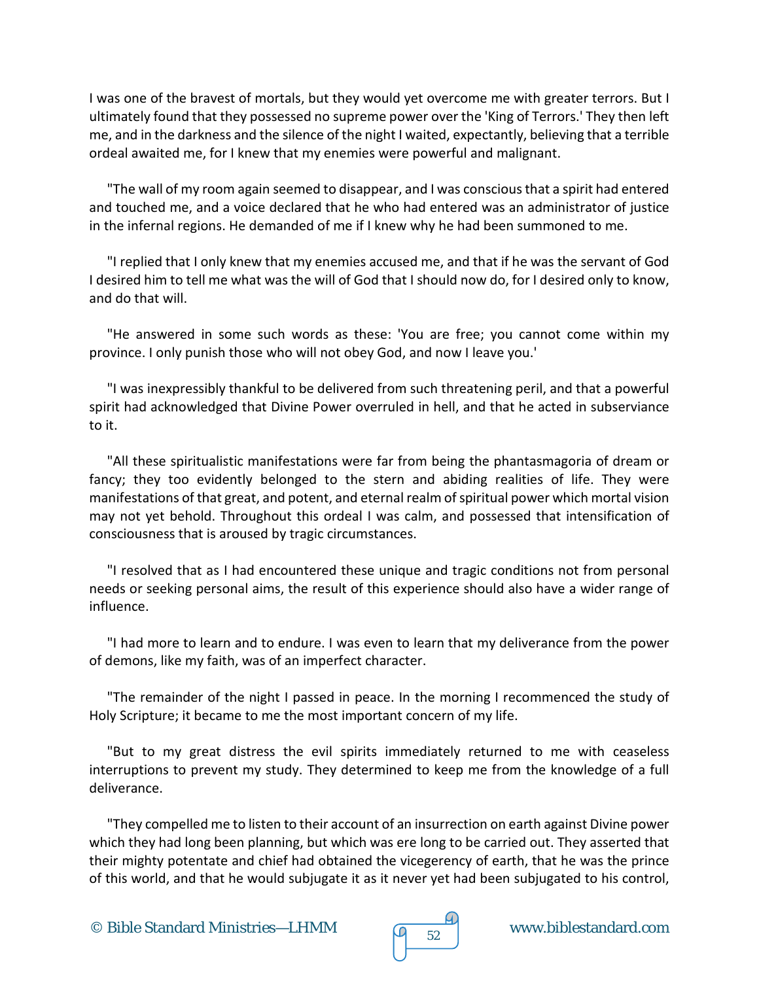I was one of the bravest of mortals, but they would yet overcome me with greater terrors. But I ultimately found that they possessed no supreme power over the 'King of Terrors.' They then left me, and in the darkness and the silence of the night I waited, expectantly, believing that a terrible ordeal awaited me, for I knew that my enemies were powerful and malignant.

"The wall of my room again seemed to disappear, and I was conscious that a spirit had entered and touched me, and a voice declared that he who had entered was an administrator of justice in the infernal regions. He demanded of me if I knew why he had been summoned to me.

"I replied that I only knew that my enemies accused me, and that if he was the servant of God I desired him to tell me what was the will of God that I should now do, for I desired only to know, and do that will.

"He answered in some such words as these: 'You are free; you cannot come within my province. I only punish those who will not obey God, and now I leave you.'

"I was inexpressibly thankful to be delivered from such threatening peril, and that a powerful spirit had acknowledged that Divine Power overruled in hell, and that he acted in subserviance to it.

"All these spiritualistic manifestations were far from being the phantasmagoria of dream or fancy; they too evidently belonged to the stern and abiding realities of life. They were manifestations of that great, and potent, and eternal realm of spiritual power which mortal vision may not yet behold. Throughout this ordeal I was calm, and possessed that intensification of consciousness that is aroused by tragic circumstances.

"I resolved that as I had encountered these unique and tragic conditions not from personal needs or seeking personal aims, the result of this experience should also have a wider range of influence.

"I had more to learn and to endure. I was even to learn that my deliverance from the power of demons, like my faith, was of an imperfect character.

"The remainder of the night I passed in peace. In the morning I recommenced the study of Holy Scripture; it became to me the most important concern of my life.

"But to my great distress the evil spirits immediately returned to me with ceaseless interruptions to prevent my study. They determined to keep me from the knowledge of a full deliverance.

"They compelled me to listen to their account of an insurrection on earth against Divine power which they had long been planning, but which was ere long to be carried out. They asserted that their mighty potentate and chief had obtained the vicegerency of earth, that he was the prince of this world, and that he would subjugate it as it never yet had been subjugated to his control,

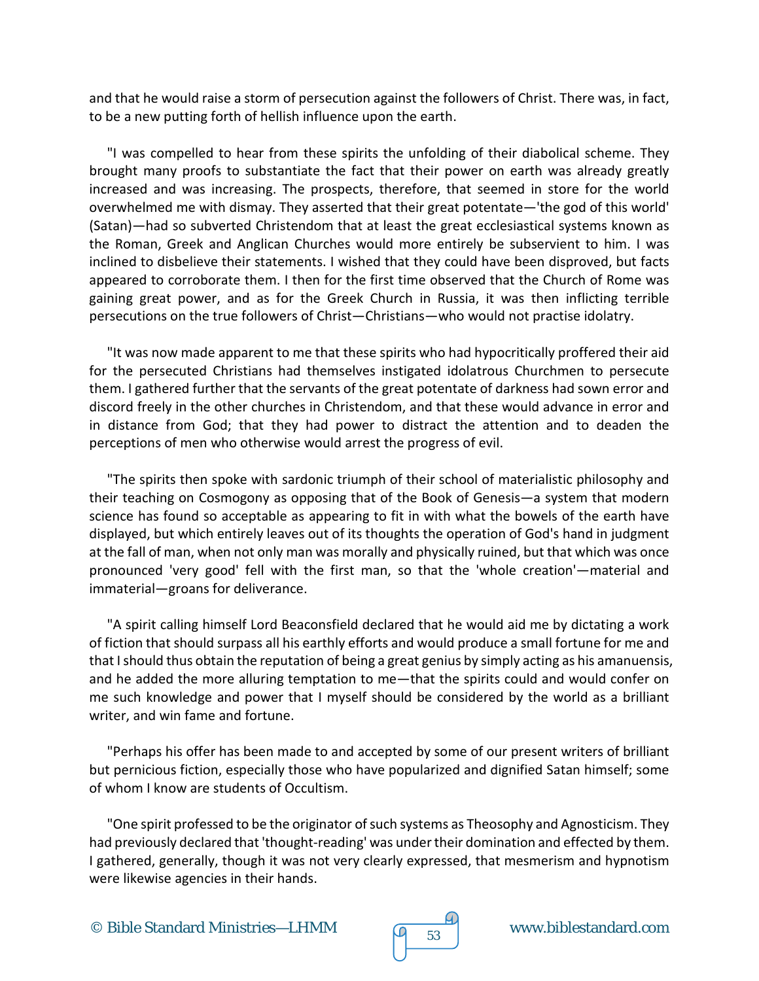and that he would raise a storm of persecution against the followers of Christ. There was, in fact, to be a new putting forth of hellish influence upon the earth.

"I was compelled to hear from these spirits the unfolding of their diabolical scheme. They brought many proofs to substantiate the fact that their power on earth was already greatly increased and was increasing. The prospects, therefore, that seemed in store for the world overwhelmed me with dismay. They asserted that their great potentate—'the god of this world' (Satan)—had so subverted Christendom that at least the great ecclesiastical systems known as the Roman, Greek and Anglican Churches would more entirely be subservient to him. I was inclined to disbelieve their statements. I wished that they could have been disproved, but facts appeared to corroborate them. I then for the first time observed that the Church of Rome was gaining great power, and as for the Greek Church in Russia, it was then inflicting terrible persecutions on the true followers of Christ—Christians—who would not practise idolatry.

"It was now made apparent to me that these spirits who had hypocritically proffered their aid for the persecuted Christians had themselves instigated idolatrous Churchmen to persecute them. I gathered further that the servants of the great potentate of darkness had sown error and discord freely in the other churches in Christendom, and that these would advance in error and in distance from God; that they had power to distract the attention and to deaden the perceptions of men who otherwise would arrest the progress of evil.

"The spirits then spoke with sardonic triumph of their school of materialistic philosophy and their teaching on Cosmogony as opposing that of the Book of Genesis—a system that modern science has found so acceptable as appearing to fit in with what the bowels of the earth have displayed, but which entirely leaves out of its thoughts the operation of God's hand in judgment at the fall of man, when not only man was morally and physically ruined, but that which was once pronounced 'very good' fell with the first man, so that the 'whole creation'—material and immaterial—groans for deliverance.

"A spirit calling himself Lord Beaconsfield declared that he would aid me by dictating a work of fiction that should surpass all his earthly efforts and would produce a small fortune for me and that I should thus obtain the reputation of being a great genius by simply acting as his amanuensis, and he added the more alluring temptation to me—that the spirits could and would confer on me such knowledge and power that I myself should be considered by the world as a brilliant writer, and win fame and fortune.

"Perhaps his offer has been made to and accepted by some of our present writers of brilliant but pernicious fiction, especially those who have popularized and dignified Satan himself; some of whom I know are students of Occultism.

"One spirit professed to be the originator of such systems as Theosophy and Agnosticism. They had previously declared that 'thought-reading' was under their domination and effected by them. I gathered, generally, though it was not very clearly expressed, that mesmerism and hypnotism were likewise agencies in their hands.



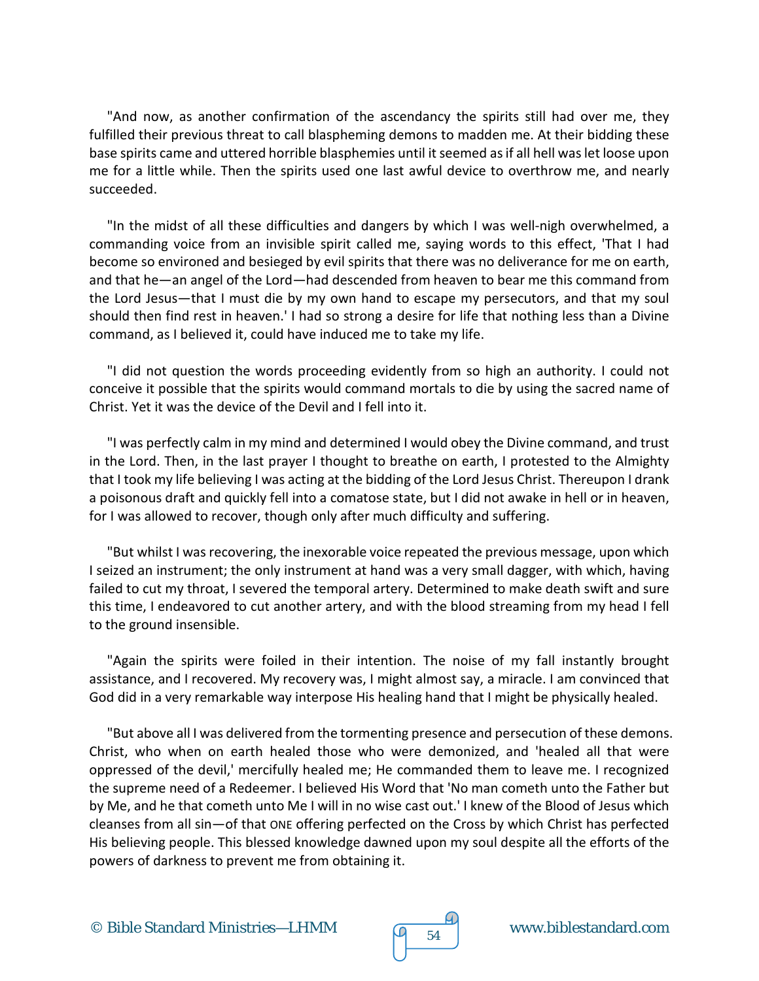"And now, as another confirmation of the ascendancy the spirits still had over me, they fulfilled their previous threat to call blaspheming demons to madden me. At their bidding these base spirits came and uttered horrible blasphemies until it seemed as if all hell was let loose upon me for a little while. Then the spirits used one last awful device to overthrow me, and nearly succeeded.

"In the midst of all these difficulties and dangers by which I was well-nigh overwhelmed, a commanding voice from an invisible spirit called me, saying words to this effect, 'That I had become so environed and besieged by evil spirits that there was no deliverance for me on earth, and that he—an angel of the Lord—had descended from heaven to bear me this command from the Lord Jesus—that I must die by my own hand to escape my persecutors, and that my soul should then find rest in heaven.' I had so strong a desire for life that nothing less than a Divine command, as I believed it, could have induced me to take my life.

"I did not question the words proceeding evidently from so high an authority. I could not conceive it possible that the spirits would command mortals to die by using the sacred name of Christ. Yet it was the device of the Devil and I fell into it.

"I was perfectly calm in my mind and determined I would obey the Divine command, and trust in the Lord. Then, in the last prayer I thought to breathe on earth, I protested to the Almighty that I took my life believing I was acting at the bidding of the Lord Jesus Christ. Thereupon I drank a poisonous draft and quickly fell into a comatose state, but I did not awake in hell or in heaven, for I was allowed to recover, though only after much difficulty and suffering.

"But whilst I was recovering, the inexorable voice repeated the previous message, upon which I seized an instrument; the only instrument at hand was a very small dagger, with which, having failed to cut my throat, I severed the temporal artery. Determined to make death swift and sure this time, I endeavored to cut another artery, and with the blood streaming from my head I fell to the ground insensible.

"Again the spirits were foiled in their intention. The noise of my fall instantly brought assistance, and I recovered. My recovery was, I might almost say, a miracle. I am convinced that God did in a very remarkable way interpose His healing hand that I might be physically healed.

"But above all I was delivered from the tormenting presence and persecution of these demons. Christ, who when on earth healed those who were demonized, and 'healed all that were oppressed of the devil,' mercifully healed me; He commanded them to leave me. I recognized the supreme need of a Redeemer. I believed His Word that 'No man cometh unto the Father but by Me, and he that cometh unto Me I will in no wise cast out.' I knew of the Blood of Jesus which cleanses from all sin—of that ONE offering perfected on the Cross by which Christ has perfected His believing people. This blessed knowledge dawned upon my soul despite all the efforts of the powers of darkness to prevent me from obtaining it.



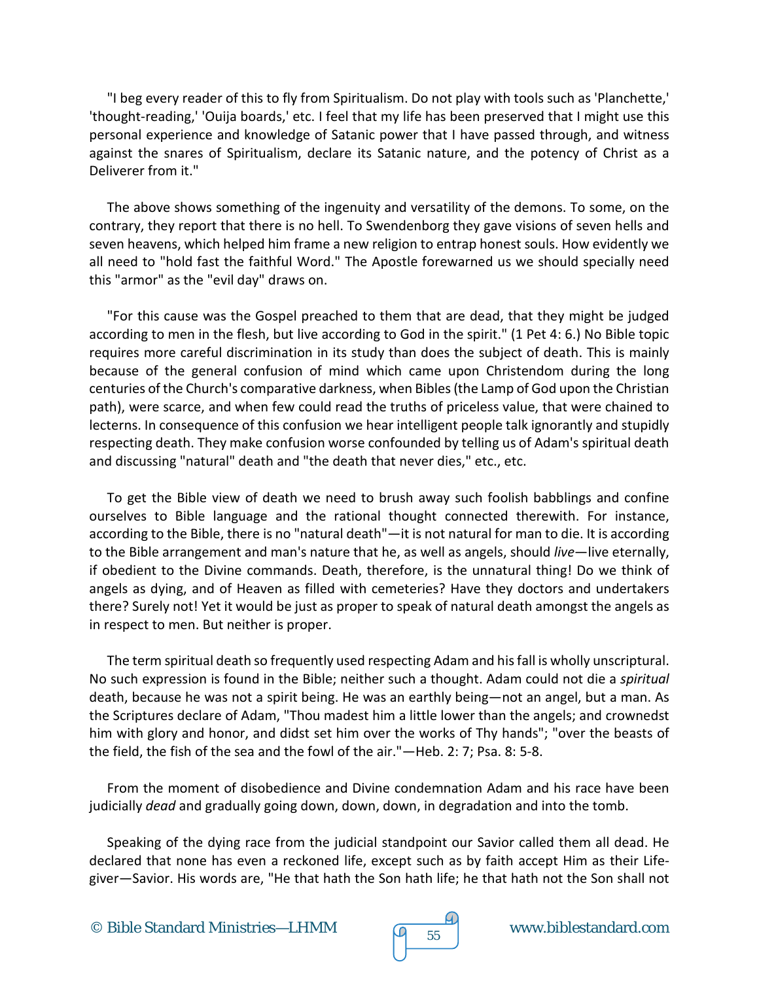"I beg every reader of this to fly from Spiritualism. Do not play with tools such as 'Planchette,' 'thought-reading,' 'Ouija boards,' etc. I feel that my life has been preserved that I might use this personal experience and knowledge of Satanic power that I have passed through, and witness against the snares of Spiritualism, declare its Satanic nature, and the potency of Christ as a Deliverer from it."

The above shows something of the ingenuity and versatility of the demons. To some, on the contrary, they report that there is no hell. To Swendenborg they gave visions of seven hells and seven heavens, which helped him frame a new religion to entrap honest souls. How evidently we all need to "hold fast the faithful Word." The Apostle forewarned us we should specially need this "armor" as the "evil day" draws on.

"For this cause was the Gospel preached to them that are dead, that they might be judged according to men in the flesh, but live according to God in the spirit." (1 Pet 4: 6.) No Bible topic requires more careful discrimination in its study than does the subject of death. This is mainly because of the general confusion of mind which came upon Christendom during the long centuries of the Church's comparative darkness, when Bibles (the Lamp of God upon the Christian path), were scarce, and when few could read the truths of priceless value, that were chained to lecterns. In consequence of this confusion we hear intelligent people talk ignorantly and stupidly respecting death. They make confusion worse confounded by telling us of Adam's spiritual death and discussing "natural" death and "the death that never dies," etc., etc.

To get the Bible view of death we need to brush away such foolish babblings and confine ourselves to Bible language and the rational thought connected therewith. For instance, according to the Bible, there is no "natural death"—it is not natural for man to die. It is according to the Bible arrangement and man's nature that he, as well as angels, should *live*—live eternally, if obedient to the Divine commands. Death, therefore, is the unnatural thing! Do we think of angels as dying, and of Heaven as filled with cemeteries? Have they doctors and undertakers there? Surely not! Yet it would be just as proper to speak of natural death amongst the angels as in respect to men. But neither is proper.

The term spiritual death so frequently used respecting Adam and his fall is wholly unscriptural. No such expression is found in the Bible; neither such a thought. Adam could not die a *spiritual*  death, because he was not a spirit being. He was an earthly being—not an angel, but a man. As the Scriptures declare of Adam, "Thou madest him a little lower than the angels; and crownedst him with glory and honor, and didst set him over the works of Thy hands"; "over the beasts of the field, the fish of the sea and the fowl of the air."—Heb. 2: 7; Psa. 8: 5-8.

From the moment of disobedience and Divine condemnation Adam and his race have been judicially *dead* and gradually going down, down, down, in degradation and into the tomb.

Speaking of the dying race from the judicial standpoint our Savior called them all dead. He declared that none has even a reckoned life, except such as by faith accept Him as their Lifegiver—Savior. His words are, "He that hath the Son hath life; he that hath not the Son shall not

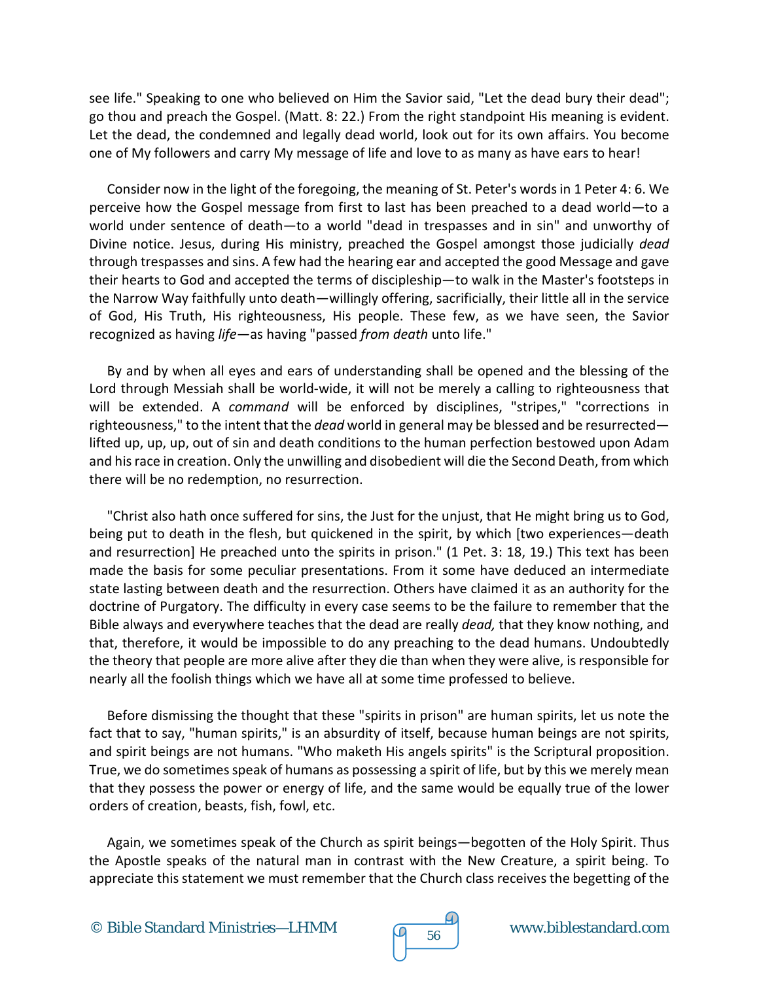see life." Speaking to one who believed on Him the Savior said, "Let the dead bury their dead"; go thou and preach the Gospel. (Matt. 8: 22.) From the right standpoint His meaning is evident. Let the dead, the condemned and legally dead world, look out for its own affairs. You become one of My followers and carry My message of life and love to as many as have ears to hear!

Consider now in the light of the foregoing, the meaning of St. Peter's words in 1 Peter 4: 6. We perceive how the Gospel message from first to last has been preached to a dead world—to a world under sentence of death—to a world "dead in trespasses and in sin" and unworthy of Divine notice. Jesus, during His ministry, preached the Gospel amongst those judicially *dead*  through trespasses and sins. A few had the hearing ear and accepted the good Message and gave their hearts to God and accepted the terms of discipleship—to walk in the Master's footsteps in the Narrow Way faithfully unto death—willingly offering, sacrificially, their little all in the service of God, His Truth, His righteousness, His people. These few, as we have seen, the Savior recognized as having *life—*as having "passed *from death* unto life."

By and by when all eyes and ears of understanding shall be opened and the blessing of the Lord through Messiah shall be world-wide, it will not be merely a calling to righteousness that will be extended. A *command* will be enforced by disciplines, "stripes," "corrections in righteousness," to the intent that the *dead* world in general may be blessed and be resurrected lifted up, up, up, out of sin and death conditions to the human perfection bestowed upon Adam and his race in creation. Only the unwilling and disobedient will die the Second Death, from which there will be no redemption, no resurrection.

"Christ also hath once suffered for sins, the Just for the unjust, that He might bring us to God, being put to death in the flesh, but quickened in the spirit, by which [two experiences—death and resurrection] He preached unto the spirits in prison." (1 Pet. 3: 18, 19.) This text has been made the basis for some peculiar presentations. From it some have deduced an intermediate state lasting between death and the resurrection. Others have claimed it as an authority for the doctrine of Purgatory. The difficulty in every case seems to be the failure to remember that the Bible always and everywhere teaches that the dead are really *dead,* that they know nothing, and that, therefore, it would be impossible to do any preaching to the dead humans. Undoubtedly the theory that people are more alive after they die than when they were alive, is responsible for nearly all the foolish things which we have all at some time professed to believe.

Before dismissing the thought that these "spirits in prison" are human spirits, let us note the fact that to say, "human spirits," is an absurdity of itself, because human beings are not spirits, and spirit beings are not humans. "Who maketh His angels spirits" is the Scriptural proposition. True, we do sometimes speak of humans as possessing a spirit of life, but by this we merely mean that they possess the power or energy of life, and the same would be equally true of the lower orders of creation, beasts, fish, fowl, etc.

Again, we sometimes speak of the Church as spirit beings—begotten of the Holy Spirit. Thus the Apostle speaks of the natural man in contrast with the New Creature, a spirit being. To appreciate this statement we must remember that the Church class receives the begetting of the



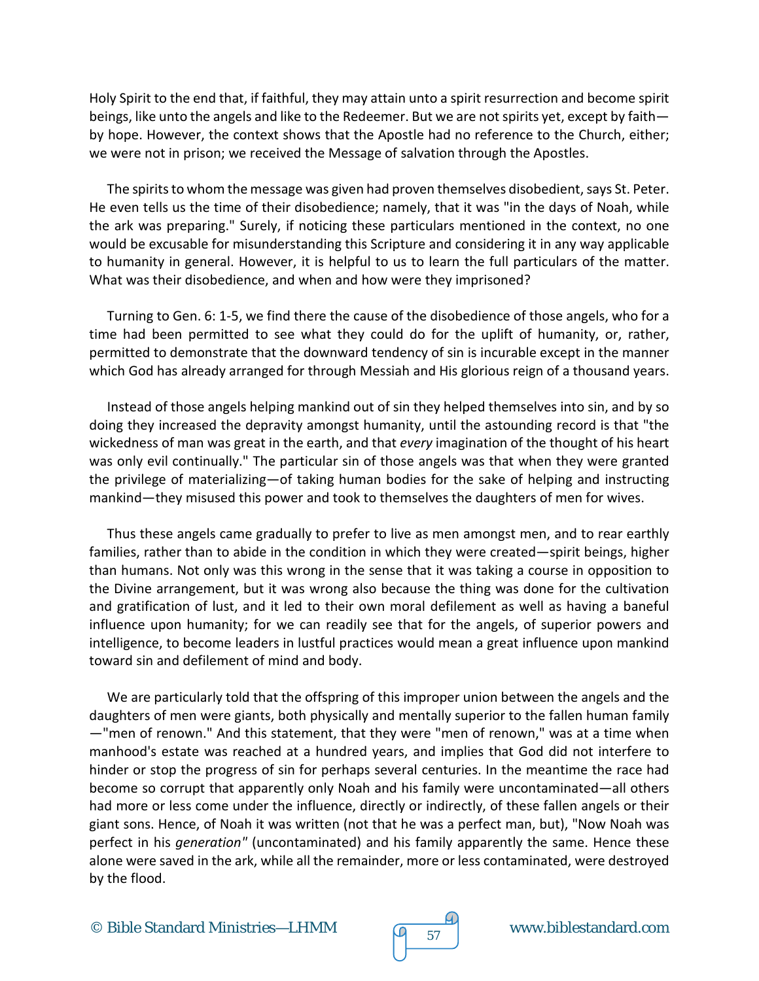Holy Spirit to the end that, if faithful, they may attain unto a spirit resurrection and become spirit beings, like unto the angels and like to the Redeemer. But we are not spirits yet, except by faith by hope. However, the context shows that the Apostle had no reference to the Church, either; we were not in prison; we received the Message of salvation through the Apostles.

The spirits to whom the message was given had proven themselves disobedient, says St. Peter. He even tells us the time of their disobedience; namely, that it was "in the days of Noah, while the ark was preparing." Surely, if noticing these particulars mentioned in the context, no one would be excusable for misunderstanding this Scripture and considering it in any way applicable to humanity in general. However, it is helpful to us to learn the full particulars of the matter. What was their disobedience, and when and how were they imprisoned?

Turning to Gen. 6: 1-5, we find there the cause of the disobedience of those angels, who for a time had been permitted to see what they could do for the uplift of humanity, or, rather, permitted to demonstrate that the downward tendency of sin is incurable except in the manner which God has already arranged for through Messiah and His glorious reign of a thousand years.

Instead of those angels helping mankind out of sin they helped themselves into sin, and by so doing they increased the depravity amongst humanity, until the astounding record is that "the wickedness of man was great in the earth, and that *every* imagination of the thought of his heart was only evil continually." The particular sin of those angels was that when they were granted the privilege of materializing—of taking human bodies for the sake of helping and instructing mankind—they misused this power and took to themselves the daughters of men for wives.

Thus these angels came gradually to prefer to live as men amongst men, and to rear earthly families, rather than to abide in the condition in which they were created—spirit beings, higher than humans. Not only was this wrong in the sense that it was taking a course in opposition to the Divine arrangement, but it was wrong also because the thing was done for the cultivation and gratification of lust, and it led to their own moral defilement as well as having a baneful influence upon humanity; for we can readily see that for the angels, of superior powers and intelligence, to become leaders in lustful practices would mean a great influence upon mankind toward sin and defilement of mind and body.

We are particularly told that the offspring of this improper union between the angels and the daughters of men were giants, both physically and mentally superior to the fallen human family —"men of renown." And this statement, that they were "men of renown," was at a time when manhood's estate was reached at a hundred years, and implies that God did not interfere to hinder or stop the progress of sin for perhaps several centuries. In the meantime the race had become so corrupt that apparently only Noah and his family were uncontaminated—all others had more or less come under the influence, directly or indirectly, of these fallen angels or their giant sons. Hence, of Noah it was written (not that he was a perfect man, but), "Now Noah was perfect in his *generation"* (uncontaminated) and his family apparently the same. Hence these alone were saved in the ark, while all the remainder, more or less contaminated, were destroyed by the flood.

© Bible Standard Ministries—LHMM  $\sqrt{9}$  57 www.biblestandard.com

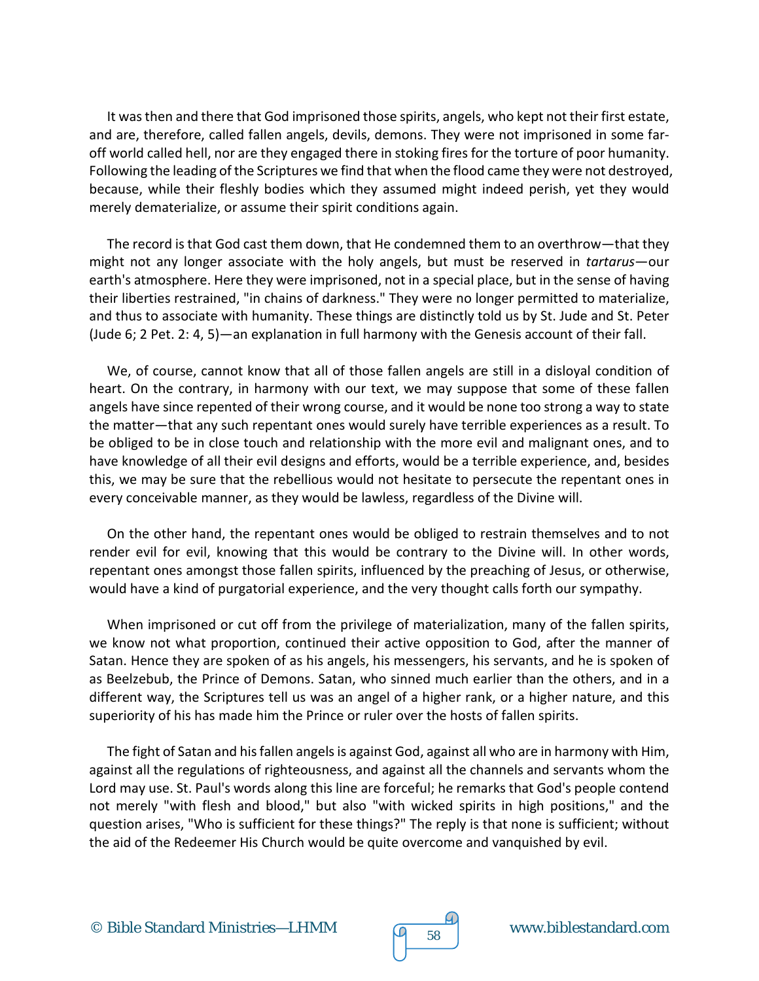It was then and there that God imprisoned those spirits, angels, who kept not their first estate, and are, therefore, called fallen angels, devils, demons. They were not imprisoned in some faroff world called hell, nor are they engaged there in stoking fires for the torture of poor humanity. Following the leading of the Scriptures we find that when the flood came they were not destroyed, because, while their fleshly bodies which they assumed might indeed perish, yet they would merely dematerialize, or assume their spirit conditions again.

The record is that God cast them down, that He condemned them to an overthrow—that they might not any longer associate with the holy angels, but must be reserved in *tartarus*—our earth's atmosphere. Here they were imprisoned, not in a special place, but in the sense of having their liberties restrained, "in chains of darkness." They were no longer permitted to materialize, and thus to associate with humanity. These things are distinctly told us by St. Jude and St. Peter (Jude 6; 2 Pet. 2: 4, 5)—an explanation in full harmony with the Genesis account of their fall.

We, of course, cannot know that all of those fallen angels are still in a disloyal condition of heart. On the contrary, in harmony with our text, we may suppose that some of these fallen angels have since repented of their wrong course, and it would be none too strong a way to state the matter—that any such repentant ones would surely have terrible experiences as a result. To be obliged to be in close touch and relationship with the more evil and malignant ones, and to have knowledge of all their evil designs and efforts, would be a terrible experience, and, besides this, we may be sure that the rebellious would not hesitate to persecute the repentant ones in every conceivable manner, as they would be lawless, regardless of the Divine will.

On the other hand, the repentant ones would be obliged to restrain themselves and to not render evil for evil, knowing that this would be contrary to the Divine will. In other words, repentant ones amongst those fallen spirits, influenced by the preaching of Jesus, or otherwise, would have a kind of purgatorial experience, and the very thought calls forth our sympathy.

When imprisoned or cut off from the privilege of materialization, many of the fallen spirits, we know not what proportion, continued their active opposition to God, after the manner of Satan. Hence they are spoken of as his angels, his messengers, his servants, and he is spoken of as Beelzebub, the Prince of Demons. Satan, who sinned much earlier than the others, and in a different way, the Scriptures tell us was an angel of a higher rank, or a higher nature, and this superiority of his has made him the Prince or ruler over the hosts of fallen spirits.

The fight of Satan and his fallen angels is against God, against all who are in harmony with Him, against all the regulations of righteousness, and against all the channels and servants whom the Lord may use. St. Paul's words along this line are forceful; he remarks that God's people contend not merely "with flesh and blood," but also "with wicked spirits in high positions," and the question arises, "Who is sufficient for these things?" The reply is that none is sufficient; without the aid of the Redeemer His Church would be quite overcome and vanquished by evil.

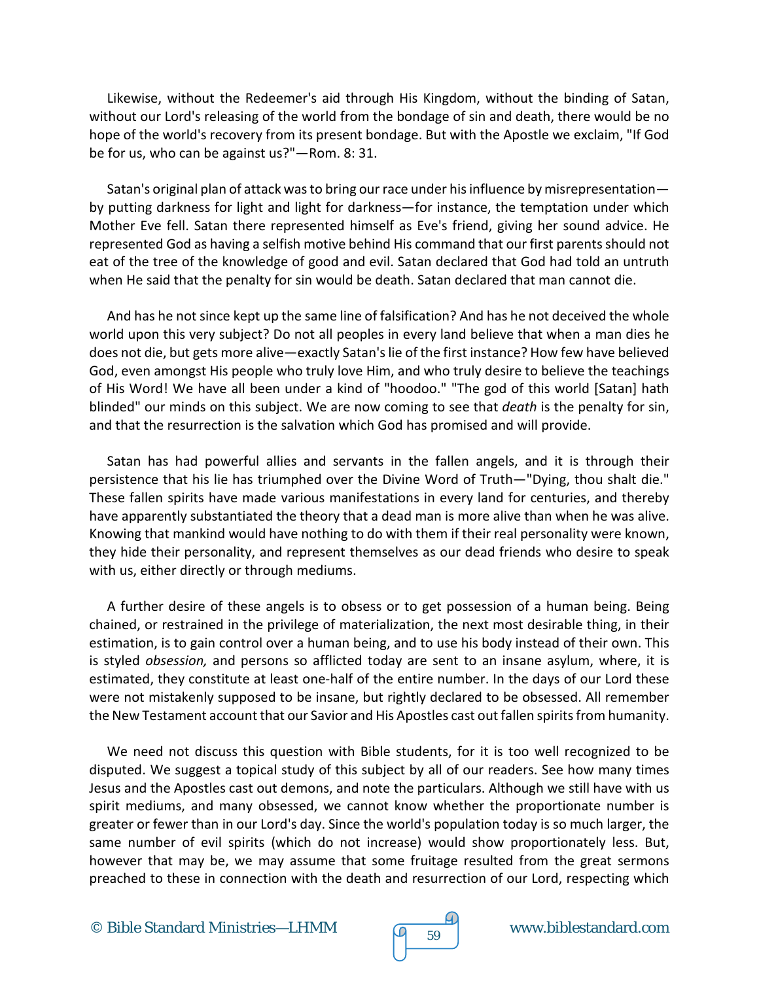Likewise, without the Redeemer's aid through His Kingdom, without the binding of Satan, without our Lord's releasing of the world from the bondage of sin and death, there would be no hope of the world's recovery from its present bondage. But with the Apostle we exclaim, "If God be for us, who can be against us?"—Rom. 8: 31.

Satan's original plan of attack was to bring our race under his influence by misrepresentation by putting darkness for light and light for darkness—for instance, the temptation under which Mother Eve fell. Satan there represented himself as Eve's friend, giving her sound advice. He represented God as having a selfish motive behind His command that our first parents should not eat of the tree of the knowledge of good and evil. Satan declared that God had told an untruth when He said that the penalty for sin would be death. Satan declared that man cannot die.

And has he not since kept up the same line of falsification? And has he not deceived the whole world upon this very subject? Do not all peoples in every land believe that when a man dies he does not die, but gets more alive—exactly Satan's lie of the first instance? How few have believed God, even amongst His people who truly love Him, and who truly desire to believe the teachings of His Word! We have all been under a kind of "hoodoo." "The god of this world [Satan] hath blinded" our minds on this subject. We are now coming to see that *death* is the penalty for sin, and that the resurrection is the salvation which God has promised and will provide.

Satan has had powerful allies and servants in the fallen angels, and it is through their persistence that his lie has triumphed over the Divine Word of Truth—"Dying, thou shalt die." These fallen spirits have made various manifestations in every land for centuries, and thereby have apparently substantiated the theory that a dead man is more alive than when he was alive. Knowing that mankind would have nothing to do with them if their real personality were known, they hide their personality, and represent themselves as our dead friends who desire to speak with us, either directly or through mediums.

A further desire of these angels is to obsess or to get possession of a human being. Being chained, or restrained in the privilege of materialization, the next most desirable thing, in their estimation, is to gain control over a human being, and to use his body instead of their own. This is styled *obsession,* and persons so afflicted today are sent to an insane asylum, where, it is estimated, they constitute at least one-half of the entire number. In the days of our Lord these were not mistakenly supposed to be insane, but rightly declared to be obsessed. All remember the New Testament account that our Savior and His Apostles cast out fallen spirits from humanity.

We need not discuss this question with Bible students, for it is too well recognized to be disputed. We suggest a topical study of this subject by all of our readers. See how many times Jesus and the Apostles cast out demons, and note the particulars. Although we still have with us spirit mediums, and many obsessed, we cannot know whether the proportionate number is greater or fewer than in our Lord's day. Since the world's population today is so much larger, the same number of evil spirits (which do not increase) would show proportionately less. But, however that may be, we may assume that some fruitage resulted from the great sermons preached to these in connection with the death and resurrection of our Lord, respecting which